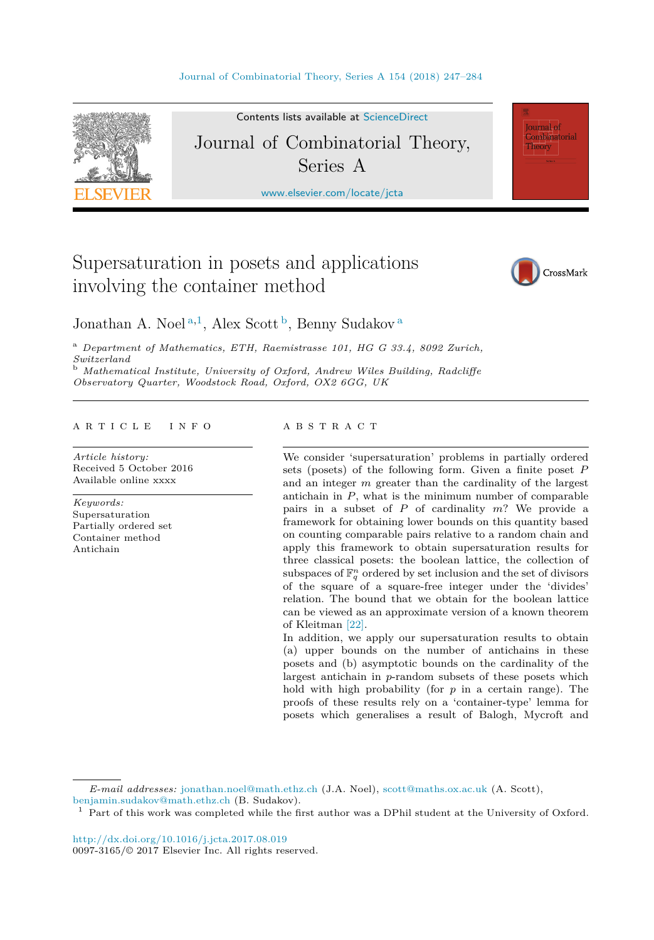

Contents lists available at [ScienceDirect](http://www.ScienceDirect.com/) Journal of Combinatorial Theory,

Series A

[www.elsevier.com/locate/jcta](http://www.elsevier.com/locate/jcta)

# Supersaturation in posets and applications involving the container method



**Journal** of Combinatorial Theory

Jonathan A. Noel<sup>a,1</sup>, Alex Scott<sup>b</sup>, Benny Sudakov<sup>a</sup>

<sup>a</sup> *Department of Mathematics, ETH, Raemistrasse 101, HG G 33.4, 8092 Zurich, Switzerland* <sup>b</sup> *Mathematical Institute, University of Oxford, Andrew Wiles Building, Radcliffe*

*Observatory Quarter, Woodstock Road, Oxford, OX2 6GG, UK*

#### A R T I C L E I N F O A B S T R A C T

*Article history:* Received 5 October 2016 Available online xxxx

*Keywords:* Supersaturation Partially ordered set Container method Antichain

We consider 'supersaturation' problems in partially ordered sets (posets) of the following form. Given a finite poset *P* and an integer *m* greater than the cardinality of the largest antichain in *P*, what is the minimum number of comparable pairs in a subset of *P* of cardinality *m*? We provide a framework for obtaining lower bounds on this quantity based on counting comparable pairs relative to a random chain and apply this framework to obtain supersaturation results for three classical posets: the boolean lattice, the collection of subspaces of  $\mathbb{F}_q^n$  ordered by set inclusion and the set of divisors of the square of a square-free integer under the 'divides' relation. The bound that we obtain for the boolean lattice can be viewed as an approximate version of a known theorem of Kleitman [\[22\].](#page-37-0)

In addition, we apply our supersaturation results to obtain (a) upper bounds on the number of antichains in these posets and (b) asymptotic bounds on the cardinality of the largest antichain in *p*-random subsets of these posets which hold with high probability (for *p* in a certain range). The proofs of these results rely on a 'container-type' lemma for posets which generalises a result of Balogh, Mycroft and

*E-mail addresses:* [jonathan.noel@math.ethz.ch](mailto:jonathan.noel@math.ethz.ch) (J.A. Noel), [scott@maths.ox.ac.uk](mailto:scott@maths.ox.ac.uk) (A. Scott), [benjamin.sudakov@math.ethz.ch](mailto:benjamin.sudakov@math.ethz.ch) (B. Sudakov).

<sup>1</sup> Part of this work was completed while the first author was a DPhil student at the University of Oxford.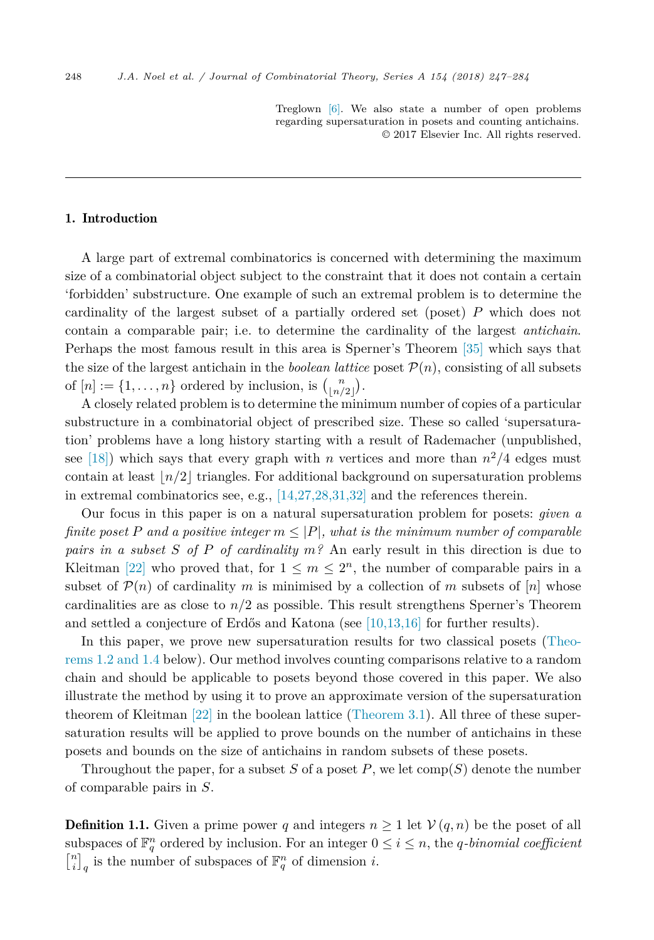Treglown [\[6\].](#page-36-0) We also state a number of open problems regarding supersaturation in posets and counting antichains. © 2017 Elsevier Inc. All rights reserved.

#### 1. Introduction

A large part of extremal combinatorics is concerned with determining the maximum size of a combinatorial object subject to the constraint that it does not contain a certain 'forbidden' substructure. One example of such an extremal problem is to determine the cardinality of the largest subset of a partially ordered set (poset) *P* which does not contain a comparable pair; i.e. to determine the cardinality of the largest *antichain*. Perhaps the most famous result in this area is Sperner's Theorem [\[35\]](#page-37-0) which says that the size of the largest antichain in the *boolean lattice* poset  $P(n)$ , consisting of all subsets of  $[n] := \{1, \ldots, n\}$  ordered by inclusion, is  $\binom{n}{\lfloor n/2 \rfloor}$  $\binom{n}{\lfloor n/2 \rfloor}$ .

A closely related problem is to determine the minimum number of copies of a particular substructure in a combinatorial object of prescribed size. These so called 'supersaturation' problems have a long history starting with a result of Rademacher (unpublished, see [\[18\]\)](#page-36-0) which says that every graph with *n* vertices and more than  $n^2/4$  edges must contain at least  $\lfloor n/2 \rfloor$  triangles. For additional background on supersaturation problems in extremal combinatorics see, e.g.,  $[14,27,28,31,32]$  and the references therein.

Our focus in this paper is on a natural supersaturation problem for posets: *given a finite* poset *P* and a positive integer  $m \leq |P|$ , what is the minimum number of comparable *pairs in a subset S of P of cardinality m?* An early result in this direction is due to Kleitman [\[22\]](#page-37-0) who proved that, for  $1 \leq m \leq 2^n$ , the number of comparable pairs in a subset of  $\mathcal{P}(n)$  of cardinality *m* is minimised by a collection of *m* subsets of  $[n]$  whose cardinalities are as close to  $n/2$  as possible. This result strengthens Sperner's Theorem and settled a conjecture of Erdős and Katona (see [\[10,13,16\]](#page-36-0) for further results).

In this paper, we prove new supersaturation results for two classical posets [\(Theo](#page-2-0)[rems 1.2 and 1.4](#page-2-0) below). Our method involves counting comparisons relative to a random chain and should be applicable to posets beyond those covered in this paper. We also illustrate the method by using it to prove an approximate version of the supersaturation theorem of Kleitman [\[22\]](#page-37-0) in the boolean lattice [\(Theorem 3.1\)](#page-6-0). All three of these supersaturation results will be applied to prove bounds on the number of antichains in these posets and bounds on the size of antichains in random subsets of these posets.

Throughout the paper, for a subset  $S$  of a poset  $P$ , we let  $\text{comp}(S)$  denote the number of comparable pairs in *S*.

**Definition 1.1.** Given a prime power *q* and integers  $n \geq 1$  let  $V(q, n)$  be the poset of all subspaces of  $\mathbb{F}_q^n$  ordered by inclusion. For an integer  $0 \le i \le n$ , the *q*-binomial coefficient  $\begin{bmatrix} n \\ i \end{bmatrix}_q$  is the number of subspaces of  $\mathbb{F}_q^n$  of dimension *i*.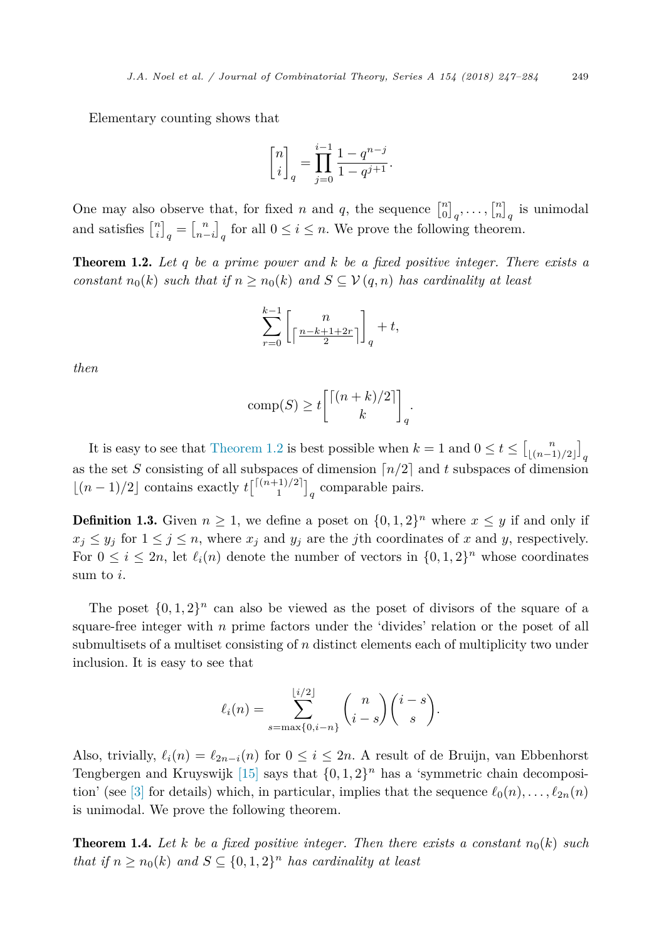<span id="page-2-0"></span>Elementary counting shows that

$$
\begin{bmatrix} n \\ i \end{bmatrix}_q = \prod_{j=0}^{i-1} \frac{1-q^{n-j}}{1-q^{j+1}}.
$$

One may also observe that, for fixed *n* and *q*, the sequence  $\begin{bmatrix} n \\ 0 \end{bmatrix}_q, \ldots, \begin{bmatrix} n \\ n \end{bmatrix}_q$  is unimodal and satisfies  $\begin{bmatrix} n \\ i \end{bmatrix}_q = \begin{bmatrix} n \\ n-i \end{bmatrix}_q$  for all  $0 \le i \le n$ . We prove the following theorem.

Theorem 1.2. *Let q be a prime power and k be a fixed positive integer. There exists a constant*  $n_0(k)$  *such* that if  $n \geq n_0(k)$  and  $S \subseteq V(q,n)$  has cardinality at least

$$
\sum_{r=0}^{k-1} \left[ \frac{n}{\lceil \frac{n-k+1+2r}{2} \rceil} \right]_q + t,
$$

*then*

$$
comp(S) \ge t \binom{\lceil (n+k)/2 \rceil}{k}_q.
$$

It is easy to see that Theorem 1.2 is best possible when  $k = 1$  and  $0 \le t \le \left[\binom{n}{\lfloor (n-1)/2 \rfloor}\right]_q$ as the set *S* consisting of all subspaces of dimension  $\lceil n/2 \rceil$  and *t* subspaces of dimension  $\lfloor (n-1)/2 \rfloor$  contains exactly  $t\binom{\lceil (n+1)/2 \rceil}{1}_q$  comparable pairs.

**Definition 1.3.** Given  $n \geq 1$ , we define a poset on  $\{0, 1, 2\}^n$  where  $x \leq y$  if and only if  $x_j \leq y_j$  for  $1 \leq j \leq n$ , where  $x_j$  and  $y_j$  are the *j*th coordinates of *x* and *y*, respectively. For  $0 \leq i \leq 2n$ , let  $\ell_i(n)$  denote the number of vectors in  $\{0,1,2\}^n$  whose coordinates sum to *i*.

The poset  $\{0, 1, 2\}^n$  can also be viewed as the poset of divisors of the square of a square-free integer with *n* prime factors under the 'divides' relation or the poset of all submultisets of a multiset consisting of *n* distinct elements each of multiplicity two under inclusion. It is easy to see that

$$
\ell_i(n) = \sum_{s=\max\{0,i-n\}}^{\lfloor i/2 \rfloor} {n \choose i-s} {i-s \choose s}.
$$

Also, trivially,  $\ell_i(n) = \ell_{2n-i}(n)$  for  $0 \leq i \leq 2n$ . A result of de Bruijn, van Ebbenhorst Tengbergen and Kruyswijk [\[15\]](#page-36-0) says that  $\{0, 1, 2\}^n$  has a 'symmetric chain decomposi-tion' (see [\[3\]](#page-36-0) for details) which, in particular, implies that the sequence  $\ell_0(n), \ldots, \ell_{2n}(n)$ is unimodal. We prove the following theorem.

**Theorem 1.4.** Let *k* be a fixed positive integer. Then there exists a constant  $n_0(k)$  such *that if*  $n \geq n_0(k)$  *and*  $S \subseteq \{0, 1, 2\}$ <sup>*n*</sup> *has cardinality at least*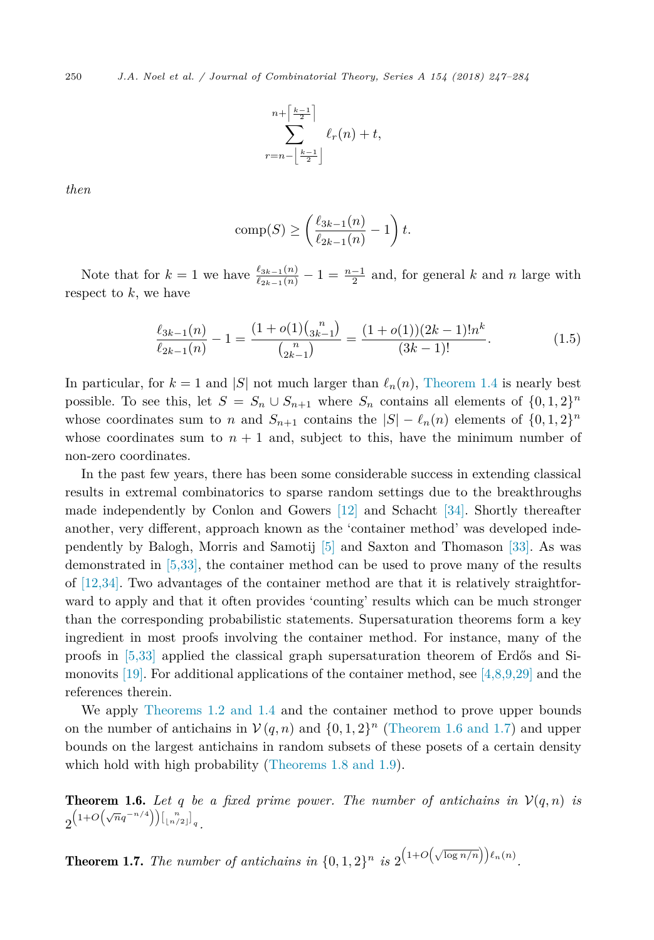<span id="page-3-0"></span>250 *J.A. Noel et al. / Journal of Combinatorial Theory, Series A 154 (2018) 247–284*

$$
\sum_{r=n-\left\lfloor\frac{k-1}{2}\right\rfloor}^{n+\left\lceil\frac{k-1}{2}\right\rceil}\ell_r(n)+t,
$$

*then*

$$
\operatorname{comp}(S) \ge \left(\frac{\ell_{3k-1}(n)}{\ell_{2k-1}(n)} - 1\right)t.
$$

Note that for  $k = 1$  we have  $\frac{\ell_{3k-1}(n)}{\ell_{2k-1}(n)} - 1 = \frac{n-1}{2}$  and, for general *k* and *n* large with respect to *k*, we have

$$
\frac{\ell_{3k-1}(n)}{\ell_{2k-1}(n)} - 1 = \frac{(1 + o(1)\binom{n}{3k-1}}{\binom{n}{2k-1}} = \frac{(1 + o(1))(2k-1)!n^k}{(3k-1)!}.
$$
\n(1.5)

In particular, for  $k = 1$  and  $|S|$  not much larger than  $\ell_n(n)$ , [Theorem 1.4](#page-2-0) is nearly best possible. To see this, let  $S = S_n \cup S_{n+1}$  where  $S_n$  contains all elements of  $\{0, 1, 2\}^n$ whose coordinates sum to *n* and  $S_{n+1}$  contains the  $|S| - \ell_n(n)$  elements of  $\{0, 1, 2\}^n$ whose coordinates sum to  $n + 1$  and, subject to this, have the minimum number of non-zero coordinates.

In the past few years, there has been some considerable success in extending classical results in extremal combinatorics to sparse random settings due to the breakthroughs made independently by Conlon and Gowers [\[12\]](#page-36-0) and Schacht [\[34\].](#page-37-0) Shortly thereafter another, very different, approach known as the 'container method' was developed independently by Balogh, Morris and Samotij [\[5\]](#page-36-0) and Saxton and Thomason [\[33\].](#page-37-0) As was demonstrated in [\[5,33\],](#page-36-0) the container method can be used to prove many of the results of [\[12,34\].](#page-36-0) Two advantages of the container method are that it is relatively straightforward to apply and that it often provides 'counting' results which can be much stronger than the corresponding probabilistic statements. Supersaturation theorems form a key ingredient in most proofs involving the container method. For instance, many of the proofs in [\[5,33\]](#page-36-0) applied the classical graph supersaturation theorem of Erdős and Si-monovits [\[19\].](#page-36-0) For additional applications of the container method, see [\[4,8,9,29\]](#page-36-0) and the references therein.

We apply [Theorems 1.2 and 1.4](#page-2-0) and the container method to prove upper bounds on the number of antichains in  $V(q, n)$  and  $\{0, 1, 2\}$ <sup>n</sup> (Theorem 1.6 and 1.7) and upper bounds on the largest antichains in random subsets of these posets of a certain density which hold with high probability [\(Theorems 1.8 and 1.9\)](#page-4-0).

**Theorem 1.6.** Let q be a fixed prime power. The number of antichains in  $V(q, n)$  is  $2^{\left(1+O\left(\sqrt{n}q^{-n/4}\right)\right)\left[\frac{n}{\lfloor n/2 \rfloor}\right]_q}.$ 

**Theorem 1.7.** The number of antichains in  $\{0, 1, 2\}^n$  is  $2^{(1+O(\sqrt{\log n/n}))\ell_n(n)}$ .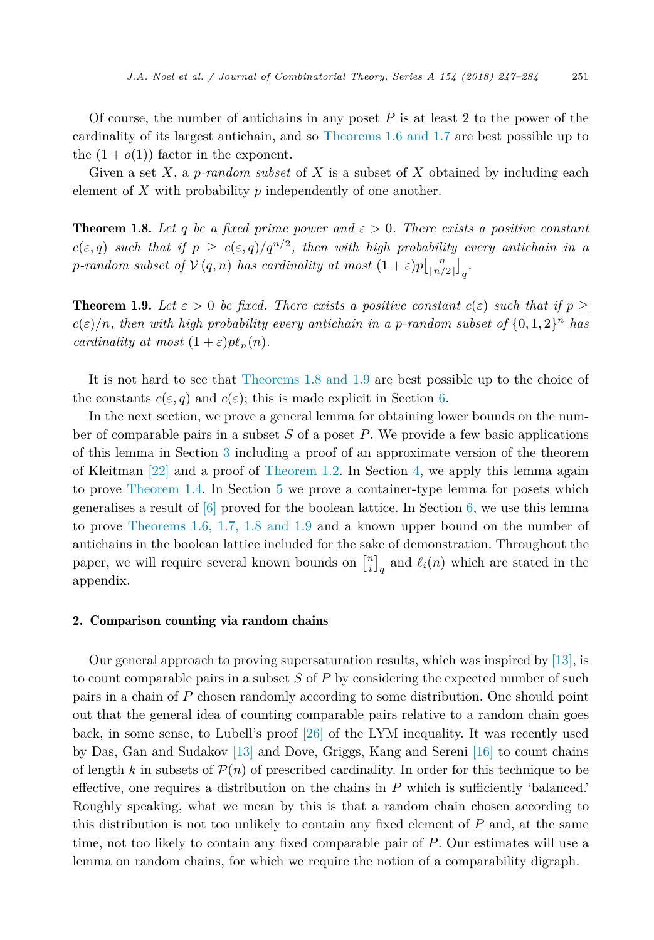<span id="page-4-0"></span>Of course, the number of antichains in any poset *P* is at least 2 to the power of the cardinality of its largest antichain, and so [Theorems 1.6 and 1.7](#page-3-0) are best possible up to the  $(1 + o(1))$  factor in the exponent.

Given a set *X*, a *p-random subset* of *X* is a subset of *X* obtained by including each element of *X* with probability *p* independently of one another.

**Theorem 1.8.** Let *q* be *a* fixed prime power and  $\varepsilon > 0$ . There exists *a* positive constant  $c(\varepsilon,q)$  such that if  $p \geq c(\varepsilon,q)/q^{n/2}$ , then with high probability every antichain in a *p*-random subset of  $V(q, n)$  has cardinality at most  $(1 + \varepsilon)p\begin{bmatrix}n \\ \lfloor n/2 \rfloor \end{bmatrix}_q$ .

**Theorem 1.9.** Let  $\varepsilon > 0$  be fixed. There exists a positive constant  $c(\varepsilon)$  such that if  $p >$  $c(\varepsilon)/n$ , then with high probability every antichain in a p-random subset of  $\{0,1,2\}^n$  has *cardinality at most*  $(1 + \varepsilon)p\ell_n(n)$ *.* 

It is not hard to see that Theorems 1.8 and 1.9 are best possible up to the choice of the constants  $c(\varepsilon, q)$  and  $c(\varepsilon)$ ; this is made explicit in Section [6.](#page-26-0)

In the next section, we prove a general lemma for obtaining lower bounds on the number of comparable pairs in a subset *S* of a poset *P*. We provide a few basic applications of this lemma in Section [3](#page-6-0) including a proof of an approximate version of the theorem of Kleitman [\[22\]](#page-37-0) and a proof of [Theorem 1.2.](#page-2-0) In Section [4,](#page-9-0) we apply this lemma again to prove [Theorem 1.4.](#page-2-0) In Section [5](#page-23-0) we prove a container-type lemma for posets which generalises a result of  $[6]$  proved for the boolean lattice. In Section [6,](#page-26-0) we use this lemma to prove [Theorems 1.6, 1.7, 1.8 and 1.9](#page-3-0) and a known upper bound on the number of antichains in the boolean lattice included for the sake of demonstration. Throughout the paper, we will require several known bounds on  $\begin{bmatrix} n \\ i \end{bmatrix}_q$  and  $\ell_i(n)$  which are stated in the appendix.

## 2. Comparison counting via random chains

Our general approach to proving supersaturation results, which was inspired by [\[13\],](#page-36-0) is to count comparable pairs in a subset *S* of *P* by considering the expected number of such pairs in a chain of *P* chosen randomly according to some distribution. One should point out that the general idea of counting comparable pairs relative to a random chain goes back, in some sense, to Lubell's proof [\[26\]](#page-37-0) of the LYM inequality. It was recently used by Das, Gan and Sudakov [\[13\]](#page-36-0) and Dove, Griggs, Kang and Sereni [\[16\]](#page-36-0) to count chains of length k in subsets of  $\mathcal{P}(n)$  of prescribed cardinality. In order for this technique to be effective, one requires a distribution on the chains in *P* which is sufficiently 'balanced.' Roughly speaking, what we mean by this is that a random chain chosen according to this distribution is not too unlikely to contain any fixed element of *P* and, at the same time, not too likely to contain any fixed comparable pair of *P*. Our estimates will use a lemma on random chains, for which we require the notion of a comparability digraph.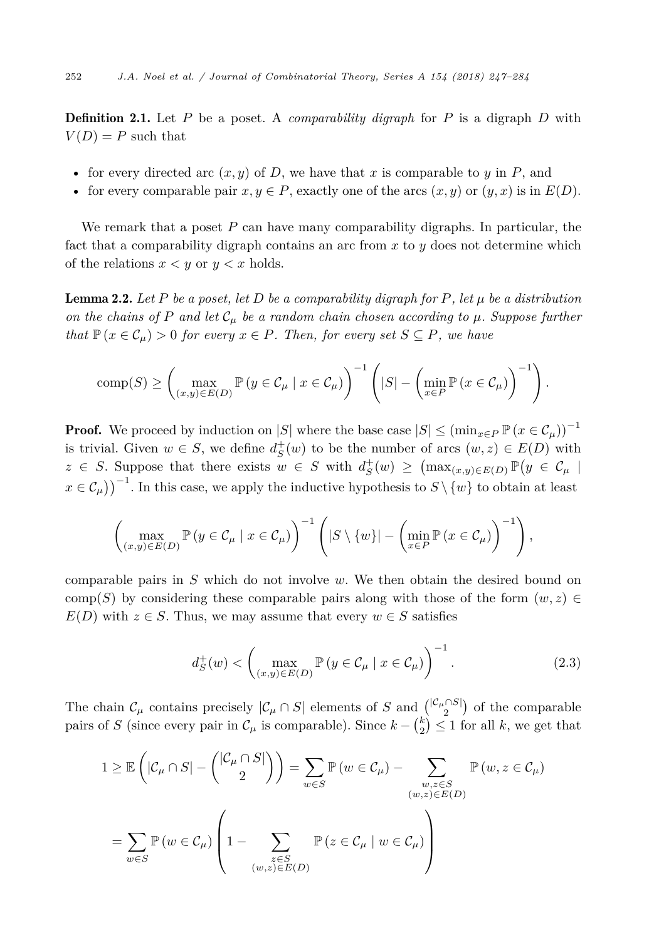<span id="page-5-0"></span>Definition 2.1. Let *P* be a poset. A *comparability digraph* for *P* is a digraph *D* with  $V(D) = P$  such that

- for every directed arc  $(x, y)$  of  $D$ , we have that  $x$  is comparable to  $y$  in  $P$ , and
- for every comparable pair  $x, y \in P$ , exactly one of the arcs  $(x, y)$  or  $(y, x)$  is in  $E(D)$ .

We remark that a poset *P* can have many comparability digraphs. In particular, the fact that a comparability digraph contains an arc from *x* to *y* does not determine which of the relations  $x < y$  or  $y < x$  holds.

**Lemma 2.2.** Let P be a poset, let D be a comparability digraph for P, let  $\mu$  be a distribution *on the chains of P and let*  $C_\mu$  *be a random chain chosen according to*  $\mu$ *. Suppose further that*  $\mathbb{P}(x \in C_\mu) > 0$  *for every*  $x \in P$ *. Then, for every set*  $S \subseteq P$ *, we have* 

comp(S) 
$$
\geq \left(\max_{(x,y)\in E(D)} \mathbb{P}\left(y \in \mathcal{C}_{\mu} \mid x \in \mathcal{C}_{\mu}\right)\right)^{-1}\left(|S| - \left(\min_{x \in P} \mathbb{P}\left(x \in \mathcal{C}_{\mu}\right)\right)^{-1}\right).
$$

**Proof.** We proceed by induction on |*S*| where the base case  $|S| \leq (\min_{x \in P} \mathbb{P}(x \in C_{\mu}))^{-1}$ is trivial. Given  $w \in S$ , we define  $d_S^+(w)$  to be the number of arcs  $(w, z) \in E(D)$  with  $z \in S$ . Suppose that there exists  $w \in S$  with  $d_S^+(w) \geq (\max_{(x,y)\in E(D)} \mathbb{P}(y \in C_\mu))$  $x \in C_{\mu}$ )<sup>-1</sup>. In this case, we apply the inductive hypothesis to  $S \setminus \{w\}$  to obtain at least

$$
\left(\max_{(x,y)\in E(D)}\mathbb{P}\left(y\in\mathcal{C}_{\mu}\mid x\in\mathcal{C}_{\mu}\right)\right)^{-1}\left(|S\setminus\{w\}|-\left(\min_{x\in P}\mathbb{P}\left(x\in\mathcal{C}_{\mu}\right)\right)^{-1}\right),\right.
$$

comparable pairs in *S* which do not involve *w*. We then obtain the desired bound on comp(*S*) by considering these comparable pairs along with those of the form  $(w, z) \in$  $E(D)$  with  $z \in S$ . Thus, we may assume that every  $w \in S$  satisfies

$$
d_S^+(w) < \left(\max_{(x,y)\in E(D)} \mathbb{P}\left(y \in \mathcal{C}_\mu \mid x \in \mathcal{C}_\mu\right)\right)^{-1}.\tag{2.3}
$$

The chain  $\mathcal{C}_{\mu}$  contains precisely  $|\mathcal{C}_{\mu} \cap S|$  elements of *S* and  $\binom{|\mathcal{C}_{\mu} \cap S|}{2}$  of the comparable pairs of *S* (since every pair in  $\mathcal{C}_{\mu}$  is comparable). Since  $k - \binom{k}{2} \leq 1$  for all *k*, we get that

$$
1 \geq \mathbb{E}\left(|\mathcal{C}_{\mu} \cap S| - \binom{|\mathcal{C}_{\mu} \cap S|}{2}\right) = \sum_{w \in S} \mathbb{P}\left(w \in \mathcal{C}_{\mu}\right) - \sum_{\substack{w,z \in S \\ (w,z) \in E(D)}} \mathbb{P}\left(w,z \in \mathcal{C}_{\mu}\right)
$$

$$
= \sum_{w \in S} \mathbb{P}\left(w \in \mathcal{C}_{\mu}\right) \left(1 - \sum_{\substack{z \in S \\ (w,z) \in E(D)}} \mathbb{P}\left(z \in \mathcal{C}_{\mu} \mid w \in \mathcal{C}_{\mu}\right)\right)
$$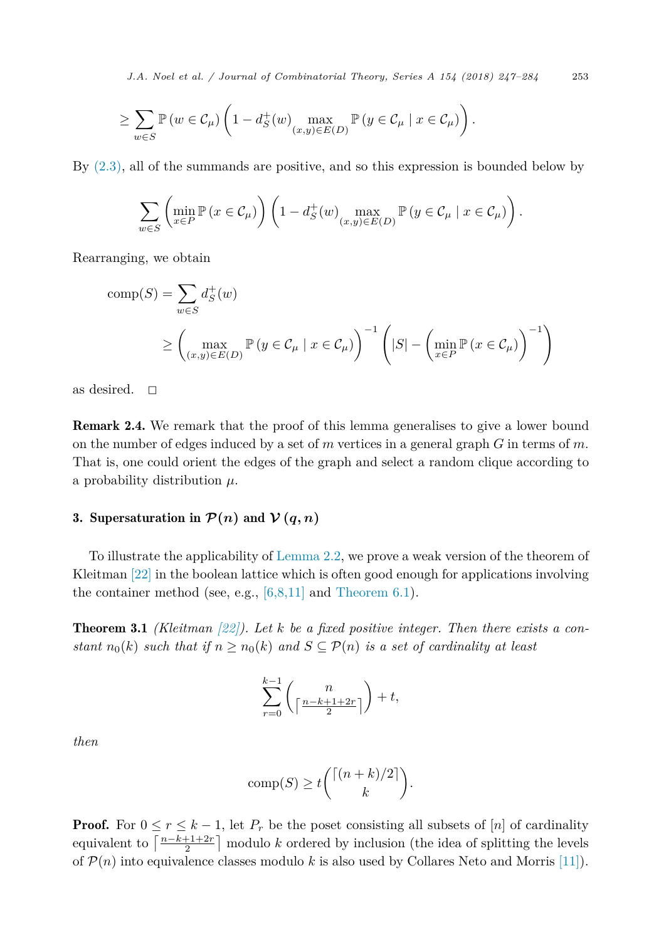<span id="page-6-0"></span>*J.A. Noel et al. / Journal of Combinatorial Theory, Series A 154 (2018) 247–284* 253

$$
\geq \sum_{w\in S}\mathbb{P}\left(w\in \mathcal{C}_{\mu}\right)\left(1-d_{S}^{+}\left(w\right)\max_{\left(x,y\right)\in E(D)}\mathbb{P}\left(y\in \mathcal{C}_{\mu}\mid x\in \mathcal{C}_{\mu}\right)\right).
$$

By [\(2.3\),](#page-5-0) all of the summands are positive, and so this expression is bounded below by

$$
\sum_{w \in S} \left( \min_{x \in P} \mathbb{P} \left( x \in \mathcal{C}_{\mu} \right) \right) \left( 1 - d_{S}^{+}(w) \max_{(x, y) \in E(D)} \mathbb{P} \left( y \in \mathcal{C}_{\mu} \mid x \in \mathcal{C}_{\mu} \right) \right).
$$

Rearranging, we obtain

comp(S) = 
$$
\sum_{w \in S} d_S^+(w)
$$
  
\n $\ge \left( \max_{(x,y) \in E(D)} \mathbb{P}(y \in C_\mu \mid x \in C_\mu) \right)^{-1} \left( |S| - \left( \min_{x \in P} \mathbb{P}(x \in C_\mu) \right)^{-1} \right)$ 

as desired.  $\Box$ 

Remark 2.4. We remark that the proof of this lemma generalises to give a lower bound on the number of edges induced by a set of *m* vertices in a general graph *G* in terms of *m*. That is, one could orient the edges of the graph and select a random clique according to a probability distribution *μ*.

#### 3. Supersaturation in  $\mathcal{P}(n)$  and  $\mathcal{V}(q,n)$

To illustrate the applicability of [Lemma 2.2,](#page-5-0) we prove a weak version of the theorem of Kleitman [\[22\]](#page-37-0) in the boolean lattice which is often good enough for applications involving the container method (see, e.g.,  $[6,8,11]$  and [Theorem 6.1\)](#page-26-0).

Theorem 3.1 *(Kleitman [\[22\]\)](#page-37-0). Let k be a fixed positive integer. Then there exists a constant*  $n_0(k)$  *such that if*  $n \geq n_0(k)$  *and*  $S \subseteq \mathcal{P}(n)$  *is a set of cardinality at least* 

$$
\sum_{r=0}^{k-1} \binom{n}{\lceil \frac{n-k+1+2r}{2} \rceil} + t,
$$

*then*

$$
\text{comp}(S) \ge t \binom{\lceil (n+k)/2 \rceil}{k}.
$$

**Proof.** For  $0 \le r \le k-1$ , let  $P_r$  be the poset consisting all subsets of [*n*] of cardinality equivalent to  $\left\lceil \frac{n-k+1+2r}{2} \right\rceil$  modulo *k* ordered by inclusion (the idea of splitting the levels of  $\mathcal{P}(n)$  into equivalence classes modulo k is also used by Collares Neto and Morris [\[11\]\)](#page-36-0).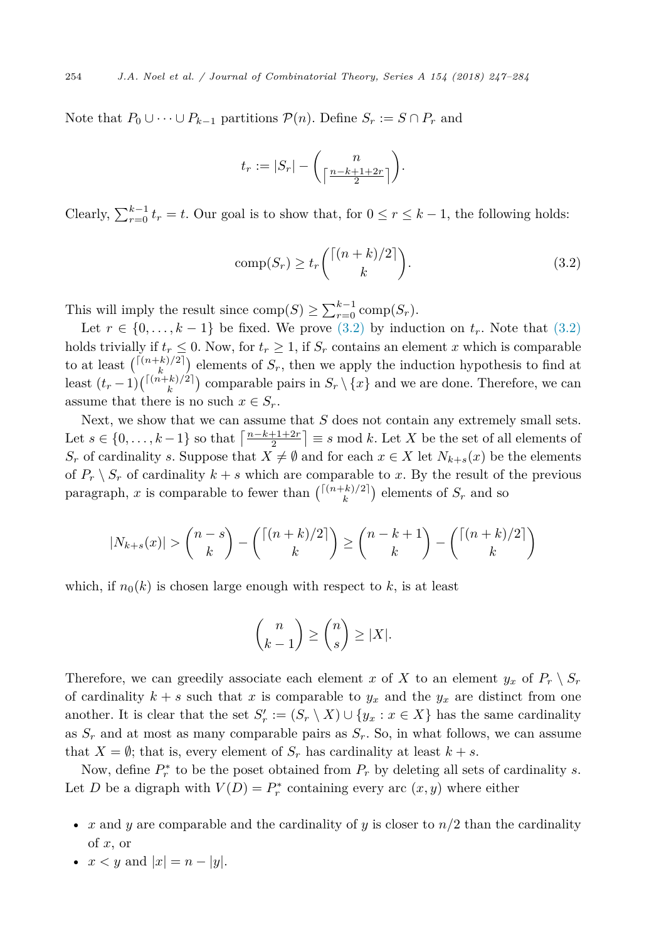<span id="page-7-0"></span>Note that  $P_0 \cup \cdots \cup P_{k-1}$  partitions  $\mathcal{P}(n)$ . Define  $S_r := S \cap P_r$  and

$$
t_r := |S_r| - \binom{n}{\lceil \frac{n-k+1+2r}{2} \rceil}.
$$

Clearly,  $\sum_{r=0}^{k-1} t_r = t$ . Our goal is to show that, for  $0 \le r \le k-1$ , the following holds:

$$
comp(Sr) \ge t_r \binom{\lceil (n+k)/2 \rceil}{k}.
$$
\n(3.2)

This will imply the result since  $\text{comp}(S) \ge \sum_{r=0}^{k-1} \text{comp}(S_r)$ .

Let  $r \in \{0, \ldots, k-1\}$  be fixed. We prove  $(3.2)$  by induction on  $t_r$ . Note that  $(3.2)$ holds trivially if  $t_r \leq 0$ . Now, for  $t_r \geq 1$ , if  $S_r$  contains an element x which is comparable to at least  $\binom{\lceil (n+k)/2 \rceil}{k}$  elements of  $S_r$ , then we apply the induction hypothesis to find at least  $(t_r-1)\binom{\lceil (n+k)/2 \rceil}{k}$  comparable pairs in  $S_r \setminus \{x\}$  and we are done. Therefore, we can assume that there is no such  $x \in S_r$ .

Next, we show that we can assume that *S* does not contain any extremely small sets. Let  $s \in \{0, \ldots, k-1\}$  so that  $\left\lceil \frac{n-k+1+2r}{2} \right\rceil \equiv s \mod k$ . Let *X* be the set of all elements of  $S_r$  of cardinality *s*. Suppose that  $X \neq \emptyset$  and for each  $x \in X$  let  $N_{k+s}(x)$  be the elements of  $P_r \setminus S_r$  of cardinality  $k + s$  which are comparable to x. By the result of the previous paragraph, *x* is comparable to fewer than  $\binom{\lceil (n+k)/2 \rceil}{k}$  elements of  $S_r$  and so

$$
|N_{k+s}(x)| > \binom{n-s}{k} - \binom{\lceil (n+k)/2 \rceil}{k} \ge \binom{n-k+1}{k} - \binom{\lceil (n+k)/2 \rceil}{k}
$$

which, if  $n_0(k)$  is chosen large enough with respect to k, is at least

$$
\binom{n}{k-1} \ge \binom{n}{s} \ge |X|.
$$

Therefore, we can greedily associate each element *x* of *X* to an element  $y_x$  of  $P_r \setminus S_r$ of cardinality  $k + s$  such that *x* is comparable to  $y_x$  and the  $y_x$  are distinct from one another. It is clear that the set  $S'_r := (S_r \setminus X) \cup \{y_x : x \in X\}$  has the same cardinality as  $S_r$  and at most as many comparable pairs as  $S_r$ . So, in what follows, we can assume that  $X = \emptyset$ ; that is, every element of  $S_r$  has cardinality at least  $k + s$ .

Now, define  $P_r^*$  to be the poset obtained from  $P_r$  by deleting all sets of cardinality *s*. Let *D* be a digraph with  $V(D) = P_r^*$  containing every arc  $(x, y)$  where either

- *x* and *y* are comparable and the cardinality of *y* is closer to  $n/2$  than the cardinality of *x*, or
- $x < y$  and  $|x| = n |y|$ .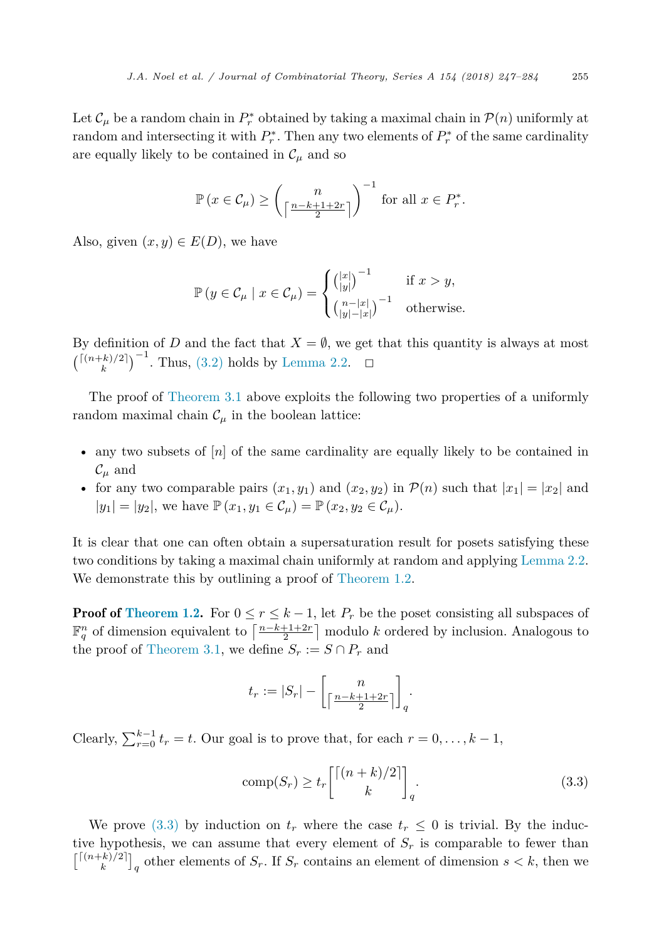Let  $\mathcal{C}_{\mu}$  be a random chain in  $P_r^*$  obtained by taking a maximal chain in  $\mathcal{P}(n)$  uniformly at random and intersecting it with  $P_r^*$ . Then any two elements of  $P_r^*$  of the same cardinality are equally likely to be contained in  $\mathcal{C}_{\mu}$  and so

$$
\mathbb{P}\left(x \in \mathcal{C}_{\mu}\right) \ge \left(\frac{n}{\left\lceil \frac{n-k+1+2r}{2} \right\rceil}\right)^{-1} \text{ for all } x \in P_r^*.
$$

Also, given  $(x, y) \in E(D)$ , we have

$$
\mathbb{P}\left(y \in \mathcal{C}_{\mu} \mid x \in \mathcal{C}_{\mu}\right) = \begin{cases} \binom{|x|}{|y|}^{-1} & \text{if } x > y, \\ \binom{n-|x|}{|y|-|x|}^{-1} & \text{otherwise.} \end{cases}
$$

By definition of *D* and the fact that  $X = \emptyset$ , we get that this quantity is always at most  $\binom{\lceil (n+k)/2 \rceil}{k}$ <sup>-1</sup>. Thus, [\(3.2\)](#page-7-0) holds by [Lemma 2.2.](#page-5-0) <del>□</del>

The proof of [Theorem 3.1](#page-6-0) above exploits the following two properties of a uniformly random maximal chain  $\mathcal{C}_{\mu}$  in the boolean lattice:

- any two subsets of [*n*] of the same cardinality are equally likely to be contained in  $\mathcal{C}_\mu$  and
- for any two comparable pairs  $(x_1, y_1)$  and  $(x_2, y_2)$  in  $P(n)$  such that  $|x_1| = |x_2|$  and  $|y_1| = |y_2|$ , we have  $\mathbb{P}(x_1, y_1 \in C_\mu) = \mathbb{P}(x_2, y_2 \in C_\mu)$ .

It is clear that one can often obtain a supersaturation result for posets satisfying these two conditions by taking a maximal chain uniformly at random and applying [Lemma 2.2.](#page-5-0) We demonstrate this by outlining a proof of [Theorem 1.2.](#page-2-0)

**Proof of [Theorem 1.2.](#page-2-0)** For  $0 \leq r \leq k-1$ , let  $P_r$  be the poset consisting all subspaces of  $\mathbb{F}_q^n$  of dimension equivalent to  $\left\lceil \frac{n-k+1+2r}{2} \right\rceil$  modulo *k* ordered by inclusion. Analogous to the proof of [Theorem 3.1,](#page-6-0) we define  $S_r := S \cap P_r$  and

$$
t_r := |S_r| - \left[ \frac{n}{\left\lceil \frac{n - k + 1 + 2r}{2} \right\rceil} \right]_q.
$$

Clearly,  $\sum_{r=0}^{k-1} t_r = t$ . Our goal is to prove that, for each  $r = 0, \ldots, k-1$ ,

$$
\text{comp}(S_r) \ge t_r \begin{bmatrix} \lceil (n+k)/2 \rceil \\ k \end{bmatrix}_q.
$$
\n(3.3)

We prove (3.3) by induction on  $t_r$  where the case  $t_r \leq 0$  is trivial. By the inductive hypothesis, we can assume that every element of  $S_r$  is comparable to fewer than  $\binom{[(n+k)/2]}{k}_q$  other elements of  $S_r$ . If  $S_r$  contains an element of dimension  $s < k$ , then we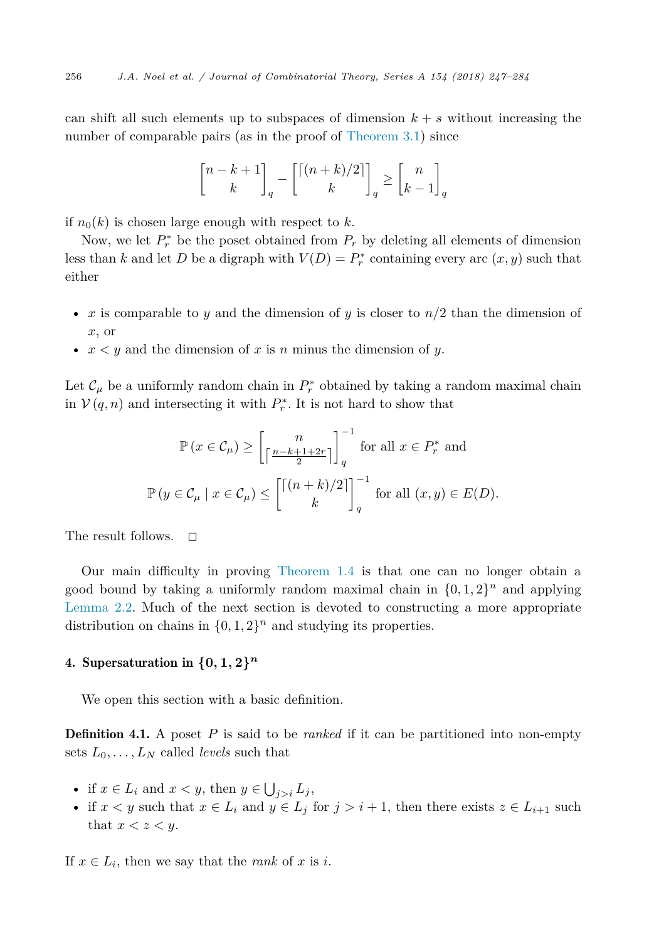<span id="page-9-0"></span>can shift all such elements up to subspaces of dimension  $k + s$  without increasing the number of comparable pairs (as in the proof of [Theorem 3.1\)](#page-6-0) since

$$
\genfrac{[}{]}{0pt}{}{n-k+1}{k}_q - \genfrac{[}{]}{0pt}{}{[(n+k)/2]}{k}_q \geq \genfrac{[}{]}{0pt}{}{n}{k-1}_q
$$

if  $n_0(k)$  is chosen large enough with respect to k.

Now, we let  $P_r^*$  be the poset obtained from  $P_r$  by deleting all elements of dimension less than *k* and let *D* be a digraph with  $V(D) = P_r^*$  containing every arc  $(x, y)$  such that either

- *x* is comparable to *y* and the dimension of *y* is closer to *n/*2 than the dimension of *x*, or
- *x < y* and the dimension of *x* is *n* minus the dimension of *y*.

Let  $\mathcal{C}_{\mu}$  be a uniformly random chain in  $P_r^*$  obtained by taking a random maximal chain in  $V(q, n)$  and intersecting it with  $P_r^*$ . It is not hard to show that

$$
\mathbb{P}\left(x \in \mathcal{C}_{\mu}\right) \ge \left[\frac{n}{\left\lceil \frac{n-k+1+2r}{2} \right\rceil}\right]_q^{-1} \text{ for all } x \in P_r^* \text{ and}
$$

$$
\mathbb{P}\left(y \in \mathcal{C}_{\mu} \mid x \in \mathcal{C}_{\mu}\right) \le \left[\frac{\left\lceil (n+k)/2 \right\rceil}{k}\right]_q^{-1} \text{ for all } (x, y) \in E(D).
$$

The result follows.  $\square$ 

Our main difficulty in proving [Theorem 1.4](#page-2-0) is that one can no longer obtain a good bound by taking a uniformly random maximal chain in  $\{0, 1, 2\}^n$  and applying [Lemma 2.2.](#page-5-0) Much of the next section is devoted to constructing a more appropriate distribution on chains in  $\{0, 1, 2\}$ <sup>n</sup> and studying its properties.

## 4. Supersaturation in  $\{0, 1, 2\}^n$

We open this section with a basic definition.

**Definition 4.1.** A poset P is said to be *ranked* if it can be partitioned into non-empty sets  $L_0, \ldots, L_N$  called *levels* such that

- if  $x \in L_i$  and  $x < y$ , then  $y \in \bigcup_{j>i} L_j$ ,
- if  $x < y$  such that  $x \in L_i$  and  $y \in L_j$  for  $j > i + 1$ , then there exists  $z \in L_{i+1}$  such that  $x < z < y$ .

If  $x \in L_i$ , then we say that the *rank* of *x* is *i*.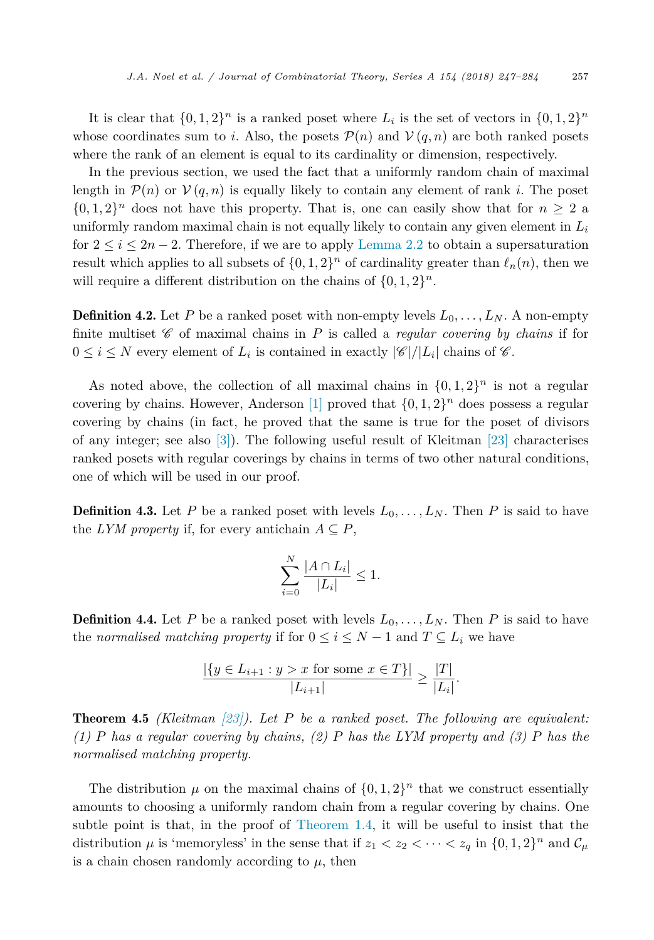It is clear that  $\{0, 1, 2\}^n$  is a ranked poset where  $L_i$  is the set of vectors in  $\{0, 1, 2\}^n$ whose coordinates sum to *i*. Also, the posets  $\mathcal{P}(n)$  and  $\mathcal{V}(q, n)$  are both ranked posets where the rank of an element is equal to its cardinality or dimension, respectively.

In the previous section, we used the fact that a uniformly random chain of maximal length in  $\mathcal{P}(n)$  or  $\mathcal{V}(q,n)$  is equally likely to contain any element of rank *i*. The poset  $\{0, 1, 2\}$ <sup>n</sup> does not have this property. That is, one can easily show that for  $n \geq 2$  a uniformly random maximal chain is not equally likely to contain any given element in *L<sup>i</sup>* for  $2 \le i \le 2n-2$ . Therefore, if we are to apply [Lemma 2.2](#page-5-0) to obtain a supersaturation result which applies to all subsets of  $\{0, 1, 2\}^n$  of cardinality greater than  $\ell_n(n)$ , then we will require a different distribution on the chains of  $\{0, 1, 2\}^n$ .

**Definition 4.2.** Let P be a ranked poset with non-empty levels  $L_0, \ldots, L_N$ . A non-empty finite multiset  $\mathscr C$  of maximal chains in *P* is called a *regular covering by chains* if for  $0 \leq i \leq N$  every element of  $L_i$  is contained in exactly  $|\mathscr{C}|/|L_i|$  chains of  $\mathscr{C}$ .

As noted above, the collection of all maximal chains in  $\{0, 1, 2\}^n$  is not a regular covering by chains. However, Anderson [\[1\]](#page-36-0) proved that  $\{0, 1, 2\}^n$  does possess a regular covering by chains (in fact, he proved that the same is true for the poset of divisors of any integer; see also [\[3\]\)](#page-36-0). The following useful result of Kleitman [\[23\]](#page-37-0) characterises ranked posets with regular coverings by chains in terms of two other natural conditions, one of which will be used in our proof.

**Definition 4.3.** Let P be a ranked poset with levels  $L_0, \ldots, L_N$ . Then P is said to have the *LYM* property if, for every antichain  $A \subseteq P$ ,

$$
\sum_{i=0}^{N} \frac{|A \cap L_i|}{|L_i|} \le 1.
$$

**Definition 4.4.** Let P be a ranked poset with levels  $L_0, \ldots, L_N$ . Then P is said to have the *normalised* matching property if for  $0 \le i \le N - 1$  and  $T \subseteq L_i$  we have

$$
\frac{|\{y \in L_{i+1} : y > x \text{ for some } x \in T\}|}{|L_{i+1}|} \ge \frac{|T|}{|L_i|}.
$$

Theorem 4.5 *(Kleitman [\[23\]\)](#page-37-0). Let P be a ranked poset. The following are equivalent: (1) P has a regular covering by chains, (2) P has the LYM property and (3) P has the normalised matching property.*

The distribution  $\mu$  on the maximal chains of  $\{0, 1, 2\}^n$  that we construct essentially amounts to choosing a uniformly random chain from a regular covering by chains. One subtle point is that, in the proof of [Theorem 1.4,](#page-2-0) it will be useful to insist that the distribution  $\mu$  is 'memoryless' in the sense that if  $z_1 < z_2 < \cdots < z_q$  in  $\{0, 1, 2\}^n$  and  $\mathcal{C}_{\mu}$ is a chain chosen randomly according to  $\mu$ , then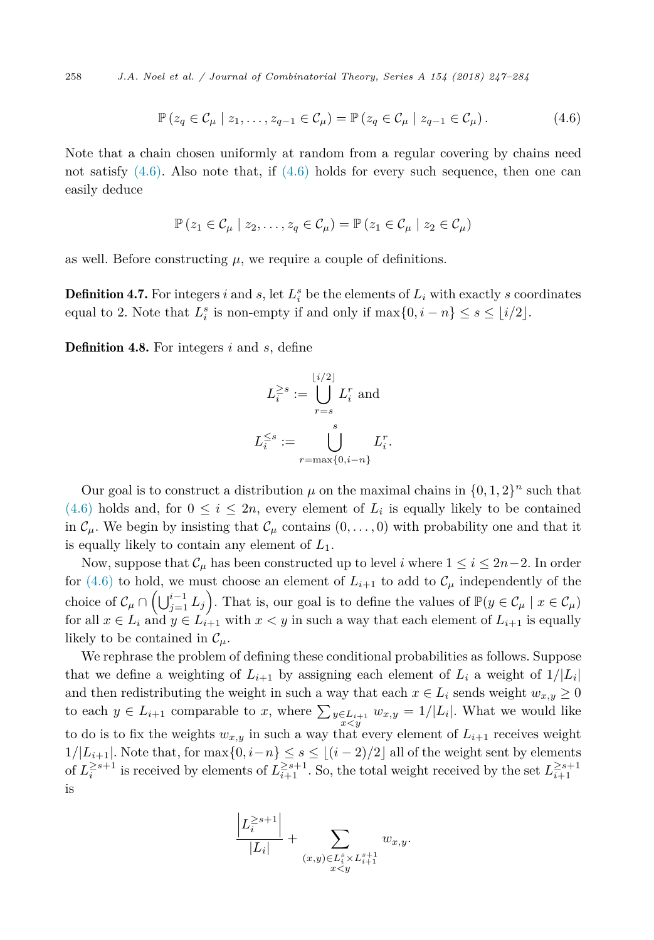<span id="page-11-0"></span>258 *J.A. Noel et al. / Journal of Combinatorial Theory, Series A 154 (2018) 247–284*

$$
\mathbb{P}\left(z_q \in \mathcal{C}_\mu \mid z_1,\ldots,z_{q-1} \in \mathcal{C}_\mu\right) = \mathbb{P}\left(z_q \in \mathcal{C}_\mu \mid z_{q-1} \in \mathcal{C}_\mu\right). \tag{4.6}
$$

Note that a chain chosen uniformly at random from a regular covering by chains need not satisfy  $(4.6)$ . Also note that, if  $(4.6)$  holds for every such sequence, then one can easily deduce

$$
\mathbb{P}\left(z_1 \in \mathcal{C}_{\mu} \mid z_2, \ldots, z_q \in \mathcal{C}_{\mu}\right) = \mathbb{P}\left(z_1 \in \mathcal{C}_{\mu} \mid z_2 \in \mathcal{C}_{\mu}\right)
$$

as well. Before constructing  $\mu$ , we require a couple of definitions.

**Definition 4.7.** For integers *i* and *s*, let  $L_i^s$  be the elements of  $L_i$  with exactly *s* coordinates equal to 2. Note that  $L_i^s$  is non-empty if and only if  $\max\{0, i - n\} \le s \le \lfloor i/2 \rfloor$ .

Definition 4.8. For integers *i* and *s*, define

$$
L_i^{\geq s} := \bigcup_{r=s}^{\lfloor i/2 \rfloor} L_i^r \text{ and}
$$

$$
L_i^{\leq s} := \bigcup_{r=\max\{0, i-n\}}^s L_i^r.
$$

Our goal is to construct a distribution  $\mu$  on the maximal chains in  $\{0, 1, 2\}^n$  such that  $(4.6)$  holds and, for  $0 \leq i \leq 2n$ , every element of  $L_i$  is equally likely to be contained in  $\mathcal{C}_{\mu}$ . We begin by insisting that  $\mathcal{C}_{\mu}$  contains  $(0, \ldots, 0)$  with probability one and that it is equally likely to contain any element of *L*1.

Now, suppose that  $\mathcal{C}_{\mu}$  has been constructed up to level *i* where  $1 \leq i \leq 2n-2$ . In order for (4.6) to hold, we must choose an element of  $L_{i+1}$  to add to  $\mathcal{C}_{\mu}$  independently of the choice of  $\mathcal{C}_{\mu} \cap (\bigcup_{j=1}^{i-1} L_j)$ . That is, our goal is to define the values of  $\mathbb{P}(y \in \mathcal{C}_{\mu} \mid x \in \mathcal{C}_{\mu})$ for all  $x \in L_i$  and  $y \in L_{i+1}$  with  $x < y$  in such a way that each element of  $L_{i+1}$  is equally likely to be contained in  $\mathcal{C}_\mu$ .

We rephrase the problem of defining these conditional probabilities as follows. Suppose that we define a weighting of  $L_{i+1}$  by assigning each element of  $L_i$  a weight of  $1/|L_i|$ and then redistributing the weight in such a way that each  $x \in L_i$  sends weight  $w_{x,y} \ge 0$ to each  $y \in L_{i+1}$  comparable to *x*, where  $\sum_{y \in L_{i+1}} w_{x,y} = 1/|L_i|$ . What we would like to do is to fix the weights  $w_{x,y}$  in such a way that every element of  $L_{i+1}$  receives weight  $1/|L_{i+1}|$ . Note that, for  $\max\{0, i-n\}$  ≤ *s* ≤  $\lfloor (i-2)/2 \rfloor$  all of the weight sent by elements of  $L_i^{\geq s+1}$  is received by elements of  $L_{i+1}^{\geq s+1}$ . So, the total weight received by the set  $L_{i+1}^{\geq s+1}$ is

$$
\frac{\left|L_i^{\ge s+1}\right|}{|L_i|} + \sum_{\substack{(x,y)\in L_i^s \times L_{i+1}^{s+1} \\ x < y}} w_{x,y}.
$$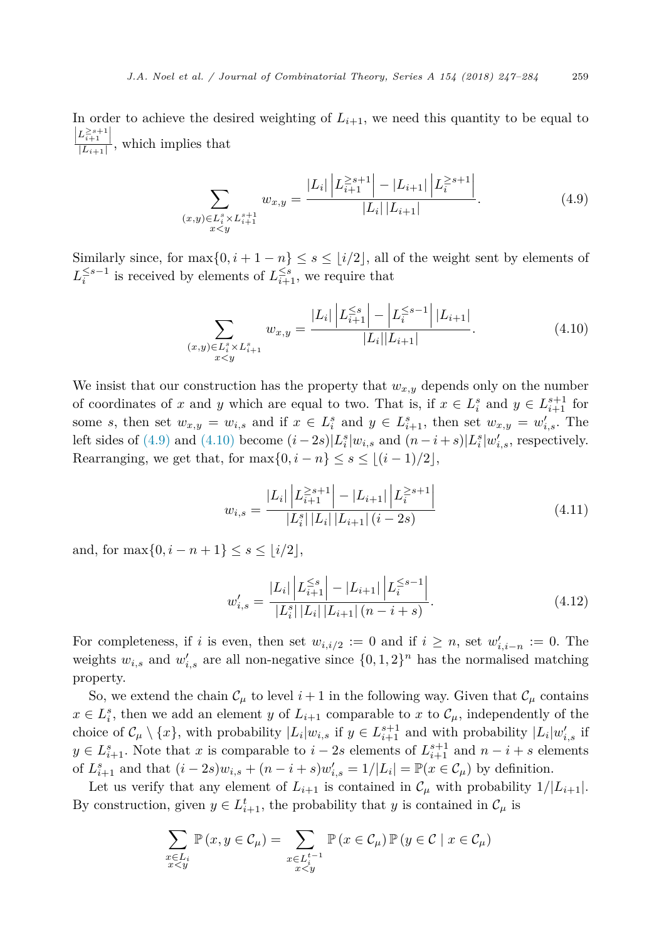<span id="page-12-0"></span>In order to achieve the desired weighting of  $L_{i+1}$ , we need this quantity to be equal to  $\left| \frac{L_{i+1}^{\geq s+1}}{|L_{i+1}|} \right|$ , which implies that

$$
\sum_{\substack{(x,y)\in L_i^s \times L_{i+1}^{s+1} \\ x < y}} w_{x,y} = \frac{|L_i| \left| L_{i+1}^{-2s+1} \right| - |L_{i+1}| \left| L_i^{-2s+1} \right|}{|L_i| |L_{i+1}|}. \tag{4.9}
$$

Similarly since, for  $\max\{0, i + 1 - n\} \leq s \leq \lfloor i/2 \rfloor$ , all of the weight sent by elements of  $L_i^{\leq s-1}$  is received by elements of  $L_{i+1}^{\leq s}$ , we require that

$$
\sum_{\substack{(x,y)\in L_i^s \times L_{i+1}^s\\x < y}} w_{x,y} = \frac{|L_i| \left| L_{i+1}^{\leq s} \right| - \left| L_i^{\leq s-1} \right| |L_{i+1}|}{|L_i| |L_{i+1}|}. \tag{4.10}
$$

We insist that our construction has the property that  $w_{x,y}$  depends only on the number of coordinates of *x* and *y* which are equal to two. That is, if  $x \in L_i^s$  and  $y \in L_{i+1}^{s+1}$  for some *s*, then set  $w_{x,y} = w_{i,s}$  and if  $x \in L_i^s$  and  $y \in L_{i+1}^s$ , then set  $w_{x,y} = w'_{i,s}$ . The left sides of (4.9) and (4.10) become  $(i - 2s) | L_i^s | w_{i,s}$  and  $(n - i + s) | L_i^s | w'_{i,s}$ , respectively. Rearranging, we get that, for  $\max\{0, i - n\} \leq s \leq \lfloor (i - 1)/2 \rfloor$ ,

$$
w_{i,s} = \frac{|L_i| \left| L_{i+1}^{\geq s+1} \right| - |L_{i+1}| \left| L_i^{\geq s+1} \right|}{|L_i^s| |L_i| \left| L_{i+1} \right| (i-2s)} \tag{4.11}
$$

and, for  $\max\{0, i - n + 1\} \le s \le \lfloor i/2 \rfloor$ ,

$$
w'_{i,s} = \frac{|L_i| \left| L_{i+1}^{\leq s} \right| - |L_{i+1}| \left| L_i^{\leq s-1} \right|}{|L_i^s| |L_i| |L_{i+1}| (n-i+s)}.
$$
\n(4.12)

For completeness, if *i* is even, then set  $w_{i,i/2} := 0$  and if  $i \geq n$ , set  $w'_{i,i-n} := 0$ . The weights  $w_{i,s}$  and  $w'_{i,s}$  are all non-negative since  $\{0, 1, 2\}^n$  has the normalised matching property.

So, we extend the chain  $\mathcal{C}_{\mu}$  to level  $i+1$  in the following way. Given that  $\mathcal{C}_{\mu}$  contains  $x \in L_i^s$ , then we add an element *y* of  $L_{i+1}$  comparable to *x* to  $\mathcal{C}_{\mu}$ , independently of the choice of  $\mathcal{C}_{\mu} \setminus \{x\}$ , with probability  $|L_i|w_{i,s}$  if  $y \in L_{i+1}^{s+1}$  and with probability  $|L_i|w'_{i,s}$  if *y* ∈  $L_{i+1}^s$ . Note that *x* is comparable to *i* − 2*s* elements of  $L_{i+1}^{s+1}$  and  $n-i+s$  elements of  $L_{i+1}^s$  and that  $(i - 2s)w_{i,s} + (n - i + s)w'_{i,s} = 1/|L_i| = \mathbb{P}(x \in C_\mu)$  by definition.

Let us verify that any element of  $L_{i+1}$  is contained in  $\mathcal{C}_{\mu}$  with probability  $1/|L_{i+1}|$ . By construction, given  $y \in L_{i+1}^t$ , the probability that *y* is contained in  $\mathcal{C}_{\mu}$  is

$$
\sum_{\substack{x \in L_i \\ x < y}} \mathbb{P}\left(x, y \in \mathcal{C}_\mu\right) = \sum_{\substack{x \in L_i^{t-1} \\ x < y}} \mathbb{P}\left(x \in \mathcal{C}_\mu\right) \mathbb{P}\left(y \in \mathcal{C} \mid x \in \mathcal{C}_\mu\right)
$$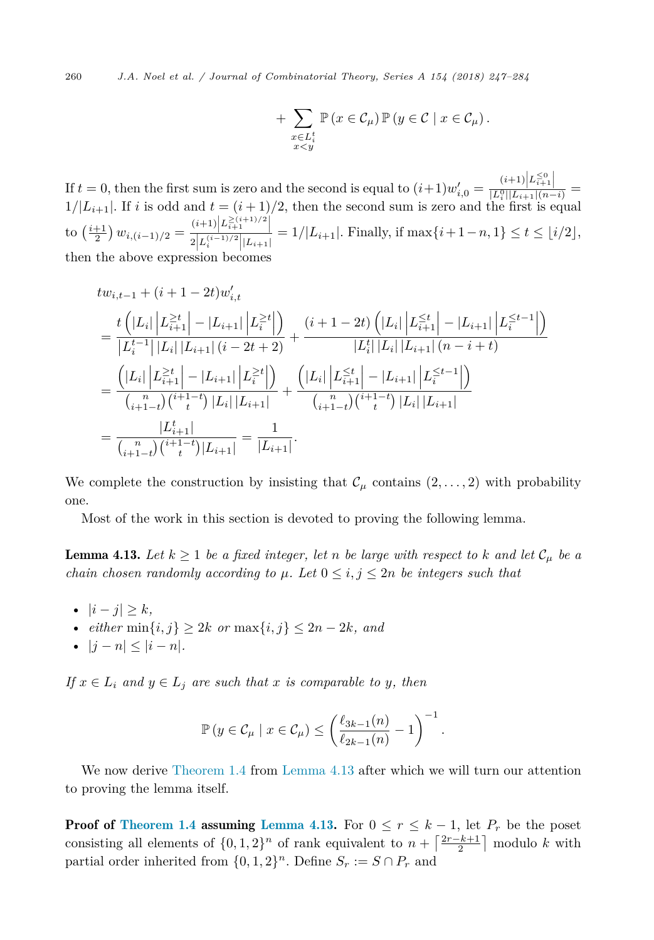<span id="page-13-0"></span>260 *J.A. Noel et al. / Journal of Combinatorial Theory, Series A 154 (2018) 247–284*

+ 
$$
\sum_{\substack{x \in L_i^t \\ x < y}} \mathbb{P}\left(x \in \mathcal{C}_\mu\right) \mathbb{P}\left(y \in \mathcal{C} \mid x \in \mathcal{C}_\mu\right).
$$

If  $t = 0$ , then the first sum is zero and the second is equal to  $(i+1)w'_{i,0} = \frac{(i+1)\left|L_{i+1}^{\leq 0}\right|}{|L_i^0||L_{i+1}|(n-i)} =$  $1/|L_{i+1}|$ . If *i* is odd and  $t = (i+1)/2$ , then the second sum is zero and the first is equal  $\text{to } \left(\frac{i+1}{2}\right) w_{i,(i-1)/2} = \frac{(i+1)\left|L_{i+1}^{\geq (i+1)/2}\right|}{2\left|L_{i-1}^{\geq (i-1)/2}\right| |L_{i+1}|}$  $\frac{1}{2|L_i^{(i-1)/2}||L_{i+1}|} = 1/|L_{i+1}|.$  Finally, if  $\max\{i+1-n, 1\} \le t \le \lfloor i/2 \rfloor,$ then the above expression becomes

$$
tw_{i,t-1} + (i+1-2t)w'_{i,t}
$$
\n
$$
= \frac{t\left(|L_i|\left|L_{i+1}^{\ge t}\right| - |L_{i+1}|\left|L_i^{\ge t}\right|\right)}{|L_i^{t-1}|\left|L_i\right||L_{i+1}| (i-2t+2)} + \frac{(i+1-2t)\left(|L_i|\left|L_{i+1}^{\le t}\right| - |L_{i+1}|\left|L_i^{\le t-1}\right|\right)}{|L_i^{t}|\left|L_i\right||L_{i+1}| (n-i+t)}
$$
\n
$$
= \frac{\left(|L_i|\left|L_{i+1}^{\ge t}\right| - |L_{i+1}|\left|L_i^{\ge t}\right|\right)}{\binom{n}{i+1-t}\binom{i+1-t}{t}|L_i|\left|L_{i+1}\right|} + \frac{\left(|L_i|\left|L_{i+1}^{\le t}\right| - |L_{i+1}|\left|L_i^{\le t-1}\right|\right)}{\binom{n}{i+1-t}\binom{n}{t}} |L_i|\left|L_{i+1}\right|}
$$
\n
$$
= \frac{|L_{i+1}^t|}{\binom{n}{i+1-t}\binom{i+1-t}{t}|L_{i+1}|} = \frac{1}{|L_{i+1}|}.
$$

We complete the construction by insisting that  $\mathcal{C}_{\mu}$  contains  $(2,\ldots,2)$  with probability one.

Most of the work in this section is devoted to proving the following lemma.

**Lemma 4.13.** Let  $k \geq 1$  be a fixed integer, let *n* be large with respect to  $k$  and let  $C_{\mu}$  be a *chain chosen randomly according to*  $\mu$ *. Let*  $0 \leq i, j \leq 2n$  *be integers such that* 

- $|i j| > k$ ,
- *either* min{*i, j*} ≥ 2*k or* max{*i, j*} ≤ 2*n* − 2*k, and*
- $|j n| < |i n|$ .

 $If x \in L_i$  and  $y \in L_j$  are such that *x* is comparable to *y,* then

$$
\mathbb{P}\left(y \in \mathcal{C}_{\mu} \mid x \in \mathcal{C}_{\mu}\right) \leq \left(\frac{\ell_{3k-1}(n)}{\ell_{2k-1}(n)} - 1\right)^{-1}.
$$

We now derive [Theorem 1.4](#page-2-0) from Lemma 4.13 after which we will turn our attention to proving the lemma itself.

**Proof of [Theorem 1.4](#page-2-0) assuming Lemma 4.13.** For  $0 \leq r \leq k-1$ , let  $P_r$  be the poset consisting all elements of  $\{0, 1, 2\}^n$  of rank equivalent to  $n + \lceil \frac{2r-k+1}{2} \rceil$  modulo *k* with partial order inherited from  $\{0,1,2\}^n$ . Define  $S_r := S \cap P_r$  and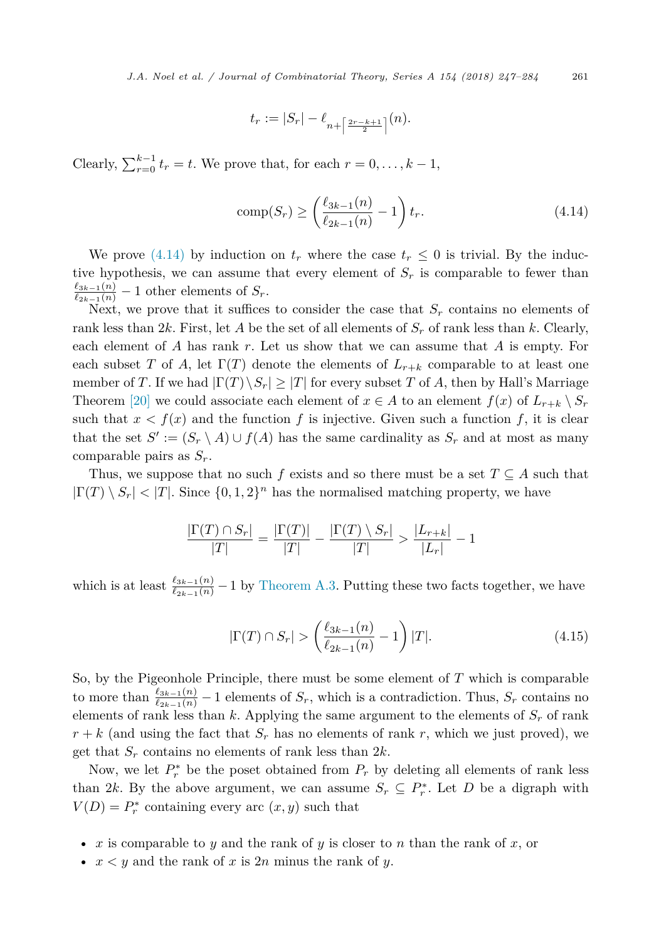$$
t_r:=|S_r|-\ell_{n+\left\lceil\frac{2r-k+1}{2}\right\rceil}(n).
$$

Clearly,  $\sum_{r=0}^{k-1} t_r = t$ . We prove that, for each  $r = 0, \ldots, k-1$ ,

comp(S<sub>r</sub>) 
$$
\geq \left(\frac{\ell_{3k-1}(n)}{\ell_{2k-1}(n)} - 1\right) t_r.
$$
 (4.14)

We prove (4.14) by induction on  $t_r$  where the case  $t_r \leq 0$  is trivial. By the inductive hypothesis, we can assume that every element of  $S_r$  is comparable to fewer than  $\frac{\ell_{3k-1}(n)}{\ell_{2k-1}(n)} - 1$  other elements of  $S_r$ .

Next, we prove that it suffices to consider the case that  $S_r$  contains no elements of rank less than 2*k*. First, let *A* be the set of all elements of *S<sup>r</sup>* of rank less than *k*. Clearly, each element of *A* has rank *r*. Let us show that we can assume that *A* is empty. For each subset *T* of *A*, let  $\Gamma(T)$  denote the elements of  $L_{r+k}$  comparable to at least one member of *T*. If we had  $|\Gamma(T)\rangle S_r| \geq |T|$  for every subset *T* of *A*, then by Hall's Marriage Theorem [\[20\]](#page-36-0) we could associate each element of  $x \in A$  to an element  $f(x)$  of  $L_{r+k} \setminus S_r$ such that  $x < f(x)$  and the function f is injective. Given such a function f, it is clear that the set  $S' := (S_r \setminus A) \cup f(A)$  has the same cardinality as  $S_r$  and at most as many comparable pairs as *Sr*.

Thus, we suppose that no such *f* exists and so there must be a set  $T \subseteq A$  such that  $|\Gamma(T) \setminus S_r| < |T|$ . Since  $\{0, 1, 2\}^n$  has the normalised matching property, we have

$$
\frac{|\Gamma(T) \cap S_r|}{|T|} = \frac{|\Gamma(T)|}{|T|} - \frac{|\Gamma(T) \setminus S_r|}{|T|} > \frac{|L_{r+k}|}{|L_r|} - 1
$$

which is at least  $\frac{\ell_{3k-1}(n)}{\ell_{2k-1}(n)} - 1$  by [Theorem A.3.](#page-34-0) Putting these two facts together, we have

$$
|\Gamma(T) \cap S_r| > \left(\frac{\ell_{3k-1}(n)}{\ell_{2k-1}(n)} - 1\right)|T|.
$$
\n(4.15)

So, by the Pigeonhole Principle, there must be some element of *T* which is comparable to more than  $\frac{\ell_{3k-1}(n)}{\ell_{2k-1}(n)} - 1$  elements of  $S_r$ , which is a contradiction. Thus,  $S_r$  contains no elements of rank less than  $k$ . Applying the same argument to the elements of  $S_r$  of rank  $r + k$  (and using the fact that  $S_r$  has no elements of rank r, which we just proved), we get that *S<sup>r</sup>* contains no elements of rank less than 2*k*.

Now, we let  $P_r^*$  be the poset obtained from  $P_r$  by deleting all elements of rank less than 2*k*. By the above argument, we can assume  $S_r \subseteq P_r^*$ . Let *D* be a digraph with  $V(D) = P_r^*$  containing every arc  $(x, y)$  such that

- *x* is comparable to *y* and the rank of *y* is closer to *n* than the rank of *x*, or
- $x < y$  and the rank of x is  $2n$  minus the rank of y.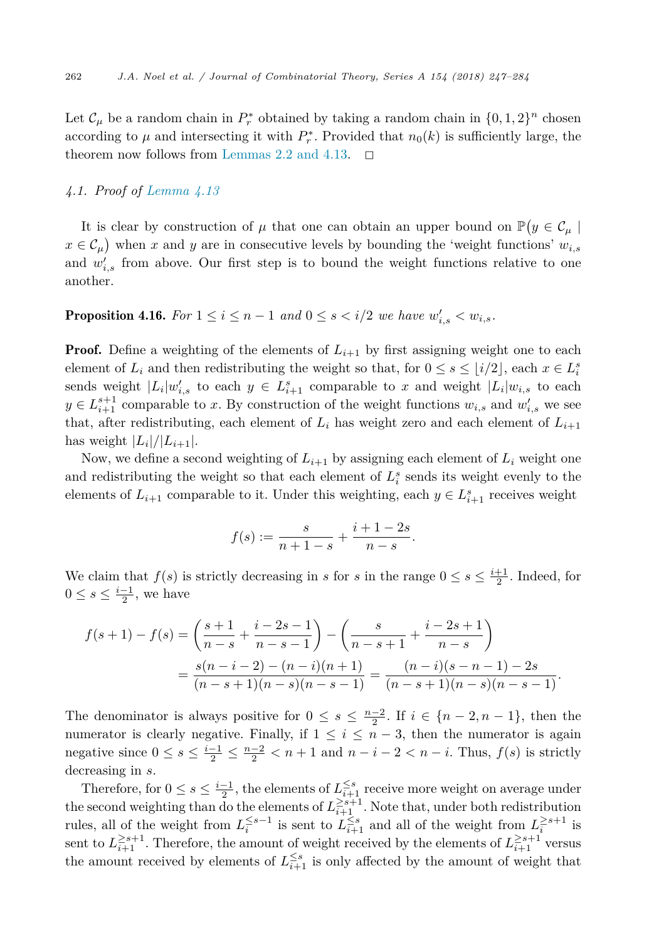<span id="page-15-0"></span>Let  $\mathcal{C}_{\mu}$  be a random chain in  $P_r^*$  obtained by taking a random chain in  $\{0, 1, 2\}^n$  chosen according to  $\mu$  and intersecting it with  $P_r^*$ . Provided that  $n_0(k)$  is sufficiently large, the theorem now follows from [Lemmas 2.2 and 4.13.](#page-5-0)  $\Box$ 

# *4.1. Proof of [Lemma 4.13](#page-13-0)*

It is clear by construction of  $\mu$  that one can obtain an upper bound on  $\mathbb{P}(y \in \mathcal{C}_{\mu})$  $x \in C_\mu$ ) when *x* and *y* are in consecutive levels by bounding the 'weight functions'  $w_{i,s}$ and  $w'_{i,s}$  from above. Our first step is to bound the weight functions relative to one another.

# **Proposition 4.16.** For  $1 \leq i \leq n-1$  and  $0 \leq s < i/2$  we have  $w'_{i,s} < w_{i,s}$ .

**Proof.** Define a weighting of the elements of  $L_{i+1}$  by first assigning weight one to each element of  $L_i$  and then redistributing the weight so that, for  $0 \le s \le \lfloor i/2 \rfloor$ , each  $x \in L_i^s$ sends weight  $|L_i|w'_{i,s}$  to each  $y \in L_{i+1}^s$  comparable to *x* and weight  $|L_i|w_{i,s}$  to each  $y \in L_{i+1}^{s+1}$  comparable to *x*. By construction of the weight functions  $w_{i,s}$  and  $w'_{i,s}$  we see that, after redistributing, each element of  $L_i$  has weight zero and each element of  $L_{i+1}$ has weight  $|L_i|/|L_{i+1}|$ .

Now, we define a second weighting of  $L_{i+1}$  by assigning each element of  $L_i$  weight one and redistributing the weight so that each element of  $L_i^s$  sends its weight evenly to the elements of  $L_{i+1}$  comparable to it. Under this weighting, each  $y \in L_{i+1}^s$  receives weight

$$
f(s) := \frac{s}{n+1-s} + \frac{i+1-2s}{n-s}.
$$

We claim that  $f(s)$  is strictly decreasing in *s* for *s* in the range  $0 \le s \le \frac{i+1}{2}$ . Indeed, for  $0 \leq s \leq \frac{i-1}{2}$ , we have

$$
f(s+1) - f(s) = \left(\frac{s+1}{n-s} + \frac{i-2s-1}{n-s-1}\right) - \left(\frac{s}{n-s+1} + \frac{i-2s+1}{n-s}\right)
$$
  
= 
$$
\frac{s(n-i-2) - (n-i)(n+1)}{(n-s+1)(n-s)(n-s-1)} = \frac{(n-i)(s-n-1) - 2s}{(n-s+1)(n-s)(n-s-1)}.
$$

The denominator is always positive for  $0 \leq s \leq \frac{n-2}{2}$ . If  $i \in \{n-2, n-1\}$ , then the numerator is clearly negative. Finally, if  $1 \leq i \leq n-3$ , then the numerator is again negative since  $0 \le s \le \frac{i-1}{2} \le \frac{n-2}{2} < n+1$  and  $n-i-2 < n-i$ . Thus,  $f(s)$  is strictly decreasing in *s*.

Therefore, for  $0 \le s \le \frac{i-1}{2}$ , the elements of  $L_{i+1}^{\le s}$  receive more weight on average under the second weighting than do the elements of  $L_{i+1}^{\geq s+1}$ . Note that, under both redistribution rules, all of the weight from  $L_i^{\leq s-1}$  is sent to  $L_{i+1}^{\leq s}$  and all of the weight from  $L_i^{\geq s+1}$  is sent to  $L_{i+1}^{\geq s+1}$ . Therefore, the amount of weight received by the elements of  $L_{i+1}^{\geq s+1}$  versus the amount received by elements of  $L_{i+1}^{\leq s}$  is only affected by the amount of weight that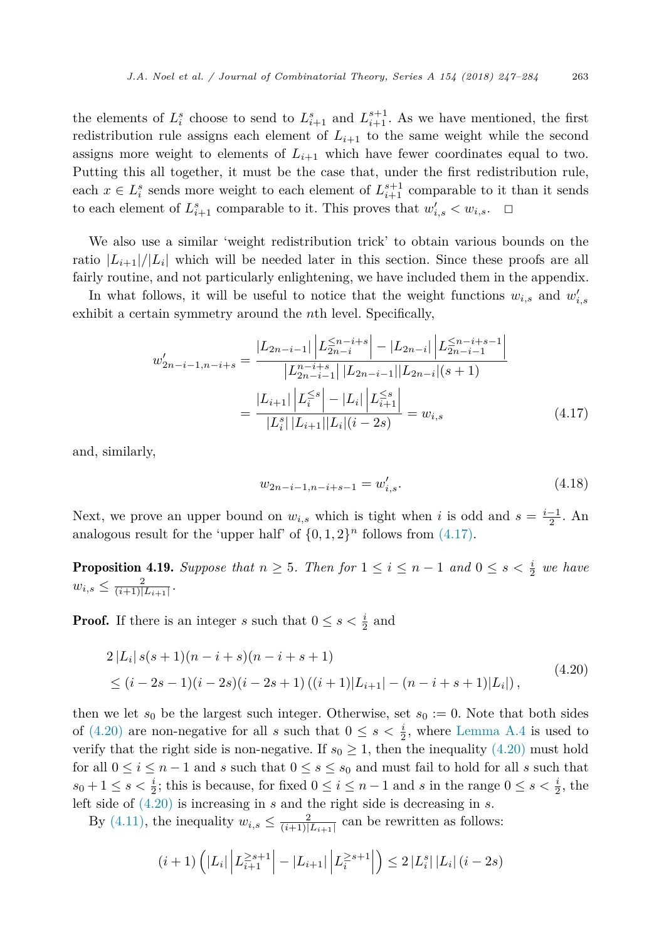<span id="page-16-0"></span>the elements of  $L_i^s$  choose to send to  $L_{i+1}^s$  and  $L_{i+1}^{s+1}$ . As we have mentioned, the first redistribution rule assigns each element of  $L_{i+1}$  to the same weight while the second assigns more weight to elements of  $L_{i+1}$  which have fewer coordinates equal to two. Putting this all together, it must be the case that, under the first redistribution rule, each  $x \in L_i^s$  sends more weight to each element of  $L_{i+1}^{s+1}$  comparable to it than it sends to each element of  $L_{i+1}^s$  comparable to it. This proves that  $w'_{i,s} < w_{i,s}$ .  $\Box$ 

We also use a similar 'weight redistribution trick' to obtain various bounds on the ratio  $|L_{i+1}|/|L_i|$  which will be needed later in this section. Since these proofs are all fairly routine, and not particularly enlightening, we have included them in the appendix.

In what follows, it will be useful to notice that the weight functions  $w_{i,s}$  and  $w'_{i,s}$ exhibit a certain symmetry around the *n*th level. Specifically,

$$
w'_{2n-i-1,n-i+s} = \frac{|L_{2n-i-1}| \left| L_{2n-i}^{ \le n-i+s} \right| - |L_{2n-i}| \left| L_{2n-i-1}^{ \le n-i+s-1} \right|}{\left| L_{2n-i-1}^{n-i+s} \right| \left| L_{2n-i-1} \right| \left| L_{2n-i} \right| (s+1)}
$$

$$
= \frac{|L_{i+1}| \left| L_i^{ \le s} \right| - |L_i| \left| L_{i+1}^{ \le s} \right|}{\left| L_i^s \right| \left| L_{i+1} \right| \left| L_i \right| (i-2s)} = w_{i,s} \tag{4.17}
$$

and, similarly,

$$
w_{2n-i-1,n-i+s-1} = w'_{i,s}.\tag{4.18}
$$

Next, we prove an upper bound on  $w_{i,s}$  which is tight when *i* is odd and  $s = \frac{i-1}{2}$ . An analogous result for the 'upper half' of  $\{0, 1, 2\}$ <sup>n</sup> follows from  $(4.17)$ .

**Proposition 4.19.** Suppose that  $n \geq 5$ . Then for  $1 \leq i \leq n-1$  and  $0 \leq s < \frac{i}{2}$  we have  $w_{i,s} \leq \frac{2}{(i+1)|L_{i+1}|}.$ 

**Proof.** If there is an integer *s* such that  $0 \le s < \frac{i}{2}$  and

$$
2|L_i|s(s+1)(n-i+s)(n-i+s+1)
$$
  
\n
$$
\leq (i-2s-1)(i-2s)(i-2s+1)((i+1)|L_{i+1}|-(n-i+s+1)|L_i|),
$$
\n(4.20)

then we let  $s_0$  be the largest such integer. Otherwise, set  $s_0 := 0$ . Note that both sides of (4.20) are non-negative for all *s* such that  $0 \leq s < \frac{i}{2}$ , where [Lemma A.4](#page-34-0) is used to verify that the right side is non-negative. If  $s_0 \geq 1$ , then the inequality (4.20) must hold for all  $0 \leq i \leq n-1$  and *s* such that  $0 \leq s \leq s_0$  and must fail to hold for all *s* such that  $s_0 + 1 \leq s < \frac{i}{2}$ ; this is because, for fixed  $0 \leq i \leq n-1$  and *s* in the range  $0 \leq s < \frac{i}{2}$ , the left side of (4.20) is increasing in *s* and the right side is decreasing in *s*.

By [\(4.11\),](#page-12-0) the inequality  $w_{i,s} \leq \frac{2}{(i+1)|L_{i+1}|}$  can be rewritten as follows:

$$
(i+1)\left(|L_i|\left|L_{i+1}^{\geq s+1}\right| - |L_{i+1}|\left|L_i^{\geq s+1}\right|\right) \leq 2\left|L_i^s\right|\left|L_i\right|(i-2s)
$$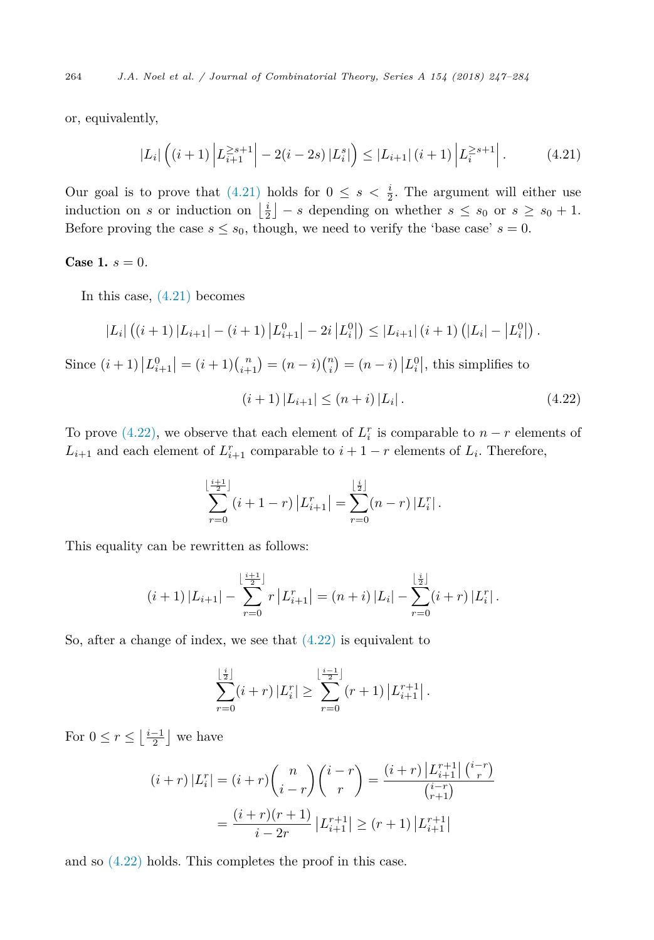<span id="page-17-0"></span>264 *J.A. Noel et al. / Journal of Combinatorial Theory, Series A 154 (2018) 247–284*

or, equivalently,

$$
|L_i| \left( (i+1) \left| L_{i+1}^{\geq s+1} \right| - 2(i-2s) |L_i^s| \right) \leq |L_{i+1}| (i+1) \left| L_i^{\geq s+1} \right|.
$$
 (4.21)

Our goal is to prove that  $(4.21)$  holds for  $0 \leq s \leq \frac{i}{2}$ . The argument will either use induction on *s* or induction on  $\left\lfloor \frac{i}{2} \right\rfloor - s$  depending on whether  $s \leq s_0$  or  $s \geq s_0 + 1$ . Before proving the case  $s \leq s_0$ , though, we need to verify the 'base case'  $s = 0$ .

#### **Case 1.**  $s = 0$ .

In this case, (4.21) becomes

$$
|L_i| ((i+1) |L_{i+1}| - (i+1) |L_{i+1}^0| - 2i |L_i^0|) \leq |L_{i+1}| (i+1) (|L_i| - |L_i^0|).
$$

Since  $(i + 1) |L_{i+1}^0| = (i + 1) {n \choose i+1} = (n - i) {n \choose i} = (n - i) |L_i^0|$ , this simplifies to

$$
(i+1)|L_{i+1}| \le (n+i)|L_i|.
$$
\n(4.22)

To prove (4.22), we observe that each element of  $L_i^r$  is comparable to  $n-r$  elements of  $L_{i+1}$  and each element of  $L_{i+1}^r$  comparable to  $i+1-r$  elements of  $L_i$ . Therefore,

$$
\sum_{r=0}^{\lfloor \frac{i+1}{2} \rfloor} (i+1-r) |L_{i+1}^r| = \sum_{r=0}^{\lfloor \frac{i}{2} \rfloor} (n-r) |L_i^r|.
$$

This equality can be rewritten as follows:

$$
(i+1) |L_{i+1}| - \sum_{r=0}^{\lfloor \frac{i+1}{2} \rfloor} r |L_{i+1}^r| = (n+i) |L_i| - \sum_{r=0}^{\lfloor \frac{i}{2} \rfloor} (i+r) |L_i^r|.
$$

So, after a change of index, we see that  $(4.22)$  is equivalent to

$$
\sum_{r=0}^{\lfloor \frac{i}{2} \rfloor} (i+r) |L_i^r| \geq \sum_{r=0}^{\lfloor \frac{i-1}{2} \rfloor} (r+1) |L_{i+1}^{r+1}|.
$$

For  $0 \leq r \leq \left\lfloor \frac{i-1}{2} \right\rfloor$  we have

$$
(i+r)|L_i^r| = (i+r)\binom{n}{i-r}\binom{i-r}{r} = \frac{(i+r)|L_{i+1}^{r+1}|{i-r \choose r}}{\binom{i-r}{r+1}}
$$

$$
= \frac{(i+r)(r+1)}{i-2r}|L_{i+1}^{r+1}| \ge (r+1)|L_{i+1}^{r+1}|
$$

and so (4.22) holds. This completes the proof in this case.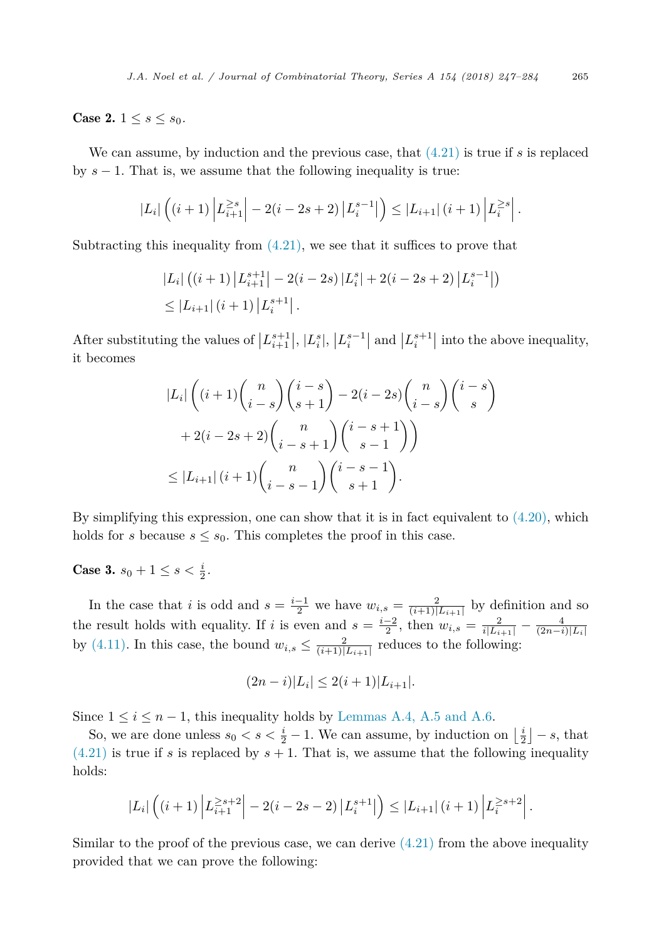**Case 2.**  $1 \le s \le s_0$ .

We can assume, by induction and the previous case, that [\(4.21\)](#page-17-0) is true if *s* is replaced by  $s - 1$ . That is, we assume that the following inequality is true:

$$
|L_i| \left( (i+1) \left| L_{i+1}^{\geq s} \right| - 2(i-2s+2) \left| L_i^{s-1} \right| \right) \leq |L_{i+1}| \left( i+1 \right) \left| L_i^{\geq s} \right|.
$$

Subtracting this inequality from  $(4.21)$ , we see that it suffices to prove that

$$
|L_i| ((i + 1) |L_{i+1}^{s+1}| - 2(i - 2s) |L_i^s| + 2(i - 2s + 2) |L_i^{s-1}|)
$$
  
\n
$$
\leq |L_{i+1}| (i + 1) |L_i^{s+1}|.
$$

After substituting the values of  $|L^{s+1}_{i+1}|, |L^{s}_{i}|, |L^{s-1}_{i}|$  and  $|L^{s+1}_{i}|$  into the above inequality, it becomes

$$
|L_i| \left( (i+1) {n \choose i-s} {i-s \choose s+1} - 2(i-2s) {n \choose i-s} {i-s \choose s} + 2(i-2s+2) {n \choose i-s+1} {i-s+1 \choose s-1} \right)
$$
  

$$
\leq |L_{i+1}| (i+1) {n \choose i-s-1} {i-s-1 \choose s+1}.
$$

By simplifying this expression, one can show that it is in fact equivalent to  $(4.20)$ , which holds for *s* because  $s \leq s_0$ . This completes the proof in this case.

**Case 3.**  $s_0 + 1 \leq s < \frac{i}{2}$ .

In the case that *i* is odd and  $s = \frac{i-1}{2}$  we have  $w_{i,s} = \frac{2}{(i+1)[L_{i+1}]}$  by definition and so the result holds with equality. If *i* is even and  $s = \frac{i-2}{2}$ , then  $w_{i,s} = \frac{2}{i|L_{i+1}|} - \frac{4}{(2n-i)|L_i|}$ <br>by [\(4.11\).](#page-12-0) In this case, the bound  $w_{i,s} \leq \frac{2}{(i+1)|L_{i+1}|}$  reduces to the following:

$$
(2n-i)|L_i| \le 2(i+1)|L_{i+1}|.
$$

Since  $1 \leq i \leq n-1$ , this inequality holds by [Lemmas A.4, A.5 and A.6.](#page-34-0)

So, we are done unless  $s_0 < s < \frac{i}{2} - 1$ . We can assume, by induction on  $\left\lfloor \frac{i}{2} \right\rfloor - s$ , that  $(4.21)$  is true if *s* is replaced by  $s + 1$ . That is, we assume that the following inequality holds:

$$
|L_i| \left( (i+1) \left| L_{i+1}^{\geq s+2} \right| - 2(i-2s-2) \left| L_i^{s+1} \right| \right) \leq |L_{i+1}| \left( i+1 \right) \left| L_i^{\geq s+2} \right|.
$$

Similar to the proof of the previous case, we can derive  $(4.21)$  from the above inequality provided that we can prove the following: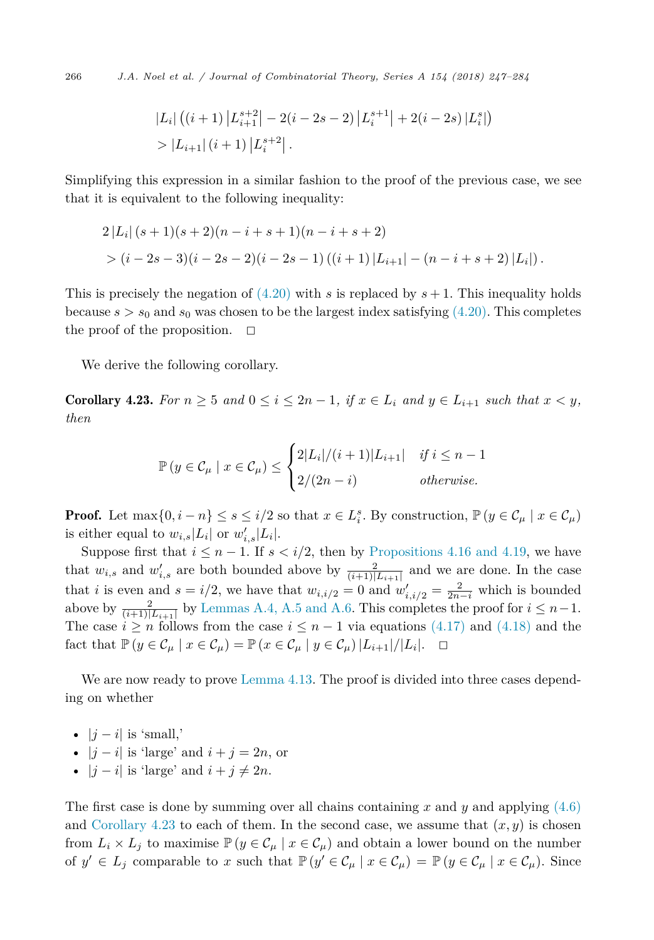<span id="page-19-0"></span>266 *J.A. Noel et al. / Journal of Combinatorial Theory, Series A 154 (2018) 247–284*

$$
|L_i| ((i + 1) |L_{i+1}^{s+2}| - 2(i - 2s - 2) |L_i^{s+1}| + 2(i - 2s) |L_i^{s}|)
$$
  
> 
$$
|L_{i+1}| (i + 1) |L_i^{s+2}|.
$$

Simplifying this expression in a similar fashion to the proof of the previous case, we see that it is equivalent to the following inequality:

$$
2|L_i|(s+1)(s+2)(n-i+s+1)(n-i+s+2)
$$
  
>  $(i-2s-3)(i-2s-2)(i-2s-1)((i+1)|L_{i+1}|-(n-i+s+2)|L_i|).$ 

This is precisely the negation of  $(4.20)$  with *s* is replaced by  $s + 1$ . This inequality holds because  $s > s_0$  and  $s_0$  was chosen to be the largest index satisfying [\(4.20\).](#page-16-0) This completes the proof of the proposition.  $\Box$ 

We derive the following corollary.

**Corollary 4.23.** For  $n \geq 5$  and  $0 \leq i \leq 2n-1$ , if  $x \in L_i$  and  $y \in L_{i+1}$  such that  $x \leq y$ , *then*

$$
\mathbb{P}\left(y \in \mathcal{C}_{\mu} \mid x \in \mathcal{C}_{\mu}\right) \leq \begin{cases} 2|L_i|/(i+1)|L_{i+1}| & \text{if } i \leq n-1 \\ 2/(2n-i) & \text{otherwise.} \end{cases}
$$

**Proof.** Let  $\max\{0, i - n\} \le s \le i/2$  so that  $x \in L_i^s$ . By construction,  $\mathbb{P}(y \in C_\mu \mid x \in C_\mu)$ is either equal to  $w_{i,s}|L_i|$  or  $w'_{i,s}|L_i|$ .

Suppose first that  $i \leq n - 1$ . If  $s < i/2$ , then by [Propositions 4.16 and 4.19,](#page-15-0) we have that  $w_{i,s}$  and  $w'_{i,s}$  are both bounded above by  $\frac{2}{(i+1)|L_{i+1}|}$  and we are done. In the case that *i* is even and  $s = i/2$ , we have that  $w_{i,i/2} = 0$  and  $w'_{i,i/2} = \frac{2}{2n-i}$  which is bounded above by  $\frac{2}{(i+1)[L_{i+1}]}$  by [Lemmas A.4, A.5 and A.6.](#page-34-0) This completes the proof for  $i \leq n-1$ . The case  $i \geq n$  follows from the case  $i \leq n-1$  via equations [\(4.17\)](#page-16-0) and [\(4.18\)](#page-16-0) and the fact that  $\mathbb{P}(y \in \mathcal{C}_{\mu} \mid x \in \mathcal{C}_{\mu}) = \mathbb{P}(x \in \mathcal{C}_{\mu} \mid y \in \mathcal{C}_{\mu}) |L_{i+1}|/|L_{i}|. \quad \Box$ 

We are now ready to prove [Lemma 4.13.](#page-13-0) The proof is divided into three cases depending on whether

- $|j i|$  is 'small,'
- $|j i|$  is 'large' and  $i + j = 2n$ , or
- $|j i|$  is 'large' and  $i + j \neq 2n$ .

The first case is done by summing over all chains containing *x* and *y* and applying [\(4.6\)](#page-11-0) and Corollary 4.23 to each of them. In the second case, we assume that  $(x, y)$  is chosen from  $L_i \times L_j$  to maximise  $\mathbb{P}(y \in C_\mu | x \in C_\mu)$  and obtain a lower bound on the number of  $y' \in L_j$  comparable to *x* such that  $\mathbb{P}(y' \in C_\mu | x \in C_\mu) = \mathbb{P}(y \in C_\mu | x \in C_\mu)$ . Since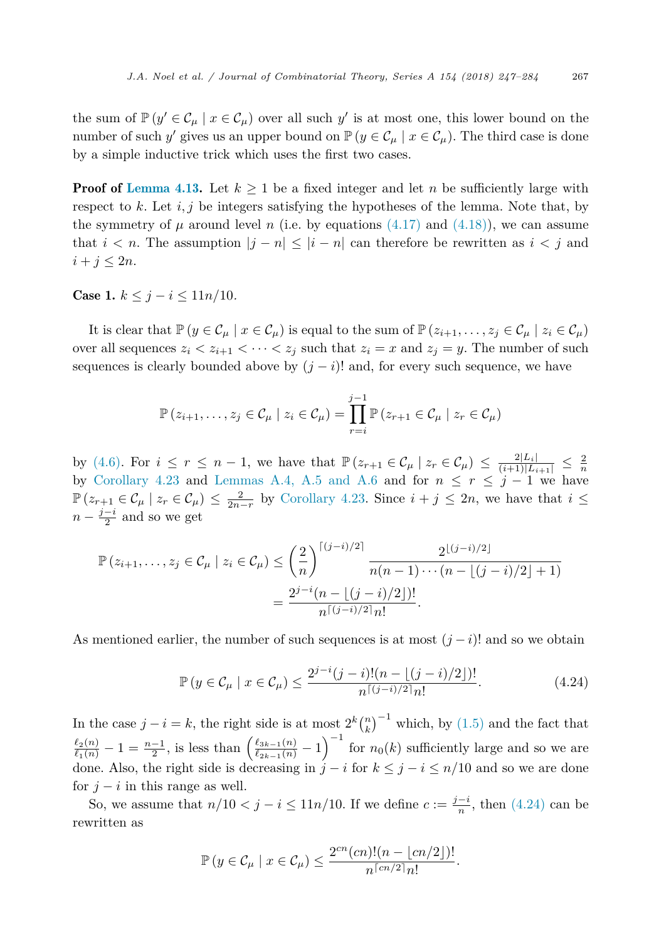<span id="page-20-0"></span>the sum of  $\mathbb{P}(y' \in C_\mu | x \in C_\mu)$  over all such y' is at most one, this lower bound on the number of such *y'* gives us an upper bound on  $\mathbb{P}(y \in C_\mu | x \in C_\mu)$ . The third case is done by a simple inductive trick which uses the first two cases.

**Proof of [Lemma 4.13.](#page-13-0)** Let  $k \geq 1$  be a fixed integer and let *n* be sufficiently large with respect to  $k$ . Let  $i, j$  be integers satisfying the hypotheses of the lemma. Note that, by the symmetry of  $\mu$  around level *n* (i.e. by equations [\(4.17\)](#page-16-0) and [\(4.18\)\)](#page-16-0), we can assume that  $i < n$ . The assumption  $|j - n| \leq |i - n|$  can therefore be rewritten as  $i < j$  and  $i + j \leq 2n$ .

**Case 1.**  $k \leq j - i \leq 11n/10$ *.* 

It is clear that  $\mathbb{P}(y \in \mathcal{C}_\mu \mid x \in \mathcal{C}_\mu)$  is equal to the sum of  $\mathbb{P}(z_{i+1},...,z_j \in \mathcal{C}_\mu \mid z_i \in \mathcal{C}_\mu)$ over all sequences  $z_i \leq z_{i+1} \leq \cdots \leq z_j$  such that  $z_i = x$  and  $z_j = y$ . The number of such sequences is clearly bounded above by  $(j - i)!$  and, for every such sequence, we have

$$
\mathbb{P}(z_{i+1},\ldots,z_j\in\mathcal{C}_\mu\mid z_i\in\mathcal{C}_\mu)=\prod_{r=i}^{j-1}\mathbb{P}(z_{r+1}\in\mathcal{C}_\mu\mid z_r\in\mathcal{C}_\mu)
$$

by [\(4.6\).](#page-11-0) For  $i \leq r \leq n-1$ , we have that  $\mathbb{P}(z_{r+1} \in C_{\mu} | z_r \in C_{\mu}) \leq \frac{2|L_i|}{(i+1)|L_{i+1}|} \leq \frac{2}{n}$ by [Corollary 4.23](#page-19-0) and [Lemmas A.4, A.5 and A.6](#page-34-0) and for  $n \leq r \leq j-1$  we have  $\mathbb{P}(z_{r+1} \in \mathcal{C}_{\mu} \mid z_r \in \mathcal{C}_{\mu}) \leq \frac{2}{2n-r}$  by [Corollary 4.23.](#page-19-0) Since  $i + j \leq 2n$ , we have that  $i \leq$  $n - \frac{j - i}{2}$  and so we get

$$
\mathbb{P}(z_{i+1},...,z_j \in \mathcal{C}_{\mu} \mid z_i \in \mathcal{C}_{\mu}) \leq \left(\frac{2}{n}\right)^{\lceil (j-i)/2 \rceil} \frac{2^{\lfloor (j-i)/2 \rfloor}}{n(n-1)\cdots(n-\lfloor (j-i)/2 \rfloor+1)}
$$

$$
= \frac{2^{j-i}(n-\lfloor (j-i)/2 \rfloor)!}{n^{\lceil (j-i)/2 \rceil} n!}.
$$

As mentioned earlier, the number of such sequences is at most  $(j - i)!$  and so we obtain

$$
\mathbb{P}\left(y \in \mathcal{C}_{\mu} \mid x \in \mathcal{C}_{\mu}\right) \le \frac{2^{j-i}(j-i)!(n - \lfloor (j-i)/2 \rfloor)!}{n^{\lceil (j-i)/2 \rceil} n!}.
$$
\n(4.24)

In the case  $j - i = k$ , the right side is at most  $2^{k} {n \choose k}^{-1}$  which, by [\(1.5\)](#page-3-0) and the fact that  $\frac{\ell_2(n)}{\ell_1(n)} - 1 = \frac{n-1}{2}$ , is less than  $\left(\frac{\ell_{3k-1}(n)}{\ell_{2k-1}(n)} - 1\right)^{-1}$  for  $n_0(k)$  sufficiently large and so we are done. Also, the right side is decreasing in  $j - i$  for  $k \leq j - i \leq n/10$  and so we are done for  $j - i$  in this range as well.

So, we assume that  $n/10 < j - i \leq 11n/10$ . If we define  $c := \frac{j-i}{n}$ , then (4.24) can be rewritten as

$$
\mathbb{P}\left(y \in \mathcal{C}_{\mu} \mid x \in \mathcal{C}_{\mu}\right) \leq \frac{2^{cn}(cn)!(n - \lfloor cn/2 \rfloor)!}{n^{\lceil cn/2 \rceil} n!}.
$$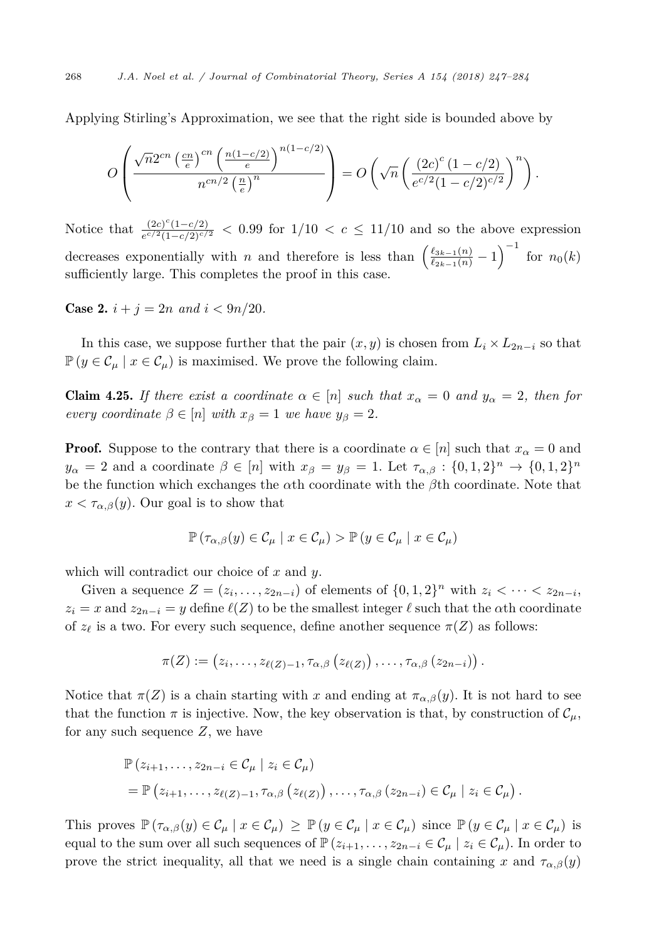<span id="page-21-0"></span>Applying Stirling's Approximation, we see that the right side is bounded above by

$$
O\left(\frac{\sqrt{n}2^{cn}\left(\frac{cn}{e}\right)^{cn}\left(\frac{n(1-c/2)}{e}\right)^{n(1-c/2)}}{n^{cn/2}\left(\frac{n}{e}\right)^n}\right)=O\left(\sqrt{n}\left(\frac{(2c)^c(1-c/2)}{e^{c/2}(1-c/2)^{c/2}}\right)^n\right).
$$

Notice that  $\frac{(2c)^{c}(1-c/2)}{e^{c/2}(1-c/2)^{c/2}}$  < 0.99 for 1/10 < *c* ≤ 11/10 and so the above expression decreases exponentially with *n* and therefore is less than  $\left(\frac{\ell_{3k-1}(n)}{\ell_{2k-1}(n)}-1\right)^{-1}$  for  $n_0(k)$ sufficiently large. This completes the proof in this case.

**Case 2.**  $i + j = 2n$  and  $i < 9n/20$ .

In this case, we suppose further that the pair  $(x, y)$  is chosen from  $L_i \times L_{2n-i}$  so that  $\mathbb{P}(y \in \mathcal{C}_{\mu} \mid x \in \mathcal{C}_{\mu})$  is maximised. We prove the following claim.

**Claim 4.25.** If there exist a coordinate  $\alpha \in [n]$  such that  $x_{\alpha} = 0$  and  $y_{\alpha} = 2$ , then for *every coordinate*  $\beta \in [n]$  *with*  $x_{\beta} = 1$  *we have*  $y_{\beta} = 2$ *.* 

**Proof.** Suppose to the contrary that there is a coordinate  $\alpha \in [n]$  such that  $x_{\alpha} = 0$  and  $y_{\alpha} = 2$  and a coordinate  $\beta \in [n]$  with  $x_{\beta} = y_{\beta} = 1$ . Let  $\tau_{\alpha,\beta} : \{0,1,2\}^n \to \{0,1,2\}^n$ be the function which exchanges the *α*th coordinate with the *β*th coordinate. Note that  $x < \tau_{\alpha,\beta}(y)$ . Our goal is to show that

$$
\mathbb{P}\left(\tau_{\alpha,\beta}(y)\in\mathcal{C}_{\mu}\mid x\in\mathcal{C}_{\mu}\right)>\mathbb{P}\left(y\in\mathcal{C}_{\mu}\mid x\in\mathcal{C}_{\mu}\right)
$$

which will contradict our choice of *x* and *y*.

Given a sequence  $Z = (z_i, \ldots, z_{2n-i})$  of elements of  $\{0, 1, 2\}^n$  with  $z_i < \cdots < z_{2n-i}$ ,  $z_i = x$  and  $z_{2n-i} = y$  define  $\ell(Z)$  to be the smallest integer  $\ell$  such that the *α*th coordinate of  $z_{\ell}$  is a two. For every such sequence, define another sequence  $\pi(Z)$  as follows:

$$
\pi(Z):=\left(z_i,\ldots,z_{\ell(Z)-1},\tau_{\alpha,\beta}\left(z_{\ell(Z)}\right),\ldots,\tau_{\alpha,\beta}\left(z_{2n-i}\right)\right).
$$

Notice that  $\pi(Z)$  is a chain starting with *x* and ending at  $\pi_{\alpha,\beta}(y)$ . It is not hard to see that the function  $\pi$  is injective. Now, the key observation is that, by construction of  $\mathcal{C}_{\mu}$ , for any such sequence *Z*, we have

$$
\mathbb{P}(z_{i+1},...,z_{2n-i} \in \mathcal{C}_{\mu} \mid z_i \in \mathcal{C}_{\mu})
$$
  
= 
$$
\mathbb{P}(z_{i+1},...,z_{\ell(Z)-1},\tau_{\alpha,\beta}(z_{\ell(Z)}),..., \tau_{\alpha,\beta}(z_{2n-i}) \in \mathcal{C}_{\mu} \mid z_i \in \mathcal{C}_{\mu}).
$$

This proves  $\mathbb{P}(\tau_{\alpha,\beta}(y) \in \mathcal{C}_\mu | x \in \mathcal{C}_\mu) \geq \mathbb{P}(y \in \mathcal{C}_\mu | x \in \mathcal{C}_\mu)$  since  $\mathbb{P}(y \in \mathcal{C}_\mu | x \in \mathcal{C}_\mu)$  is equal to the sum over all such sequences of  $\mathbb{P}(z_{i+1},...,z_{2n-i} \in C_{\mu} | z_i \in C_{\mu}$ ). In order to prove the strict inequality, all that we need is a single chain containing *x* and  $\tau_{\alpha,\beta}(y)$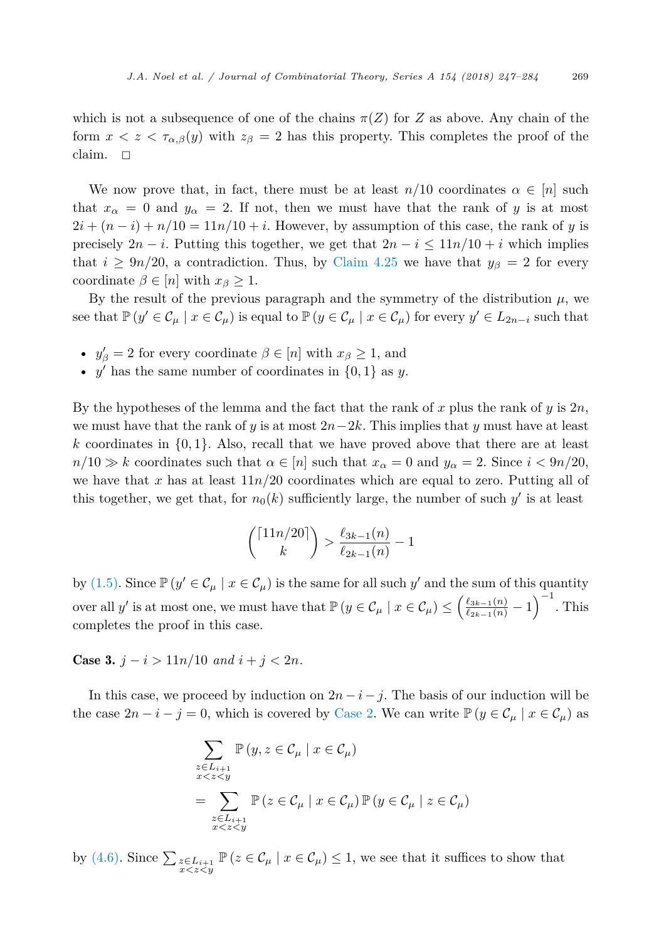which is not a subsequence of one of the chains  $\pi(Z)$  for *Z* as above. Any chain of the form  $x < z < \tau_{\alpha,\beta}(y)$  with  $z_{\beta} = 2$  has this property. This completes the proof of the claim.  $\square$ 

We now prove that, in fact, there must be at least  $n/10$  coordinates  $\alpha \in [n]$  such that  $x_\alpha = 0$  and  $y_\alpha = 2$ . If not, then we must have that the rank of *y* is at most  $2i + (n - i) + n/10 = 11n/10 + i$ . However, by assumption of this case, the rank of *y* is precisely  $2n - i$ . Putting this together, we get that  $2n - i \leq 11n/10 + i$  which implies that  $i \geq 9n/20$ , a contradiction. Thus, by [Claim 4.25](#page-21-0) we have that  $y_\beta = 2$  for every coordinate  $\beta \in [n]$  with  $x_{\beta} \geq 1$ .

By the result of the previous paragraph and the symmetry of the distribution  $\mu$ , we see that  $\mathbb{P}(y' \in \mathcal{C}_\mu \mid x \in \mathcal{C}_\mu)$  is equal to  $\mathbb{P}(y \in \mathcal{C}_\mu \mid x \in \mathcal{C}_\mu)$  for every  $y' \in L_{2n-i}$  such that

- $y'_{\beta} = 2$  for every coordinate  $\beta \in [n]$  with  $x_{\beta} \geq 1$ , and
- $y'$  has the same number of coordinates in  $\{0, 1\}$  as *y*.

By the hypotheses of the lemma and the fact that the rank of *x* plus the rank of *y* is 2*n*, we must have that the rank of *y* is at most  $2n-2k$ . This implies that *y* must have at least  $k$  coordinates in  $\{0, 1\}$ . Also, recall that we have proved above that there are at least  $n/10 \gg k$  coordinates such that  $\alpha \in [n]$  such that  $x_{\alpha} = 0$  and  $y_{\alpha} = 2$ . Since  $i < 9n/20$ , we have that *x* has at least  $11n/20$  coordinates which are equal to zero. Putting all of this together, we get that, for  $n_0(k)$  sufficiently large, the number of such  $y'$  is at least

$$
\binom{\lceil 11n/20 \rceil}{k} > \frac{\ell_{3k-1}(n)}{\ell_{2k-1}(n)} - 1
$$

by [\(1.5\).](#page-3-0) Since  $\mathbb{P}(y' \in \mathcal{C}_{\mu} \mid x \in \mathcal{C}_{\mu})$  is the same for all such *y'* and the sum of this quantity over all *y'* is at most one, we must have that  $\mathbb{P}\left(y \in \mathcal{C}_{\mu} \mid x \in \mathcal{C}_{\mu}\right) \leq \left(\frac{\ell_{3k-1}(n)}{\ell_{2k-1}(n)} - 1\right)^{-1}$ . This completes the proof in this case.

Case 3.  $j - i > 11n/10$  and  $i + j < 2n$ .

In this case, we proceed by induction on  $2n - i - j$ . The basis of our induction will be the case  $2n - i - j = 0$ , which is covered by [Case 2.](#page-21-0) We can write  $\mathbb{P}(y \in C_\mu | x \in C_\mu)$  as

$$
\sum_{\substack{z \in L_{i+1} \\ x < z \le y}} \mathbb{P}(y, z \in \mathcal{C}_{\mu} \mid x \in \mathcal{C}_{\mu})
$$
\n
$$
= \sum_{\substack{z \in L_{i+1} \\ x < z < y}} \mathbb{P}(z \in \mathcal{C}_{\mu} \mid x \in \mathcal{C}_{\mu}) \mathbb{P}(y \in \mathcal{C}_{\mu} \mid z \in \mathcal{C}_{\mu})
$$

by [\(4.6\).](#page-11-0) Since  $\sum_{z \in L_{i+1}} \mathbb{P}(z \in \mathcal{C}_{\mu} \mid x \in \mathcal{C}_{\mu}) \leq 1$ , we see that it suffices to show that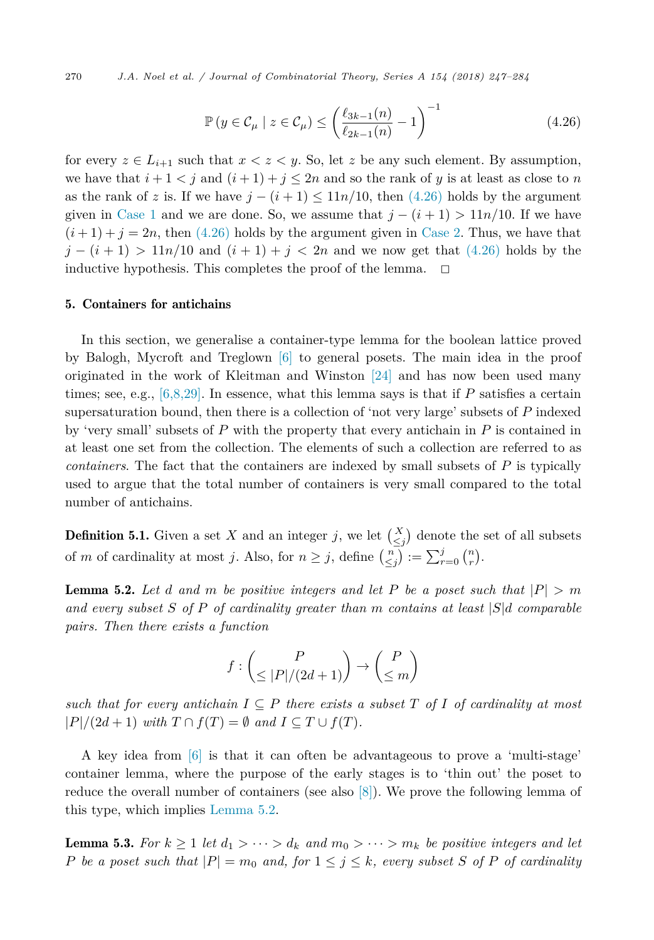<span id="page-23-0"></span>270 *J.A. Noel et al. / Journal of Combinatorial Theory, Series A 154 (2018) 247–284*

$$
\mathbb{P}\left(y \in \mathcal{C}_{\mu} \mid z \in \mathcal{C}_{\mu}\right) \le \left(\frac{\ell_{3k-1}(n)}{\ell_{2k-1}(n)} - 1\right)^{-1} \tag{4.26}
$$

for every  $z \in L_{i+1}$  such that  $x < z < y$ . So, let z be any such element. By assumption, we have that  $i + 1 < j$  and  $(i + 1) + j \leq 2n$  and so the rank of *y* is at least as close to *n* as the rank of *z* is. If we have  $j - (i + 1) \leq 11n/10$ , then (4.26) holds by the argument given in [Case 1](#page-20-0) and we are done. So, we assume that  $j - (i + 1) > 11n/10$ . If we have  $(i+1) + j = 2n$ , then (4.26) holds by the argument given in [Case 2.](#page-21-0) Thus, we have that  $j - (i + 1) > 11n/10$  and  $(i + 1) + j < 2n$  and we now get that (4.26) holds by the inductive hypothesis. This completes the proof of the lemma.  $\Box$ 

#### 5. Containers for antichains

In this section, we generalise a container-type lemma for the boolean lattice proved by Balogh, Mycroft and Treglown [\[6\]](#page-36-0) to general posets. The main idea in the proof originated in the work of Kleitman and Winston [\[24\]](#page-37-0) and has now been used many times; see, e.g., [\[6,8,29\].](#page-36-0) In essence, what this lemma says is that if *P* satisfies a certain supersaturation bound, then there is a collection of 'not very large' subsets of *P* indexed by 'very small' subsets of *P* with the property that every antichain in *P* is contained in at least one set from the collection. The elements of such a collection are referred to as *containers*. The fact that the containers are indexed by small subsets of *P* is typically used to argue that the total number of containers is very small compared to the total number of antichains.

**Definition 5.1.** Given a set *X* and an integer *j*, we let  $\begin{pmatrix} X \\ \leq j \end{pmatrix}$  denote the set of all subsets of *m* of cardinality at most *j*. Also, for  $n \ge j$ , define  $\binom{n}{\le j} := \sum_{r=0}^{j} \binom{n}{r}$ .

**Lemma 5.2.** Let *d* and *m* be positive integers and let P be a poset such that  $|P| > m$ *and every subset S of P of cardinality greater than m contains at least* |*S*|*d comparable pairs. Then there exists a function*

$$
f:\binom{P}{\leq |P|/(2d+1)}\rightarrow \binom{P}{\leq m}
$$

*such that for every antichain*  $I \subseteq P$  *there exists a subset*  $T$  *of*  $I$  *of cardinality at most*  $|P|/(2d+1)$  *with*  $T \cap f(T) = \emptyset$  *and*  $I \subseteq T \cup f(T)$ *.* 

A key idea from [\[6\]](#page-36-0) is that it can often be advantageous to prove a 'multi-stage' container lemma, where the purpose of the early stages is to 'thin out' the poset to reduce the overall number of containers (see also [\[8\]\)](#page-36-0). We prove the following lemma of this type, which implies Lemma 5.2.

**Lemma 5.3.** For  $k \geq 1$  let  $d_1 > \cdots > d_k$  and  $m_0 > \cdots > m_k$  be positive integers and let P be a poset such that  $|P| = m_0$  and, for  $1 \leq j \leq k$ , every subset S of P of cardinality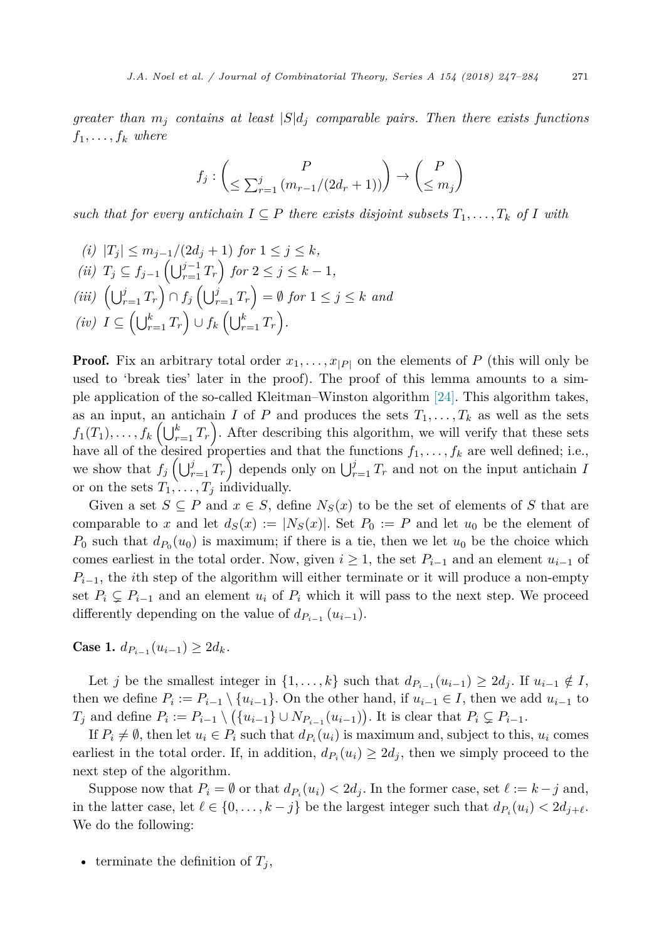*greater than*  $m_j$  *contains at least*  $|S|d_j$  *comparable pairs. Then there exists functions*  $f_1, \ldots, f_k$  *where* 

$$
f_j: \begin{pmatrix} P \\ \leq \sum_{r=1}^j (m_{r-1}/(2d_r+1)) \end{pmatrix} \to \begin{pmatrix} P \\ \leq m_j \end{pmatrix}
$$

*such that for every antichain*  $I ⊆ P$  *there exists disjoint subsets*  $T_1, \ldots, T_k$  *of I with* 

(i) 
$$
|T_j| \le m_{j-1}/(2d_j + 1)
$$
 for  $1 \le j \le k$ ,  
\n(ii)  $T_j \subseteq f_{j-1} \left( \bigcup_{r=1}^{j-1} T_r \right)$  for  $2 \le j \le k - 1$ ,  
\n(iii)  $\left( \bigcup_{r=1}^{j} T_r \right) \cap f_j \left( \bigcup_{r=1}^{j} T_r \right) = \emptyset$  for  $1 \le j \le k$  and  
\n(iv)  $I \subseteq \left( \bigcup_{r=1}^{k} T_r \right) \cup f_k \left( \bigcup_{r=1}^{k} T_r \right)$ .

**Proof.** Fix an arbitrary total order  $x_1, \ldots, x_{|P|}$  on the elements of P (this will only be used to 'break ties' later in the proof). The proof of this lemma amounts to a simple application of the so-called Kleitman–Winston algorithm [\[24\].](#page-37-0) This algorithm takes, as an input, an antichain *I* of *P* and produces the sets  $T_1, \ldots, T_k$  as well as the sets  $f_1(T_1), \ldots, f_k\left(\bigcup_{r=1}^k T_r\right)$ . After describing this algorithm, we will verify that these sets have all of the desired properties and that the functions  $f_1, \ldots, f_k$  are well defined; i.e., we show that  $f_j\left(\bigcup_{r=1}^j T_r\right)$  depends only on  $\bigcup_{r=1}^j T_r$  and not on the input antichain *I* or on the sets  $T_1, \ldots, T_j$  individually.

Given a set  $S \subseteq P$  and  $x \in S$ , define  $N_S(x)$  to be the set of elements of *S* that are comparable to *x* and let  $d_S(x) := |N_S(x)|$ . Set  $P_0 := P$  and let  $u_0$  be the element of  $P_0$  such that  $d_{P_0}(u_0)$  is maximum; if there is a tie, then we let  $u_0$  be the choice which comes earliest in the total order. Now, given  $i \geq 1$ , the set  $P_{i-1}$  and an element  $u_{i-1}$  of  $P_{i-1}$ , the *i*th step of the algorithm will either terminate or it will produce a non-empty set  $P_i \subsetneq P_{i-1}$  and an element  $u_i$  of  $P_i$  which it will pass to the next step. We proceed differently depending on the value of  $d_{P_{i-1}}(u_{i-1})$ .

Case 1.  $d_{P_{i-1}}(u_{i-1}) \geq 2d_k$ .

Let *j* be the smallest integer in  $\{1, \ldots, k\}$  such that  $d_{P_{i-1}}(u_{i-1}) \geq 2d_i$ . If  $u_{i-1} \notin I$ , then we define  $P_i := P_{i-1} \setminus \{u_{i-1}\}.$  On the other hand, if  $u_{i-1} \in I$ , then we add  $u_{i-1}$  to  $T_j$  and define  $P_i := P_{i-1} \setminus (\{u_{i-1}\} \cup N_{P_{i-1}}(u_{i-1}))$ . It is clear that  $P_i \subsetneq P_{i-1}$ .

If  $P_i \neq \emptyset$ , then let  $u_i \in P_i$  such that  $d_{P_i}(u_i)$  is maximum and, subject to this,  $u_i$  comes earliest in the total order. If, in addition,  $d_{P_i}(u_i) \geq 2d_i$ , then we simply proceed to the next step of the algorithm.

Suppose now that  $P_i = \emptyset$  or that  $d_{P_i}(u_i) < 2d_j$ . In the former case, set  $\ell := k - j$  and, in the latter case, let  $\ell \in \{0, \ldots, k - j\}$  be the largest integer such that  $d_{P_i}(u_i) < 2d_{j+\ell}$ . We do the following:

• terminate the definition of  $T_j$ ,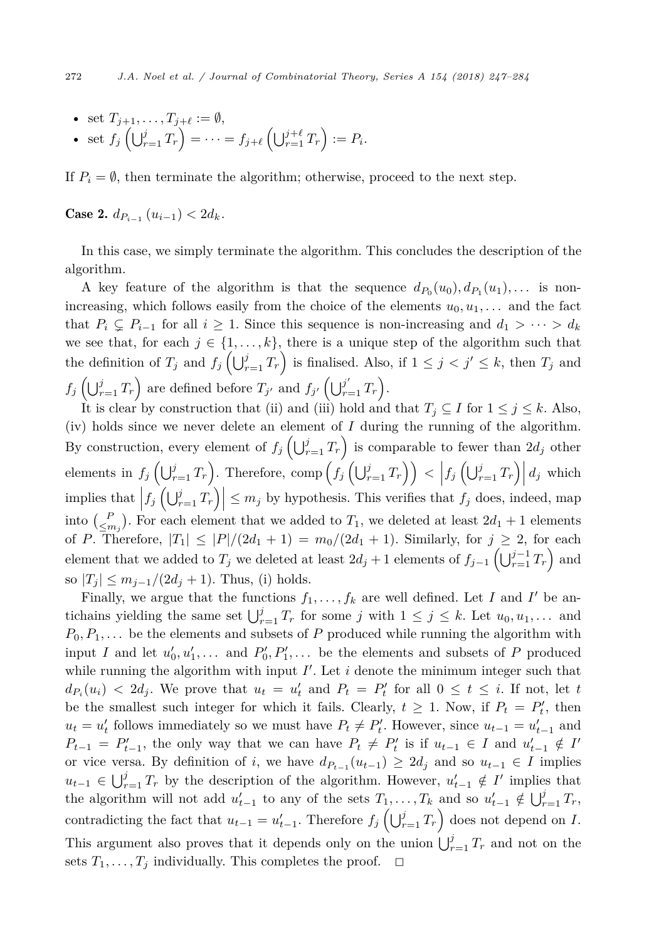- set  $T_{j+1}, \ldots, T_{j+\ell} := \emptyset$ ,
- set  $f_j\left(\bigcup_{r=1}^j T_r\right) = \cdots = f_{j+\ell}\left(\bigcup_{r=1}^{j+\ell} T_r\right) := P_i.$

If  $P_i = \emptyset$ , then terminate the algorithm; otherwise, proceed to the next step.

 $\text{Case 2. } d_{P_{i-1}}(u_{i-1}) < 2d_k.$ 

In this case, we simply terminate the algorithm. This concludes the description of the algorithm.

A key feature of the algorithm is that the sequence  $d_{P_0}(u_0), d_{P_1}(u_1), \ldots$  is nonincreasing, which follows easily from the choice of the elements  $u_0, u_1, \ldots$  and the fact that  $P_i \subsetneq P_{i-1}$  for all  $i \geq 1$ . Since this sequence is non-increasing and  $d_1 > \cdots > d_k$ we see that, for each  $j \in \{1, \ldots, k\}$ , there is a unique step of the algorithm such that the definition of  $T_j$  and  $f_j\left(\bigcup_{r=1}^j T_r\right)$  is finalised. Also, if  $1 \leq j < j' \leq k$ , then  $T_j$  and  $f_j\left(\bigcup_{r=1}^j T_r\right)$  are defined before  $T_{j'}$  and  $f_{j'}\left(\bigcup_{r=1}^{j'} T_r\right)$ .

It is clear by construction that (ii) and (iii) hold and that  $T_j \subseteq I$  for  $1 \leq j \leq k$ . Also, (iv) holds since we never delete an element of  $I$  during the running of the algorithm. By construction, every element of  $f_j\left(\bigcup_{r=1}^j T_r\right)$  is comparable to fewer than  $2d_j$  other elements in  $f_j\left(\bigcup_{r=1}^j T_r\right)$ . Therefore, comp $\left(f_j\left(\bigcup_{r=1}^j T_r\right)\right) < \left|f_j\left(\bigcup_{r=1}^j T_r\right)\right|d_j$  which implies that  $|f_j(\bigcup_{r=1}^j T_r)| \leq m_j$  by hypothesis. This verifies that  $f_j$  does, indeed, map into  $\binom{P}{\leq m_j}$ . For each element that we added to  $T_1$ , we deleted at least  $2d_1 + 1$  elements of *P*. Therefore,  $|T_1| \leq |P|/(2d_1 + 1) = m_0/(2d_1 + 1)$ . Similarly, for  $j \geq 2$ , for each element that we added to  $T_j$  we deleted at least  $2d_j + 1$  elements of  $f_{j-1}(\bigcup_{r=1}^{j-1}T_r)$  and so  $|T_j| \leq m_{j-1}/(2d_j + 1)$ . Thus, (i) holds.

Finally, we argue that the functions  $f_1, \ldots, f_k$  are well defined. Let *I* and *I'* be antichains yielding the same set  $\bigcup_{r=1}^{j} T_r$  for some *j* with  $1 \leq j \leq k$ . Let  $u_0, u_1, \ldots$  and  $P_0, P_1, \ldots$  be the elements and subsets of *P* produced while running the algorithm with input *I* and let  $u'_0, u'_1, \ldots$  and  $P'_0, P'_1, \ldots$  be the elements and subsets of *P* produced while running the algorithm with input  $I'$ . Let  $i$  denote the minimum integer such that  $d_{P_i}(u_i) < 2d_j$ . We prove that  $u_t = u'_t$  and  $P_t = P'_t$  for all  $0 \le t \le i$ . If not, let *t* be the smallest such integer for which it fails. Clearly,  $t \geq 1$ . Now, if  $P_t = P'_t$ , then  $u_t = u'_t$  follows immediately so we must have  $P_t \neq P'_t$ . However, since  $u_{t-1} = u'_{t-1}$  and  $P_{t-1} = P'_{t-1}$ , the only way that we can have  $P_t \neq P'_t$  is if  $u_{t-1} \in I$  and  $u'_{t-1} \notin I'$ or vice versa. By definition of *i*, we have  $d_{P_{t-1}}(u_{t-1}) \geq 2d_j$  and so  $u_{t-1} \in I$  implies  $u_{t-1} \in \bigcup_{r=1}^{j} T_r$  by the description of the algorithm. However,  $u'_{t-1} \notin I'$  implies that the algorithm will not add  $u'_{t-1}$  to any of the sets  $T_1, \ldots, T_k$  and so  $u'_{t-1} \notin \bigcup_{r=1}^j T_r$ , contradicting the fact that  $u_{t-1} = u'_{t-1}$ . Therefore  $f_j\left(\bigcup_{r=1}^j T_r\right)$  does not depend on *I*. This argument also proves that it depends only on the union  $\bigcup_{r=1}^{j} T_r$  and not on the sets  $T_1, \ldots, T_j$  individually. This completes the proof.  $\Box$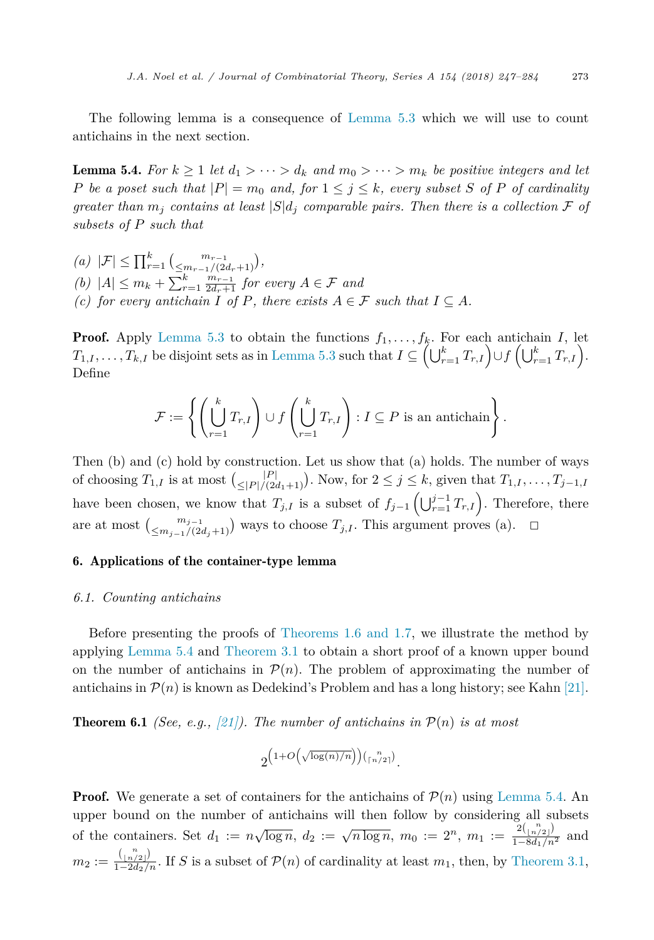<span id="page-26-0"></span>The following lemma is a consequence of [Lemma 5.3](#page-23-0) which we will use to count antichains in the next section.

**Lemma 5.4.** For  $k \geq 1$  let  $d_1 > \cdots > d_k$  and  $m_0 > \cdots > m_k$  be positive integers and let P be a poset such that  $|P| = m_0$  and, for  $1 \le j \le k$ , every subset S of P of cardinality *greater than*  $m_i$  *contains at least*  $|S|d_i$  *comparable pairs. Then there is a collection* F *of subsets of P such that*

*(a)*  $|\mathcal{F}|$  ≤  $\prod_{r=1}^{k}$   $\binom{m_{r-1}}{\leq m_{r-1}/(2r)}$  $\left(\frac{m_{r-1}}{2}, \frac{m_{r-1}}{2}\right),$ *(b)*  $|A|$  ≤  $m_k + \sum_{r=1}^k \frac{m_{r-1}}{2d_r+1}$  *for every*  $A \in \mathcal{F}$  *and (c)* for every antichain  $I$  of  $P$ , there exists  $A \in \mathcal{F}$  such that  $I \subseteq A$ .

**Proof.** Apply [Lemma 5.3](#page-23-0) to obtain the functions  $f_1, \ldots, f_k$ . For each antichain *I*, let  $T_{1,I},\ldots,T_{k,I}$  be disjoint sets as in [Lemma 5.3](#page-23-0) such that  $I\subseteq \left(\bigcup_{r=1}^{k}T_{r,I}\right)\cup f\left(\bigcup_{r=1}^{k}T_{r,I}\right).$ Define

$$
\mathcal{F} := \left\{ \left( \bigcup_{r=1}^k T_{r,I} \right) \cup f \left( \bigcup_{r=1}^k T_{r,I} \right) : I \subseteq P \text{ is an antichain} \right\}.
$$

Then (b) and (c) hold by construction. Let us show that (a) holds. The number of ways of choosing  $T_{1,I}$  is at most  $\binom{|P|}{\leq |P|/(2g)}$  $\leq$ |*P*| $/(2d_1+1)$ ). Now, for  $2 \leq j \leq k$ , given that  $T_{1,1},...,T_{j-1,1}$ have been chosen, we know that  $T_{j,I}$  is a subset of  $f_{j-1}(\bigcup_{r=1}^{j-1}T_{r,I})$ . Therefore, there are at most  $\binom{m_{j-1}}{\leq m_j}$  $\leq$ <sup>*mj*−1</sup>/(2*d*<sub>*j*</sub>+1)</sub> ways to choose *T*<sub>*j*</sub>,*I*. This argument proves (a). ◯

#### 6. Applications of the container-type lemma

#### *6.1. Counting antichains*

Before presenting the proofs of [Theorems 1.6 and 1.7,](#page-3-0) we illustrate the method by applying Lemma 5.4 and [Theorem 3.1](#page-6-0) to obtain a short proof of a known upper bound on the number of antichains in  $\mathcal{P}(n)$ . The problem of approximating the number of antichains in  $\mathcal{P}(n)$  is known as Dedekind's Problem and has a long history; see Kahn [\[21\].](#page-37-0)

**Theorem 6.1** *(See, e.g., [\[21\]\)](#page-37-0).* The number of antichains in  $\mathcal{P}(n)$  is at most

$$
2^{\left(1+O\left(\sqrt{\log(n)/n}\right)\right)\left(\binom{n}{\lceil n/2\rceil}\right)}.
$$

**Proof.** We generate a set of containers for the antichains of  $\mathcal{P}(n)$  using Lemma 5.4. An upper bound on the number of antichains will then follow by considering all subsets of the containers. Set  $d_1 := n\sqrt{\log n}, d_2 := \sqrt{n \log n}, m_0 := 2^n, m_1 := \frac{2\binom{n}{\lfloor n/2 \rfloor}}{1 - 8d_1/n^2}$  and  $m_2 := \frac{\binom{n}{\lfloor n/2 \rfloor}}{1-2d_2/n}$ . If *S* is a subset of  $\mathcal{P}(n)$  of cardinality at least  $m_1$ , then, by [Theorem 3.1,](#page-6-0)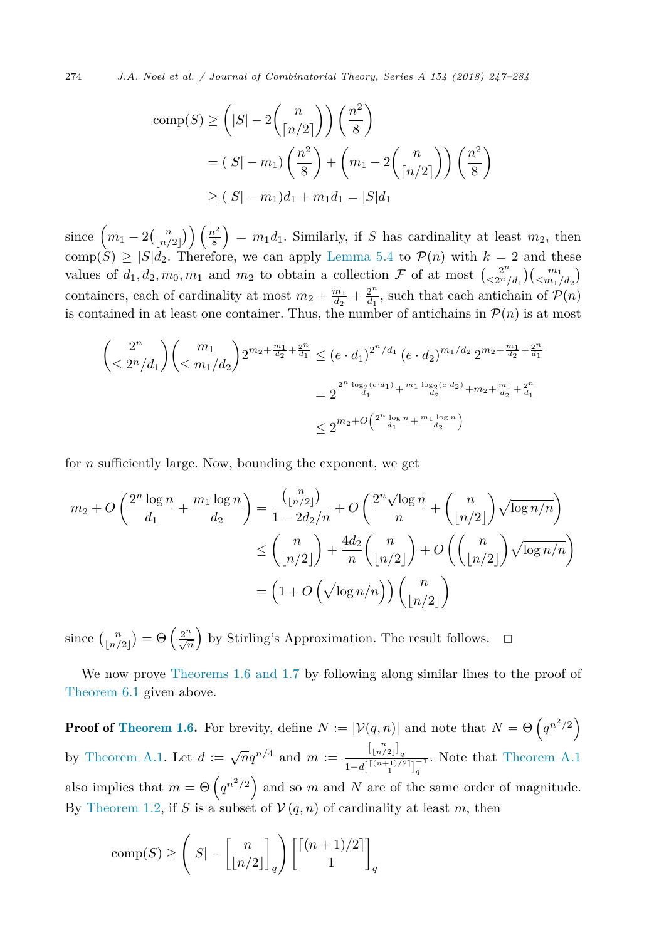274 *J.A. Noel et al. / Journal of Combinatorial Theory, Series A 154 (2018) 247–284*

comp(S) 
$$
\geq \left(|S|-2\binom{n}{\lceil n/2\rceil}\right)\left(\frac{n^2}{8}\right)
$$
  
\n
$$
= (|S|-m_1)\left(\frac{n^2}{8}\right) + \left(m_1 - 2\binom{n}{\lceil n/2\rceil}\right)\left(\frac{n^2}{8}\right)
$$
\n
$$
\geq (|S|-m_1)d_1 + m_1d_1 = |S|d_1
$$

since  $\left(m_1-2\binom{n}{\lfloor n/\rceil}\right)$  $\binom{n}{\lfloor n/2 \rfloor}$   $\binom{n^2}{8}$  =  $m_1d_1$ . Similarly, if *S* has cardinality at least  $m_2$ , then comp $(S) \geq |S|d_2$ . Therefore, we can apply [Lemma 5.4](#page-26-0) to  $\mathcal{P}(n)$  with  $k = 2$  and these values of  $d_1, d_2, m_0, m_1$  and  $m_2$  to obtain a collection  $\mathcal F$  of at most  $\binom{2^n}{\leq 2^n}$  $\binom{2^n}{\leq 2^n/d_1} \binom{m_1}{\leq m_1/d_2}$ containers, each of cardinality at most  $m_2 + \frac{m_1}{d_2} + \frac{2^n}{d_1}$ , such that each antichain of  $\mathcal{P}(n)$ is contained in at least one container. Thus, the number of antichains in  $\mathcal{P}(n)$  is at most

$$
\left(\leq 2^{n}/d_{1}\right)\left(\leq m_{1}/d_{2}\right)2^{m_{2}+\frac{m_{1}}{d_{2}}+\frac{2^{n}}{d_{1}}}\leq\left(e\cdot d_{1}\right)^{2^{n}/d_{1}}\left(e\cdot d_{2}\right)^{m_{1}/d_{2}}2^{m_{2}+\frac{m_{1}}{d_{2}}+\frac{2^{n}}{d_{1}}}
$$
\n
$$
=2^{\frac{2^{n}\log_{2}\left(e\cdot d_{1}\right)}{d_{1}}+\frac{m_{1}\log_{2}\left(e\cdot d_{2}\right)}{d_{2}}+m_{2}+\frac{m_{1}}{d_{2}}+\frac{2^{n}}{d_{1}}}
$$
\n
$$
\leq 2^{m_{2}+O\left(\frac{2^{n}\log_{2}n}{d_{1}}+\frac{m_{1}\log_{2}n}{d_{2}}\right)}
$$

for *n* sufficiently large. Now, bounding the exponent, we get

$$
m_2 + O\left(\frac{2^n \log n}{d_1} + \frac{m_1 \log n}{d_2}\right) = \frac{\binom{n}{\lfloor n/2 \rfloor}}{1 - 2d_2/n} + O\left(\frac{2^n \sqrt{\log n}}{n} + \binom{n}{\lfloor n/2 \rfloor} \sqrt{\log n/n}\right)
$$

$$
\leq \binom{n}{\lfloor n/2 \rfloor} + \frac{4d_2}{n} \binom{n}{\lfloor n/2 \rfloor} + O\left(\binom{n}{\lfloor n/2 \rfloor} \sqrt{\log n/n}\right)
$$

$$
= \left(1 + O\left(\sqrt{\log n/n}\right)\right) \binom{n}{\lfloor n/2 \rfloor}
$$

since  $\binom{n}{n}$  $\binom{n}{\lfloor n/2 \rfloor} = \Theta\left(\frac{2^n}{\sqrt{n}}\right)$  by Stirling's Approximation. The result follows.  $\Box$ 

We now prove [Theorems 1.6 and 1.7](#page-3-0) by following along similar lines to the proof of [Theorem 6.1](#page-26-0) given above.

**Proof of [Theorem 1.6.](#page-3-0)** For brevity, define  $N := |\mathcal{V}(q, n)|$  and note that  $N = \Theta\left(q^{n^2/2}\right)$ by [Theorem A.1.](#page-34-0) Let  $d := \sqrt{n}q^{n/4}$  and  $m := \frac{\binom{n}{n/2}}{n^{n/(n+1)/2}}$  $\frac{1\ln(2)}{1-d}$ <sup>[ $(n+1)/2$ ]<sub>*q*</sub></sub><sup>-1</sup>. Note that [Theorem A.1](#page-34-0)</sup> also implies that  $m = \Theta\left(q^{n^2/2}\right)$  and so *m* and *N* are of the same order of magnitude. By [Theorem 1.2,](#page-2-0) if *S* is a subset of  $V(q, n)$  of cardinality at least *m*, then

comp(S) 
$$
\geq \left(|S| - \left[\binom{n}{\lfloor n/2 \rfloor}_q\right] \left[\binom{(n+1)/2}{1}\right]_q\right)
$$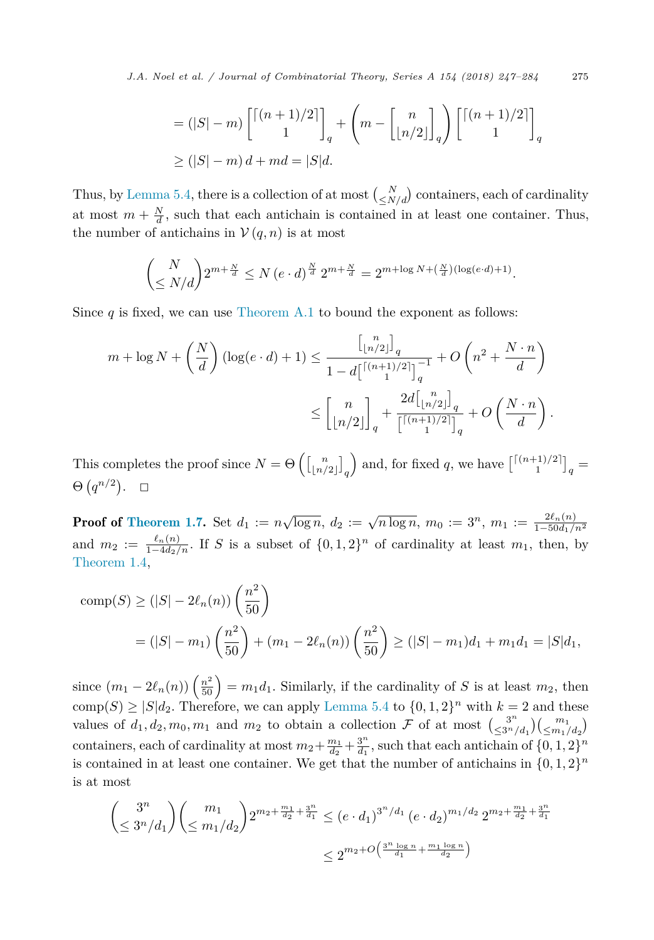*J.A. Noel et al. / Journal of Combinatorial Theory, Series A 154 (2018) 247–284* 275

$$
= (|S| - m) \begin{bmatrix} \lfloor (n+1)/2 \rfloor \\ 1 \end{bmatrix}_q + \left( m - \begin{bmatrix} n \\ \lfloor n/2 \rfloor \end{bmatrix}_q \right) \begin{bmatrix} \lfloor (n+1)/2 \rfloor \\ 1 \end{bmatrix}_q
$$
  
\n
$$
\geq (|S| - m) d + md = |S| d.
$$

Thus, by [Lemma 5.4,](#page-26-0) there is a collection of at most  $\binom{N}{\leq N/d}$  containers, each of cardinality at most  $m + \frac{N}{d}$ , such that each antichain is contained in at least one container. Thus, the number of antichains in  $V(q, n)$  is at most

$$
\binom{N}{\leq N/d} 2^{m+\frac{N}{d}} \leq N (e \cdot d)^{\frac{N}{d}} 2^{m+\frac{N}{d}} = 2^{m+\log N + (\frac{N}{d})(\log(e \cdot d) + 1)}.
$$

Since  $q$  is fixed, we can use [Theorem A.1](#page-34-0) to bound the exponent as follows:

$$
m + \log N + \left(\frac{N}{d}\right) \left(\log(e \cdot d) + 1\right) \le \frac{\left[\binom{n}{\lfloor n/2 \rfloor}\right]_q}{1 - d\left[\binom{\lceil (n+1)/2 \rceil}{1}\right]_q^{-1}} + O\left(n^2 + \frac{N \cdot n}{d}\right)
$$

$$
\le \left[\binom{n}{\lfloor n/2 \rfloor}\right]_q + \frac{2d\left[\binom{n}{\lfloor n/2 \rfloor}\right]_q}{\left[\binom{\lceil (n+1)/2 \rceil}{1}\right]_q} + O\left(\frac{N \cdot n}{d}\right).
$$

This completes the proof since  $N = \Theta\left(\begin{bmatrix}n \\ \lfloor n/2 \rfloor \end{bmatrix}_q\right)$ ) and, for fixed q, we have  $\begin{bmatrix} (n+1)/2 \end{bmatrix}_q =$  $\Theta(q^{n/2})$ .  $\Box$ 

**Proof of [Theorem 1.7.](#page-3-0)** Set  $d_1 := n\sqrt{\log n}, d_2 := \sqrt{n \log n}, m_0 := 3^n, m_1 := \frac{2\ell_n(n)}{1-50d_1/n^2}$ and  $m_2 := \frac{\ell_n(n)}{1-4d_2/n}$ . If *S* is a subset of  $\{0,1,2\}^n$  of cardinality at least  $m_1$ , then, by [Theorem 1.4,](#page-2-0)

comp(S) 
$$
\geq (|S| - 2\ell_n(n)) \left(\frac{n^2}{50}\right)
$$
  
=  $(|S| - m_1) \left(\frac{n^2}{50}\right) + (m_1 - 2\ell_n(n)) \left(\frac{n^2}{50}\right) \geq (|S| - m_1)d_1 + m_1d_1 = |S|d_1,$ 

since  $(m_1 - 2\ell_n(n))\left(\frac{n^2}{50}\right) = m_1d_1$ . Similarly, if the cardinality of *S* is at least  $m_2$ , then  $comp(S) \geq |S|d_2$ . Therefore, we can apply [Lemma 5.4](#page-26-0) to  $\{0, 1, 2\}^n$  with  $k = 2$  and these values of  $d_1, d_2, m_0, m_1$  and  $m_2$  to obtain a collection  $\mathcal F$  of at most  $\left(\frac{3^n}{\leq 3^n}\right)$  $\frac{3^n}{(3^n/ d_1)} \left( \frac{m_1}{\leq m_1/d_2} \right)$ containers, each of cardinality at most  $m_2 + \frac{m_1}{d_2} + \frac{3^n}{d_1}$ , such that each antichain of  $\{0, 1, 2\}^n$ is contained in at least one container. We get that the number of antichains in  $\{0, 1, 2\}^n$ is at most

$$
\left(\leq \frac{3^n}{3^n/d_1}\right) \left(\leq \frac{m_1}{m_1/d_2}\right) 2^{m_2 + \frac{m_1}{d_2} + \frac{3^n}{d_1}} \leq \left(e \cdot d_1\right)^{3^n/d_1} \left(e \cdot d_2\right)^{m_1/d_2} 2^{m_2 + \frac{m_1}{d_2} + \frac{3^n}{d_1}}
$$

$$
\leq 2^{m_2 + O\left(\frac{3^n \log n}{d_1} + \frac{m_1 \log n}{d_2}\right)}
$$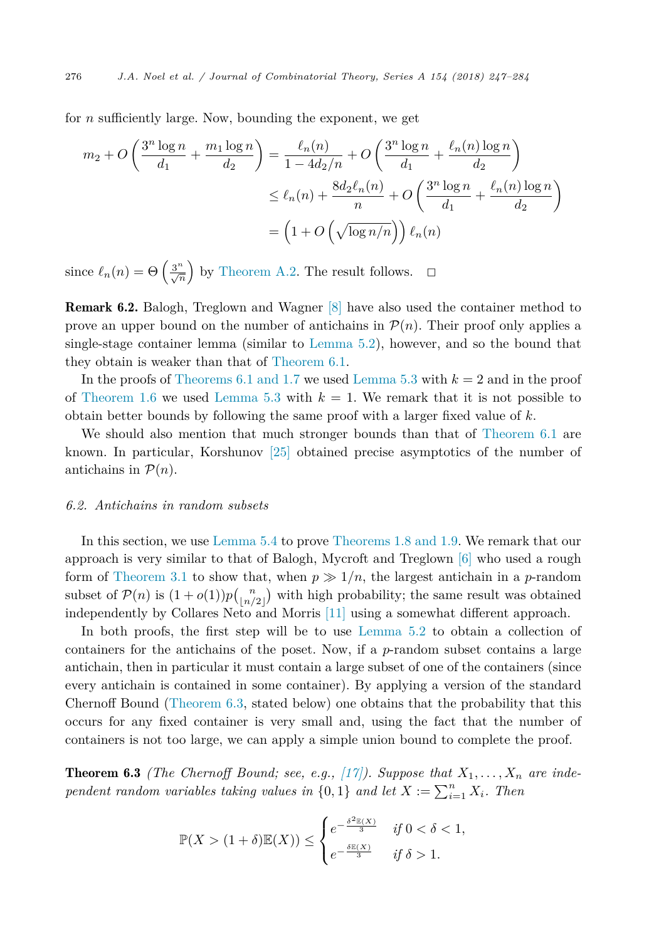for *n* sufficiently large. Now, bounding the exponent, we get

$$
m_2 + O\left(\frac{3^n \log n}{d_1} + \frac{m_1 \log n}{d_2}\right) = \frac{\ell_n(n)}{1 - 4d_2/n} + O\left(\frac{3^n \log n}{d_1} + \frac{\ell_n(n) \log n}{d_2}\right)
$$
  

$$
\leq \ell_n(n) + \frac{8d_2 \ell_n(n)}{n} + O\left(\frac{3^n \log n}{d_1} + \frac{\ell_n(n) \log n}{d_2}\right)
$$
  

$$
= \left(1 + O\left(\sqrt{\log n/n}\right)\right) \ell_n(n)
$$

since  $\ell_n(n) = \Theta\left(\frac{3^n}{\sqrt{n}}\right)$  by [Theorem A.2.](#page-34-0) The result follows.  $\Box$ 

Remark 6.2. Balogh, Treglown and Wagner [\[8\]](#page-36-0) have also used the container method to prove an upper bound on the number of antichains in  $\mathcal{P}(n)$ . Their proof only applies a single-stage container lemma (similar to [Lemma 5.2\)](#page-23-0), however, and so the bound that they obtain is weaker than that of [Theorem 6.1.](#page-26-0)

In the proofs of [Theorems 6.1 and 1.7](#page-26-0) we used [Lemma 5.3](#page-23-0) with *k* = 2 and in the proof of [Theorem 1.6](#page-3-0) we used [Lemma 5.3](#page-23-0) with  $k = 1$ . We remark that it is not possible to obtain better bounds by following the same proof with a larger fixed value of *k*.

We should also mention that much stronger bounds than that of [Theorem 6.1](#page-26-0) are known. In particular, Korshunov [\[25\]](#page-37-0) obtained precise asymptotics of the number of antichains in  $P(n)$ .

#### *6.2. Antichains in random subsets*

In this section, we use [Lemma 5.4](#page-26-0) to prove [Theorems 1.8 and 1.9.](#page-4-0) We remark that our approach is very similar to that of Balogh, Mycroft and Treglown [\[6\]](#page-36-0) who used a rough form of [Theorem 3.1](#page-6-0) to show that, when  $p \gg 1/n$ , the largest antichain in a *p*-random subset of  $\mathcal{P}(n)$  is  $(1+o(1))p\binom{n}{n'}$  $\binom{n}{\lfloor n/2 \rfloor}$  with high probability; the same result was obtained independently by Collares Neto and Morris [\[11\]](#page-36-0) using a somewhat different approach.

In both proofs, the first step will be to use [Lemma 5.2](#page-23-0) to obtain a collection of containers for the antichains of the poset. Now, if a *p*-random subset contains a large antichain, then in particular it must contain a large subset of one of the containers (since every antichain is contained in some container). By applying a version of the standard Chernoff Bound (Theorem 6.3, stated below) one obtains that the probability that this occurs for any fixed container is very small and, using the fact that the number of containers is not too large, we can apply a simple union bound to complete the proof.

**Theorem 6.3** *(The Chernoff Bound; see, e.g., [\[17\]\)](#page-36-0). Suppose that*  $X_1, \ldots, X_n$  *are independent random variables taking values in*  $\{0, 1\}$  *and let*  $X := \sum_{i=1}^{n} X_i$ *. Then* 

$$
\mathbb{P}(X > (1+\delta)\mathbb{E}(X)) \le \begin{cases} e^{-\frac{\delta^2 \mathbb{E}(X)}{3}} & \text{if } 0 < \delta < 1, \\ e^{-\frac{\delta \mathbb{E}(X)}{3}} & \text{if } \delta > 1. \end{cases}
$$

<span id="page-29-0"></span>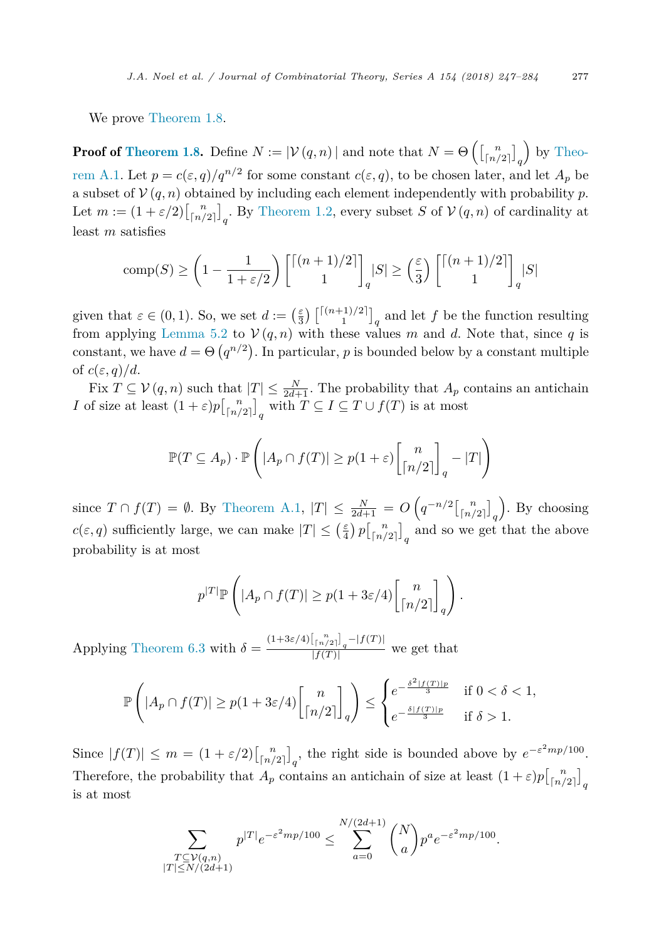We prove [Theorem 1.8.](#page-4-0)

**Proof of [Theorem 1.8.](#page-4-0)** Define  $N := |\mathcal{V}(q,n)|$  and note that  $N = \Theta\left(\begin{bmatrix}n\ n/2\end{bmatrix}\right]_q$  by Theo[rem A.1.](#page-34-0) Let  $p = c(\varepsilon, q)/q^{n/2}$  for some constant  $c(\varepsilon, q)$ , to be chosen later, and let  $A_p$  be a subset of  $V(q, n)$  obtained by including each element independently with probability p. Let  $m := (1 + \varepsilon/2) \begin{bmatrix} n \\ \lfloor n/2 \rfloor \end{bmatrix}_q$ . By [Theorem 1.2,](#page-2-0) every subset *S* of  $V(q, n)$  of cardinality at least *m* satisfies

$$
\text{comp}(S) \ge \left(1 - \frac{1}{1 + \varepsilon/2}\right) \left[\binom{n+1}{2}\right]_q |S| \ge \left(\frac{\varepsilon}{3}\right) \left[\binom{n+1}{2}\right]_q |S|
$$

given that  $\varepsilon \in (0,1)$ . So, we set  $d := \left(\frac{\varepsilon}{3}\right) \begin{bmatrix} |(n+1)/2| \\ 1 \end{bmatrix}_q$  and let f be the function resulting from applying [Lemma 5.2](#page-23-0) to  $V(q, n)$  with these values *m* and *d*. Note that, since *q* is constant, we have  $d = \Theta(q^{n/2})$ . In particular, p is bounded below by a constant multiple of  $c(\varepsilon, q)/d$ .

Fix  $T \subseteq V(q, n)$  such that  $|T| \leq \frac{N}{2d+1}$ . The probability that  $A_p$  contains an antichain *I* of size at least  $(1+\varepsilon)p\left[\binom{n}{\lfloor n/2 \rfloor}\right]_q$  with  $T \subseteq I \subseteq T \cup f(T)$  is at most

$$
\mathbb{P}(T \subseteq A_p) \cdot \mathbb{P}\left(\left|A_p \cap f(T)\right| \ge p(1+\varepsilon)\binom{n}{\lceil n/2 \rceil}_q - |T|\right)
$$

since  $T \cap f(T) = \emptyset$ . By [Theorem A.1,](#page-34-0)  $|T| \le \frac{N}{2d+1} = O\left(q^{-n/2}\left[\binom{n}{n/2}\right]_q\right)$  . By choosing  $c(\varepsilon, q)$  sufficiently large, we can make  $|T| \leq (\frac{\varepsilon}{4}) p\left[\binom{n}{n/2}\right]_q$  and so we get that the above probability is at most

$$
p^{|T|} \mathbb{P}\left( |A_p \cap f(T)| \ge p(1 + 3\varepsilon/4) \binom{n}{\lceil n/2 \rceil}_q \right).
$$

Applying [Theorem 6.3](#page-29-0) with  $\delta = \frac{(1+3\varepsilon/4)\left[\binom{n}{\lceil n/2 \rceil}_q - |f(T)| \right]}{|f(T)|}$  we get that

$$
\mathbb{P}\left(\left|A_p \cap f(T)\right| \ge p(1+3\varepsilon/4) \binom{n}{\lceil n/2 \rceil}_q\right) \le \begin{cases} e^{-\frac{\delta^2 |f(T)|p}{3}} & \text{if } 0 < \delta < 1, \\ e^{-\frac{\delta |f(T)|p}{3}} & \text{if } \delta > 1. \end{cases}
$$

Since  $|f(T)| \leq m = (1 + \varepsilon/2) \left[\binom{n}{\lfloor n/2 \rfloor}_q\right]$ , the right side is bounded above by  $e^{-\varepsilon^2 mp/100}$ . Therefore, the probability that  $A_p$  contains an antichain of size at least  $(1+\varepsilon)p\begin{bmatrix}n\\ \lfloor n/2 \rfloor \end{bmatrix}_q$ is at most

$$
\sum_{\substack{T \subseteq \mathcal{V}(q,n) \\ |T| \le N/(2d+1)}} p^{|T|} e^{-\varepsilon^2 m p/100} \le \sum_{a=0}^{N/(2d+1)} \binom{N}{a} p^a e^{-\varepsilon^2 m p/100}.
$$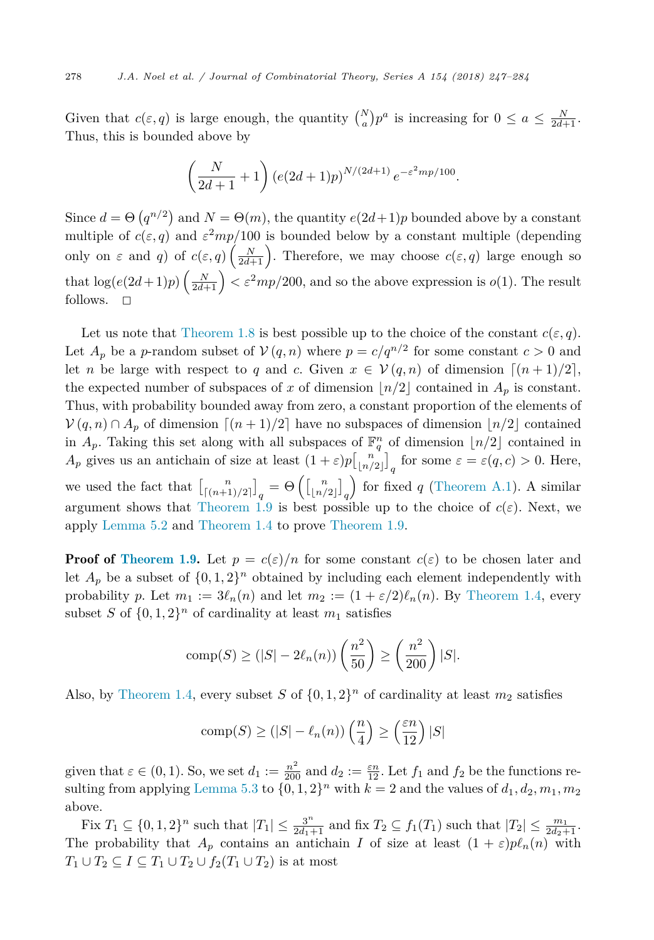Given that  $c(\varepsilon, q)$  is large enough, the quantity  $\binom{N}{a} p^a$  is increasing for  $0 \le a \le \frac{N}{2d+1}$ . Thus, this is bounded above by

$$
\left(\frac{N}{2d+1}+1\right) \left(e(2d+1)p\right)^{N/(2d+1)} e^{-\varepsilon^2 mp/100}.
$$

Since  $d = \Theta(q^{n/2})$  and  $N = \Theta(m)$ , the quantity  $e(2d+1)p$  bounded above by a constant multiple of  $c(\epsilon, q)$  and  $\epsilon^2mp/100$  is bounded below by a constant multiple (depending only on  $\varepsilon$  and *q*) of  $c(\varepsilon, q) \left( \frac{N}{2d+1} \right)$ . Therefore, we may choose  $c(\varepsilon, q)$  large enough so that  $\log(e(2d+1)p)\left(\frac{N}{2d+1}\right) < \varepsilon^2mp/200$ , and so the above expression is  $o(1)$ . The result follows.  $\square$ 

Let us note that [Theorem 1.8](#page-4-0) is best possible up to the choice of the constant  $c(\varepsilon, q)$ . Let  $A_p$  be a *p*-random subset of  $V(q, n)$  where  $p = c/q^{n/2}$  for some constant  $c > 0$  and let *n* be large with respect to *q* and *c*. Given  $x \in V(q, n)$  of dimension  $\lceil (n+1)/2 \rceil$ , the expected number of subspaces of *x* of dimension  $\lfloor n/2 \rfloor$  contained in  $A_p$  is constant. Thus, with probability bounded away from zero, a constant proportion of the elements of  $V(q, n) \cap A_p$  of dimension  $\lceil (n+1)/2 \rceil$  have no subspaces of dimension  $\lfloor n/2 \rfloor$  contained in  $A_p$ . Taking this set along with all subspaces of  $\mathbb{F}_q^n$  of dimension  $\lfloor n/2 \rfloor$  contained in *A*<sub>*p*</sub> gives us an antichain of size at least  $(1 + \varepsilon)p\left[\binom{n}{\lfloor n/2 \rfloor}\right]_q$  for some  $\varepsilon = \varepsilon(q, c) > 0$ . Here, we used the fact that  $\binom{n}{\lceil (n+1)/2 \rceil}_q = \Theta \left( \binom{n}{\lfloor n/2 \rfloor}_q \right)$ for fixed  $q$  [\(Theorem A.1\)](#page-34-0). A similar

argument shows that [Theorem 1.9](#page-4-0) is best possible up to the choice of  $c(\varepsilon)$ . Next, we apply [Lemma 5.2](#page-23-0) and [Theorem 1.4](#page-2-0) to prove [Theorem 1.9.](#page-4-0)

**Proof of [Theorem 1.9.](#page-4-0)** Let  $p = c(\varepsilon)/n$  for some constant  $c(\varepsilon)$  to be chosen later and let  $A_p$  be a subset of  $\{0, 1, 2\}$ <sup>n</sup> obtained by including each element independently with probability *p*. Let  $m_1 := 3\ell_n(n)$  and let  $m_2 := (1 + \varepsilon/2)\ell_n(n)$ . By [Theorem 1.4,](#page-2-0) every subset *S* of  $\{0, 1, 2\}^n$  of cardinality at least  $m_1$  satisfies

comp(S) 
$$
\geq (|S| - 2\ell_n(n))\left(\frac{n^2}{50}\right) \geq \left(\frac{n^2}{200}\right)|S|.
$$

Also, by [Theorem 1.4,](#page-2-0) every subset *S* of  $\{0, 1, 2\}^n$  of cardinality at least  $m_2$  satisfies

comp(S) 
$$
\geq (|S| - \ell_n(n)) \left(\frac{n}{4}\right) \geq \left(\frac{\varepsilon n}{12}\right)|S|
$$

given that  $\varepsilon \in (0, 1)$ . So, we set  $d_1 := \frac{n^2}{200}$  and  $d_2 := \frac{\varepsilon n}{12}$ . Let  $f_1$  and  $f_2$  be the functions re-sulting from applying [Lemma 5.3](#page-23-0) to  $\{0, 1, 2\}$ <sup>n</sup> with  $k = 2$  and the values of  $d_1, d_2, m_1, m_2$ above.

Fix  $T_1 \subseteq \{0, 1, 2\}^n$  such that  $|T_1| \le \frac{3^n}{2d_1+1}$  and fix  $T_2 \subseteq f_1(T_1)$  such that  $|T_2| \le \frac{m_1}{2d_2+1}$ . The probability that  $A_p$  contains an antichain *I* of size at least  $(1 + \varepsilon)p\ell_n(n)$  with  $T_1 \cup T_2 \subseteq I \subseteq T_1 \cup T_2 \cup f_2(T_1 \cup T_2)$  is at most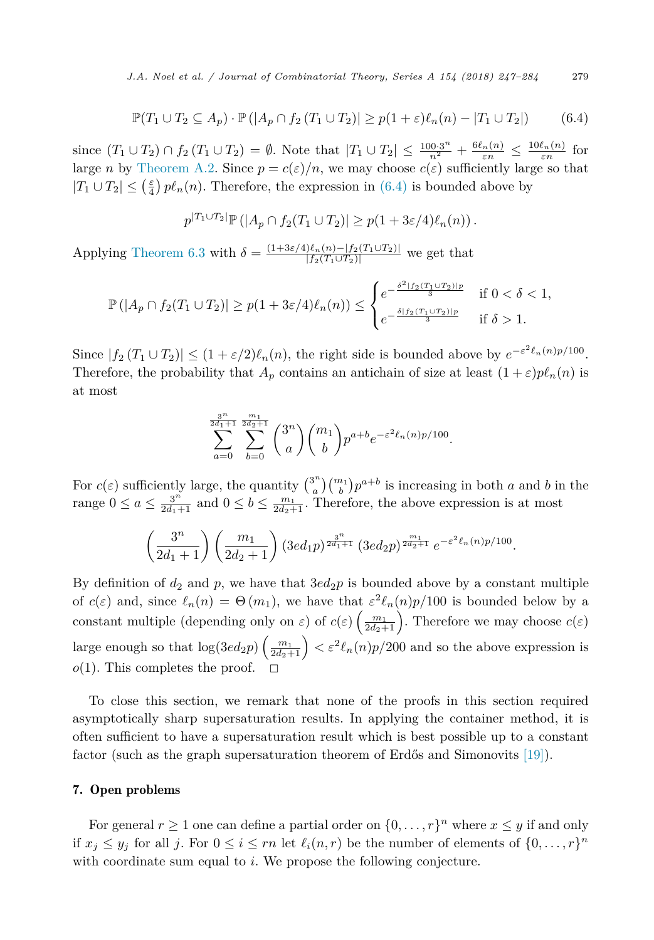$$
\mathbb{P}(T_1 \cup T_2 \subseteq A_p) \cdot \mathbb{P}(|A_p \cap f_2(T_1 \cup T_2)| \ge p(1+\varepsilon)\ell_n(n) - |T_1 \cup T_2|)
$$
(6.4)

since  $(T_1 \cup T_2) \cap f_2 (T_1 \cup T_2) = \emptyset$ . Note that  $|T_1 \cup T_2| \le \frac{100 \cdot 3^n}{n^2} + \frac{6\ell_n(n)}{\varepsilon n} \le \frac{10\ell_n(n)}{\varepsilon n}$  for large *n* by [Theorem A.2.](#page-34-0) Since  $p = c(\varepsilon)/n$ , we may choose  $c(\varepsilon)$  sufficiently large so that  $|T_1 \cup T_2| \leq (\frac{\varepsilon}{4}) p\ell_n(n)$ . Therefore, the expression in (6.4) is bounded above by

$$
p^{|T_1 \cup T_2|} \mathbb{P}(|A_p \cap f_2(T_1 \cup T_2)| \ge p(1+3\varepsilon/4)\ell_n(n)).
$$

Applying [Theorem 6.3](#page-29-0) with  $\delta = \frac{(1+3\varepsilon/4)\ell_n(n)-|f_2(T_1\cup T_2)|}{|f_2(T_1\cup T_2)|}$  we get that

$$
\mathbb{P}(|A_p \cap f_2(T_1 \cup T_2)| \ge p(1+3\varepsilon/4)\ell_n(n)) \le \begin{cases} e^{-\frac{\delta^2 |f_2(T_1 \cup T_2)|_p}{3}} & \text{if } 0 < \delta < 1, \\ e^{-\frac{\delta |f_2(T_1 \cup T_2)|_p}{3}} & \text{if } \delta > 1. \end{cases}
$$

Since  $|f_2(T_1 \cup T_2)| \leq (1 + \varepsilon/2)\ell_n(n)$ , the right side is bounded above by  $e^{-\varepsilon^2 \ell_n(n)p/100}$ . Therefore, the probability that  $A_p$  contains an antichain of size at least  $(1+\varepsilon)p\ell_n(n)$  is at most

$$
\sum_{a=0}^{\frac{3^n}{2d_1+1}} \sum_{b=0}^{\frac{m_1}{2d_2+1}} \binom{3^n}{a} \binom{m_1}{b} p^{a+b} e^{-\varepsilon^2 \ell_n(n)p/100}.
$$

For  $c(\varepsilon)$  sufficiently large, the quantity  $\binom{3^n}{a}\binom{m_1}{b}p^{a+b}$  is increasing in both *a* and *b* in the range  $0 \le a \le \frac{3^n}{2d_1+1}$  and  $0 \le b \le \frac{m_1}{2d_2+1}$ . Therefore, the above expression is at most

$$
\left(\frac{3^n}{2d_1+1}\right)\left(\frac{m_1}{2d_2+1}\right)\left(3ed_1p\right)^{\frac{3^n}{2d_1+1}}\left(3ed_2p\right)^{\frac{m_1}{2d_2+1}}e^{-\varepsilon^2\ell_n(n)p/100}.
$$

By definition of  $d_2$  and  $p$ , we have that  $3ed_2p$  is bounded above by a constant multiple of  $c(\varepsilon)$  and, since  $\ell_n(n) = \Theta(m_1)$ , we have that  $\varepsilon^2 \ell_n(n)p/100$  is bounded below by a constant multiple (depending only on  $\varepsilon$ ) of  $c(\varepsilon) \left( \frac{m_1}{2d_2+1} \right)$ . Therefore we may choose  $c(\varepsilon)$ large enough so that  $\log(3ed_2p)\left(\frac{m_1}{2d_2+1}\right) < \varepsilon^2\ell_n(n)p/200$  and so the above expression is  $o(1)$ . This completes the proof.

To close this section, we remark that none of the proofs in this section required asymptotically sharp supersaturation results. In applying the container method, it is often sufficient to have a supersaturation result which is best possible up to a constant factor (such as the graph supersaturation theorem of Erdős and Simonovits [\[19\]\)](#page-36-0).

## 7. Open problems

For general  $r \geq 1$  one can define a partial order on  $\{0, \ldots, r\}^n$  where  $x \leq y$  if and only if  $x_j \leq y_j$  for all *j*. For  $0 \leq i \leq rn$  let  $\ell_i(n,r)$  be the number of elements of  $\{0, \ldots, r\}^n$ with coordinate sum equal to *i*. We propose the following conjecture.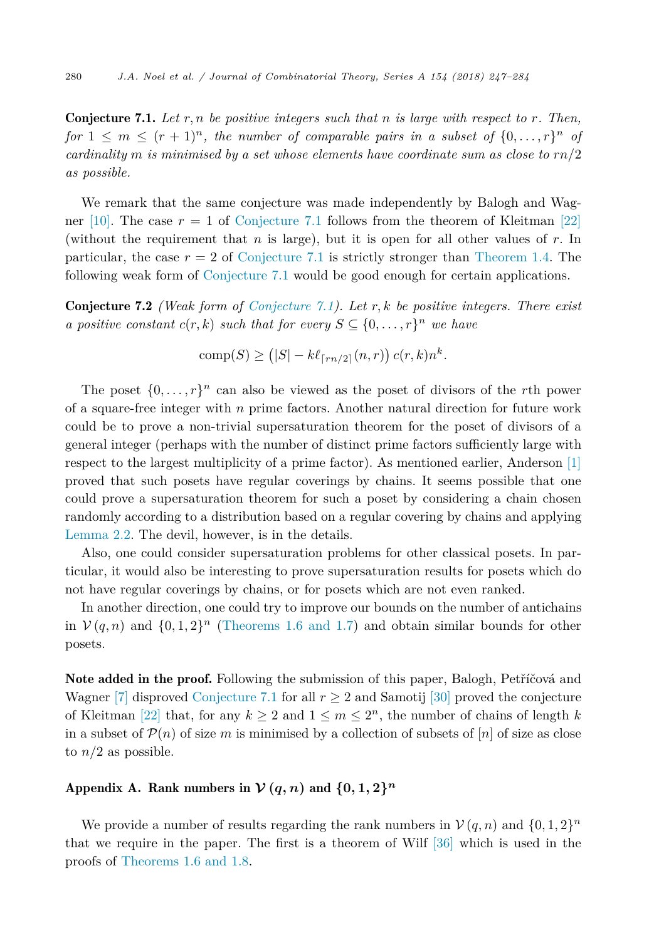Conjecture 7.1. *Let r, n be positive integers such that n is large with respect to r. Then, for*  $1 \leq m \leq (r+1)^n$ , the *number* of *comparable pairs in a subset* of  $\{0,\ldots,r\}^n$  of *cardinality m is minimised by a set whose elements have coordinate sum as close to rn/*2 *as possible.*

We remark that the same conjecture was made independently by Balogh and Wag-ner [\[10\].](#page-36-0) The case  $r = 1$  of Conjecture 7.1 follows from the theorem of Kleitman [\[22\]](#page-37-0) (without the requirement that *n* is large), but it is open for all other values of *r*. In particular, the case  $r = 2$  of Conjecture 7.1 is strictly stronger than [Theorem 1.4.](#page-2-0) The following weak form of Conjecture 7.1 would be good enough for certain applications.

Conjecture 7.2 *(Weak form of Conjecture 7.1). Let r, k be positive integers. There exist a positive constant*  $c(r, k)$  *such that for every*  $S \subseteq \{0, \ldots, r\}$ <sup>*n*</sup> *we have* 

comp(S) 
$$
\geq (|S| - k\ell_{\lceil rn/2 \rceil}(n, r)) c(r, k) n^{k}
$$
.

The poset  $\{0, \ldots, r\}^n$  can also be viewed as the poset of divisors of the *r*th power of a square-free integer with *n* prime factors. Another natural direction for future work could be to prove a non-trivial supersaturation theorem for the poset of divisors of a general integer (perhaps with the number of distinct prime factors sufficiently large with respect to the largest multiplicity of a prime factor). As mentioned earlier, Anderson [\[1\]](#page-36-0) proved that such posets have regular coverings by chains. It seems possible that one could prove a supersaturation theorem for such a poset by considering a chain chosen randomly according to a distribution based on a regular covering by chains and applying [Lemma 2.2.](#page-5-0) The devil, however, is in the details.

Also, one could consider supersaturation problems for other classical posets. In particular, it would also be interesting to prove supersaturation results for posets which do not have regular coverings by chains, or for posets which are not even ranked.

In another direction, one could try to improve our bounds on the number of antichains in  $V(q, n)$  and  $\{0, 1, 2\}$ <sup>n</sup> [\(Theorems 1.6 and 1.7\)](#page-3-0) and obtain similar bounds for other posets.

Note added in the proof. Following the submission of this paper, Balogh, Petříčová and Wagner [\[7\]](#page-36-0) disproved Conjecture 7.1 for all  $r \geq 2$  and Samotij [\[30\]](#page-37-0) proved the conjecture of Kleitman [\[22\]](#page-37-0) that, for any  $k \geq 2$  and  $1 \leq m \leq 2^n$ , the number of chains of length k in a subset of  $\mathcal{P}(n)$  of size *m* is minimised by a collection of subsets of [*n*] of size as close to  $n/2$  as possible.

# Appendix A. Rank numbers in  $V(q, n)$  and  $\{0, 1, 2\}^n$

We provide a number of results regarding the rank numbers in  $V(q, n)$  and  $\{0, 1, 2\}^n$ that we require in the paper. The first is a theorem of Wilf [\[36\]](#page-37-0) which is used in the proofs of [Theorems 1.6 and 1.8.](#page-3-0)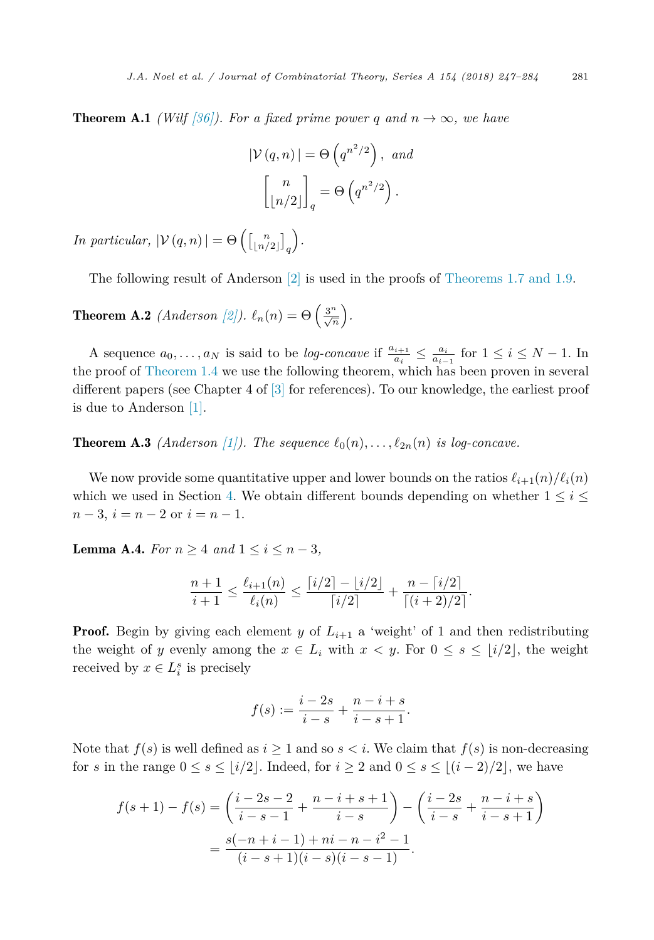<span id="page-34-0"></span>**Theorem A.1** *(Wilf [\[36\]\)](#page-37-0). For a fixed prime power q and*  $n \to \infty$ *, we have* 

$$
|\mathcal{V}(q,n)| = \Theta\left(q^{n^2/2}\right), \text{ and}
$$

$$
\begin{bmatrix} n \\ \lfloor n/2 \rfloor \end{bmatrix}_q = \Theta\left(q^{n^2/2}\right).
$$

*In particular,*  $|\mathcal{V}(q,n)| = \Theta\left(\begin{bmatrix}n \\ \lfloor n/2 \rfloor \end{bmatrix}_q\right)$ *.*

The following result of Anderson [\[2\]](#page-36-0) is used in the proofs of [Theorems 1.7 and 1.9.](#page-3-0)

**Theorem A.2** *(Anderson [\[2\]\)](#page-36-0).*  $\ell_n(n) = \Theta\left(\frac{3^n}{\sqrt{n}}\right)$ .

A sequence  $a_0, \ldots, a_N$  is said to be *log-concave* if  $\frac{a_{i+1}}{a_i} \leq \frac{a_i}{a_{i-1}}$  for  $1 \leq i \leq N-1$ . In the proof of [Theorem 1.4](#page-2-0) we use the following theorem, which has been proven in several different papers (see Chapter 4 of [\[3\]](#page-36-0) for references). To our knowledge, the earliest proof is due to Anderson [\[1\].](#page-36-0)

**Theorem A.3** *(Anderson [\[1\]\)](#page-36-0). The sequence*  $\ell_0(n), \ldots, \ell_{2n}(n)$  *is log-concave.* 

We now provide some quantitative upper and lower bounds on the ratios  $\ell_{i+1}(n)/\ell_i(n)$ which we used in Section [4.](#page-9-0) We obtain different bounds depending on whether  $1 \leq i \leq$ *n* − 3,  $i = n - 2$  or  $i = n - 1$ .

**Lemma A.4.** *For*  $n \geq 4$  *and*  $1 \leq i \leq n-3$ *,* 

$$
\frac{n+1}{i+1} \le \frac{\ell_{i+1}(n)}{\ell_i(n)} \le \frac{\lceil i/2 \rceil - \lfloor i/2 \rfloor}{\lceil i/2 \rceil} + \frac{n - \lceil i/2 \rceil}{\lceil (i+2)/2 \rceil}.
$$

**Proof.** Begin by giving each element *y* of  $L_{i+1}$  a 'weight' of 1 and then redistributing the weight of *y* evenly among the  $x \in L_i$  with  $x < y$ . For  $0 \le s \le \lfloor i/2 \rfloor$ , the weight received by  $x \in L_i^s$  is precisely

$$
f(s) := \frac{i - 2s}{i - s} + \frac{n - i + s}{i - s + 1}.
$$

Note that  $f(s)$  is well defined as  $i \geq 1$  and so  $s < i$ . We claim that  $f(s)$  is non-decreasing for *s* in the range  $0 \le s \le \lfloor i/2 \rfloor$ . Indeed, for  $i \ge 2$  and  $0 \le s \le \lfloor (i-2)/2 \rfloor$ , we have

$$
f(s+1) - f(s) = \left(\frac{i-2s-2}{i-s-1} + \frac{n-i+s+1}{i-s}\right) - \left(\frac{i-2s}{i-s} + \frac{n-i+s}{i-s+1}\right)
$$

$$
= \frac{s(-n+i-1) + ni - n - i^2 - 1}{(i-s+1)(i-s)(i-s-1)}.
$$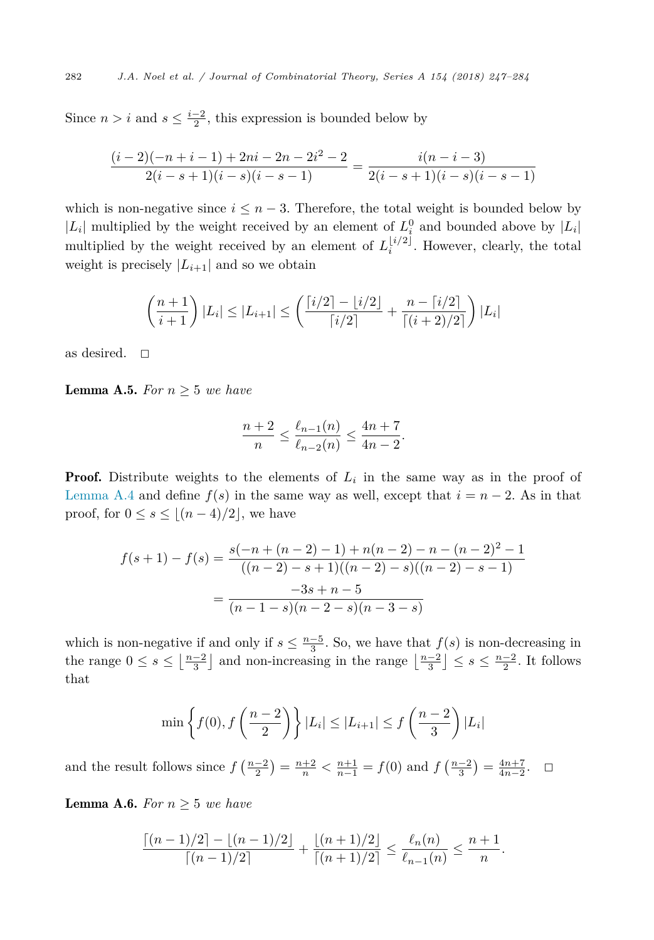Since  $n > i$  and  $s \leq \frac{i-2}{2}$ , this expression is bounded below by

$$
\frac{(i-2)(-n+i-1)+2ni-2n-2i^2-2}{2(i-s+1)(i-s)(i-s-1)} = \frac{i(n-i-3)}{2(i-s+1)(i-s)(i-s-1)}
$$

which is non-negative since  $i \leq n-3$ . Therefore, the total weight is bounded below by  $|L_i|$  multiplied by the weight received by an element of  $L_i^0$  and bounded above by  $|L_i|$ multiplied by the weight received by an element of  $L_i^{\lfloor i/2 \rfloor}$ . However, clearly, the total weight is precisely  $|L_{i+1}|$  and so we obtain

$$
\left(\frac{n+1}{i+1}\right)|L_i| \leq |L_{i+1}| \leq \left(\frac{\lceil i/2 \rceil - \lfloor i/2 \rfloor}{\lceil i/2 \rceil} + \frac{n - \lceil i/2 \rceil}{\lceil (i+2)/2 \rceil}\right)|L_i|
$$

as desired.  $\square$ 

**Lemma A.5.** *For*  $n \geq 5$  *we have* 

$$
\frac{n+2}{n} \le \frac{\ell_{n-1}(n)}{\ell_{n-2}(n)} \le \frac{4n+7}{4n-2}.
$$

**Proof.** Distribute weights to the elements of  $L_i$  in the same way as in the proof of [Lemma A.4](#page-34-0) and define  $f(s)$  in the same way as well, except that  $i = n - 2$ . As in that proof, for  $0 \le s \le \lfloor (n-4)/2 \rfloor$ , we have

$$
f(s+1) - f(s) = \frac{s(-n + (n-2) - 1) + n(n-2) - n - (n-2)^2 - 1}{((n-2) - s + 1)((n-2) - s)((n-2) - s - 1)}
$$

$$
= \frac{-3s + n - 5}{(n-1-s)(n-2-s)(n-3-s)}
$$

which is non-negative if and only if  $s \leq \frac{n-5}{3}$ . So, we have that  $f(s)$  is non-decreasing in the range  $0 \le s \le \lfloor \frac{n-2}{3} \rfloor$  and non-increasing in the range  $\lfloor \frac{n-2}{3} \rfloor \le s \le \frac{n-2}{2}$ . It follows that

$$
\min\left\{f(0), f\left(\frac{n-2}{2}\right)\right\} |L_i| \le |L_{i+1}| \le f\left(\frac{n-2}{3}\right)|L_i|
$$

and the result follows since  $f\left(\frac{n-2}{2}\right) = \frac{n+2}{n} < \frac{n+1}{n-1} = f(0)$  and  $f\left(\frac{n-2}{3}\right) = \frac{4n+7}{4n-2}$ .  $\Box$ 

**Lemma A.6.** *For*  $n \geq 5$  *we have* 

$$
\frac{\lceil (n-1)/2 \rceil - \lfloor (n-1)/2 \rfloor}{\lceil (n-1)/2 \rceil} + \frac{\lfloor (n+1)/2 \rfloor}{\lceil (n+1)/2 \rceil} \le \frac{\ell_n(n)}{\ell_{n-1}(n)} \le \frac{n+1}{n}.
$$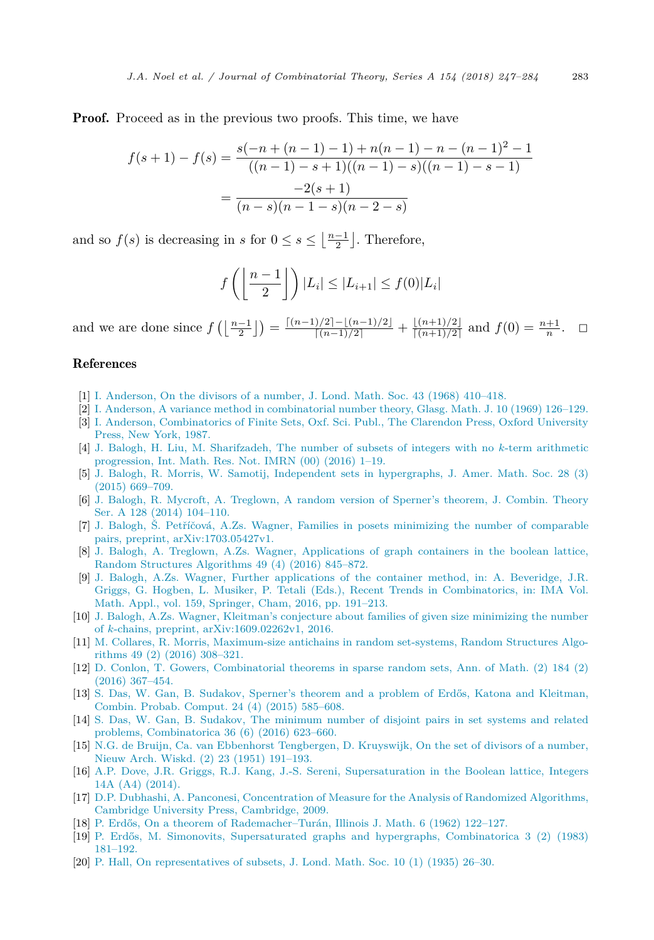<span id="page-36-0"></span>**Proof.** Proceed as in the previous two proofs. This time, we have

$$
f(s+1) - f(s) = \frac{s(-n + (n-1) - 1) + n(n-1) - n - (n-1)^2 - 1}{((n-1) - s + 1)((n-1) - s)((n-1) - s - 1)}
$$

$$
= \frac{-2(s+1)}{(n-s)(n-1-s)(n-2-s)}
$$

and so  $f(s)$  is decreasing in *s* for  $0 \le s \le \lfloor \frac{n-1}{2} \rfloor$ . Therefore,

$$
f\left(\left\lfloor \frac{n-1}{2} \right\rfloor\right)|L_i| \leq |L_{i+1}| \leq f(0)|L_i|
$$

and we are done since  $f\left(\left\lfloor \frac{n-1}{2} \right\rfloor\right) = \frac{\left\lfloor (n-1)/2 \right\rfloor - \left\lfloor (n-1)/2 \right\rfloor}{\left\lceil (n-1)/2 \right\rceil} + \frac{\left\lfloor (n+1)/2 \right\rfloor}{\left\lceil (n+1)/2 \right\rceil}$  and  $f(0) = \frac{n+1}{n}$ .  $\Box$ 

# References

- [1] I. [Anderson,](http://refhub.elsevier.com/S0097-3165(17)30125-5/bib416E646572736F6E64697669736F7273s1) On the divisors of a number, J. Lond. Math. Soc. 43 (1968) 410–418.
- [2] I. Anderson, A variance method in [combinatorial](http://refhub.elsevier.com/S0097-3165(17)30125-5/bib416E646572736F6E56617269616E6365s1) number theory, Glasg. Math. J. 10 (1969) 126–129.
- [3] I. Anderson, [Combinatorics](http://refhub.elsevier.com/S0097-3165(17)30125-5/bib416E646572736F6E426F6F6Bs1) of Finite Sets, Oxf. Sci. Publ., The Clarendon Press, Oxford University [Press,](http://refhub.elsevier.com/S0097-3165(17)30125-5/bib416E646572736F6E426F6F6Bs1) New York, 1987.
- [4] J. Balogh, H. Liu, M. [Sharifzadeh,](http://refhub.elsevier.com/S0097-3165(17)30125-5/bib486F6E674E6577s1) The number of subsets of integers with no *k*-term arithmetic [progression,](http://refhub.elsevier.com/S0097-3165(17)30125-5/bib486F6E674E6577s1) Int. Math. Res. Not. IMRN (00) (2016) 1–19.
- [5] J. Balogh, R. Morris, W. Samotij, Independent sets in [hypergraphs,](http://refhub.elsevier.com/S0097-3165(17)30125-5/bib436F6E7461696E6572734D6F72726973s1) J. Amer. Math. Soc. 28 (3) (2015) [669–709.](http://refhub.elsevier.com/S0097-3165(17)30125-5/bib436F6E7461696E6572734D6F72726973s1)
- [6] J. Balogh, R. Mycroft, A. Treglown, A random version of Sperner's theorem, [J. Combin.](http://refhub.elsevier.com/S0097-3165(17)30125-5/bib52616E646F6D537065726E6572s1) Theory Ser. A 128 (2014) [104–110.](http://refhub.elsevier.com/S0097-3165(17)30125-5/bib52616E646F6D537065726E6572s1)
- [7] J. Balogh, Š. Petříčová, A.Zs. Wagner, Families in posets minimizing the number of [comparable](http://refhub.elsevier.com/S0097-3165(17)30125-5/bib425057s1) pairs, preprint, [arXiv:1703.05427v1.](http://refhub.elsevier.com/S0097-3165(17)30125-5/bib425057s1)
- [8] J. Balogh, A. Treglown, A.Zs. Wagner, [Applications](http://refhub.elsevier.com/S0097-3165(17)30125-5/bib42616C6F67685761676E6572426F6F6C65616Es1) of graph containers in the boolean lattice, Random Structures [Algorithms](http://refhub.elsevier.com/S0097-3165(17)30125-5/bib42616C6F67685761676E6572426F6F6C65616Es1) 49 (4) (2016) 845–872.
- [9] J. Balogh, A.Zs. Wagner, Further [applications](http://refhub.elsevier.com/S0097-3165(17)30125-5/bib42616C6F67685761676E6572s1) of the container method, in: A. Beveridge, J.R. Griggs, G. Hogben, L. Musiker, P. Tetali (Eds.), Recent Trends in [Combinatorics,](http://refhub.elsevier.com/S0097-3165(17)30125-5/bib42616C6F67685761676E6572s1) in: IMA Vol. Math. Appl., vol. 159, Springer, Cham, 2016, [pp. 191–213.](http://refhub.elsevier.com/S0097-3165(17)30125-5/bib42616C6F67685761676E6572s1)
- [10] J. Balogh, A.Zs. Wagner, Kleitman's conjecture about families of given size [minimizing](http://refhub.elsevier.com/S0097-3165(17)30125-5/bib42616C6F67685761676E65724B6C6569746D616Es1) the number of *k*-chains, preprint, [arXiv:1609.02262v1,](http://refhub.elsevier.com/S0097-3165(17)30125-5/bib42616C6F67685761676E65724B6C6569746D616Es1) 2016.
- [11] M. Collares, R. Morris, [Maximum-size](http://refhub.elsevier.com/S0097-3165(17)30125-5/bib52616E646F6D4572646F73s1) antichains in random set-systems, Random Structures Algorithms 49 (2) (2016) [308–321.](http://refhub.elsevier.com/S0097-3165(17)30125-5/bib52616E646F6D4572646F73s1)
- [12] D. Conlon, T. Gowers, [Combinatorial](http://refhub.elsevier.com/S0097-3165(17)30125-5/bib436F6E6C6F6E476F77657273s1) theorems in sparse random sets, Ann. of Math. (2) 184 (2) (2016) [367–454.](http://refhub.elsevier.com/S0097-3165(17)30125-5/bib436F6E6C6F6E476F77657273s1)
- [13] S. Das, W. Gan, B. Sudakov, Sperner's theorem and a problem of Erdős, Katona and [Kleitman,](http://refhub.elsevier.com/S0097-3165(17)30125-5/bib444753s1) Combin. Probab. [Comput.](http://refhub.elsevier.com/S0097-3165(17)30125-5/bib444753s1) 24 (4) (2015) 585–608.
- [14] S. Das, W. Gan, B. Sudakov, The [minimum](http://refhub.elsevier.com/S0097-3165(17)30125-5/bib44475332s1) number of disjoint pairs in set systems and related problems, [Combinatorica](http://refhub.elsevier.com/S0097-3165(17)30125-5/bib44475332s1) 36 (6) (2016) 623–660.
- [15] N.G. de Bruijn, Ca. van Ebbenhorst [Tengbergen,](http://refhub.elsevier.com/S0097-3165(17)30125-5/bib6D756C7469537065726E6572s1) D. Kruyswijk, On the set of divisors of a number, Nieuw Arch. Wiskd. (2) 23 (1951) [191–193.](http://refhub.elsevier.com/S0097-3165(17)30125-5/bib6D756C7469537065726E6572s1)
- [16] A.P. Dove, J.R. Griggs, R.J. Kang, J.-S. Sereni, [Supersaturation](http://refhub.elsevier.com/S0097-3165(17)30125-5/bib44474B53s1) in the Boolean lattice, Integers [14A \(A4\)](http://refhub.elsevier.com/S0097-3165(17)30125-5/bib44474B53s1) (2014).
- [17] D.P. Dubhashi, A. Panconesi, [Concentration](http://refhub.elsevier.com/S0097-3165(17)30125-5/bib436F6E63656E74726174696F6E426F6F6Bs1) of Measure for the Analysis of Randomized Algorithms, Cambridge University Press, [Cambridge,](http://refhub.elsevier.com/S0097-3165(17)30125-5/bib436F6E63656E74726174696F6E426F6F6Bs1) 2009.
- [18] P. Erdős, On a theorem of [Rademacher–Turán,](http://refhub.elsevier.com/S0097-3165(17)30125-5/bib526164656D6163686572s1) Illinois J. Math. 6 (1962) 122–127.
- [19] P. Erdős, M. Simonovits, [Supersaturated](http://refhub.elsevier.com/S0097-3165(17)30125-5/bib4879706572s1) graphs and hypergraphs, Combinatorica 3 (2) (1983) [181–192.](http://refhub.elsevier.com/S0097-3165(17)30125-5/bib4879706572s1)
- [20] P. Hall, On [representatives](http://refhub.elsevier.com/S0097-3165(17)30125-5/bib48616C6Cs1) of subsets, J. Lond. Math. Soc. 10 (1) (1935) 26–30.